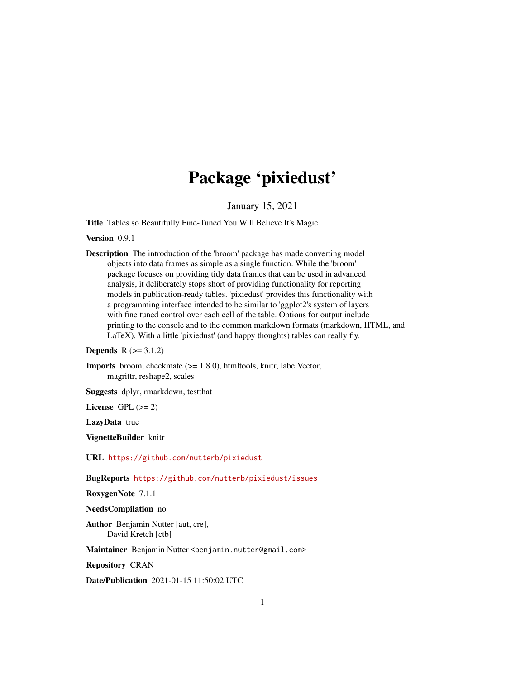# Package 'pixiedust'

January 15, 2021

<span id="page-0-0"></span>Title Tables so Beautifully Fine-Tuned You Will Believe It's Magic

# Version 0.9.1

Description The introduction of the 'broom' package has made converting model objects into data frames as simple as a single function. While the 'broom' package focuses on providing tidy data frames that can be used in advanced analysis, it deliberately stops short of providing functionality for reporting models in publication-ready tables. 'pixiedust' provides this functionality with a programming interface intended to be similar to 'ggplot2's system of layers with fine tuned control over each cell of the table. Options for output include printing to the console and to the common markdown formats (markdown, HTML, and LaTeX). With a little 'pixiedust' (and happy thoughts) tables can really fly.

**Depends**  $R (= 3.1.2)$ 

Imports broom, checkmate (>= 1.8.0), htmltools, knitr, labelVector, magrittr, reshape2, scales

Suggests dplyr, rmarkdown, testthat

License GPL  $(>= 2)$ 

LazyData true

VignetteBuilder knitr

URL <https://github.com/nutterb/pixiedust>

BugReports <https://github.com/nutterb/pixiedust/issues>

RoxygenNote 7.1.1

## NeedsCompilation no

Author Benjamin Nutter [aut, cre], David Kretch [ctb]

Maintainer Benjamin Nutter <benjamin.nutter@gmail.com>

Repository CRAN

Date/Publication 2021-01-15 11:50:02 UTC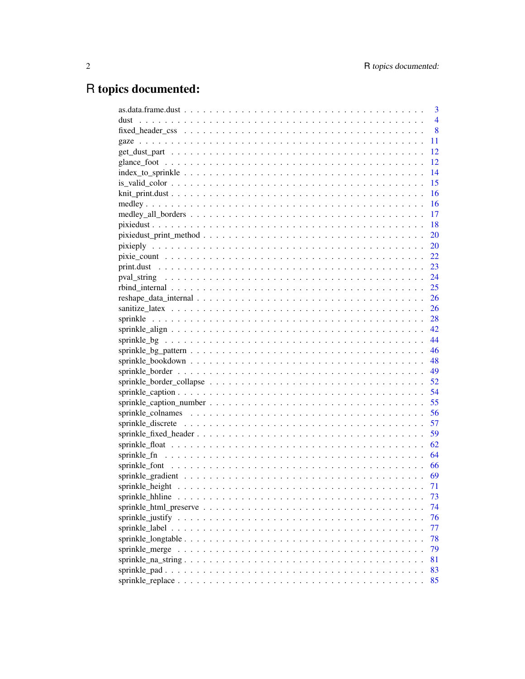# R topics documented:

|                                        | 3              |
|----------------------------------------|----------------|
|                                        | $\overline{4}$ |
|                                        | 8              |
|                                        | 11             |
|                                        | 12             |
|                                        | 12             |
| $index_to_sprinkle                   $ | 14             |
|                                        | 15             |
|                                        | 16             |
|                                        | 16             |
|                                        | 17             |
|                                        | 18             |
|                                        | <b>20</b>      |
|                                        |                |
|                                        |                |
|                                        |                |
|                                        |                |
|                                        |                |
|                                        |                |
|                                        |                |
|                                        |                |
|                                        |                |
|                                        |                |
|                                        |                |
|                                        |                |
|                                        |                |
|                                        |                |
|                                        |                |
|                                        |                |
|                                        |                |
|                                        |                |
|                                        |                |
|                                        |                |
|                                        |                |
|                                        |                |
|                                        |                |
|                                        | 71             |
|                                        | 73             |
|                                        | 74             |
|                                        | 76             |
|                                        | 77             |
|                                        | 78             |
|                                        | 79             |
|                                        | 81             |
|                                        | 83             |
|                                        | 85             |
|                                        |                |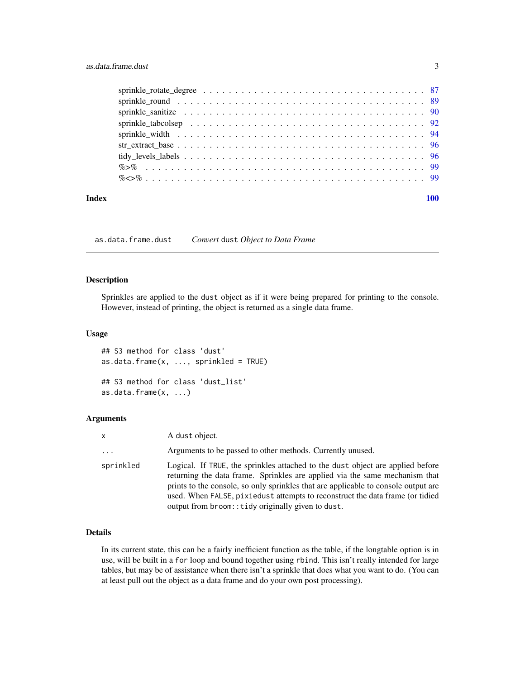<span id="page-2-0"></span>

| Index |  |
|-------|--|

as.data.frame.dust *Convert* dust *Object to Data Frame*

# Description

Sprinkles are applied to the dust object as if it were being prepared for printing to the console. However, instead of printing, the object is returned as a single data frame.

# Usage

## S3 method for class 'dust'  $as.data frame(x, ..., sprinkled = TRUE)$ ## S3 method for class 'dust\_list' as.data.frame(x, ...)

# Arguments

| $\mathsf{x}$        | A dust object.                                                                                                                                                                                                                                                                                                                                                                             |
|---------------------|--------------------------------------------------------------------------------------------------------------------------------------------------------------------------------------------------------------------------------------------------------------------------------------------------------------------------------------------------------------------------------------------|
| $\cdot \cdot \cdot$ | Arguments to be passed to other methods. Currently unused.                                                                                                                                                                                                                                                                                                                                 |
| sprinkled           | Logical. If TRUE, the sprinkles attached to the dust object are applied before<br>returning the data frame. Sprinkles are applied via the same mechanism that<br>prints to the console, so only sprinkles that are applicable to console output are<br>used. When FALSE, pixiedust attempts to reconstruct the data frame (or tidied<br>output from broom:: tidy originally given to dust. |

# Details

In its current state, this can be a fairly inefficient function as the table, if the longtable option is in use, will be built in a for loop and bound together using rbind. This isn't really intended for large tables, but may be of assistance when there isn't a sprinkle that does what you want to do. (You can at least pull out the object as a data frame and do your own post processing).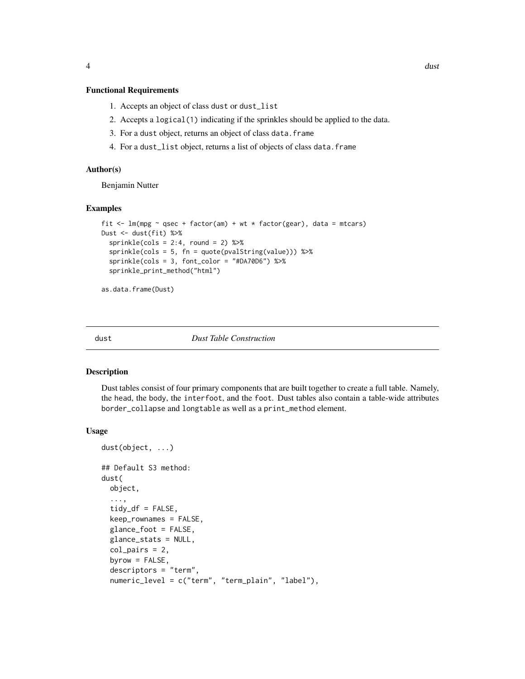# <span id="page-3-0"></span>Functional Requirements

- 1. Accepts an object of class dust or dust\_list
- 2. Accepts a logical(1) indicating if the sprinkles should be applied to the data.
- 3. For a dust object, returns an object of class data.frame
- 4. For a dust\_list object, returns a list of objects of class data.frame

# Author(s)

Benjamin Nutter

# Examples

```
fit \le - lm(mpg \sim qsec + factor(am) + wt \star factor(gear), data = mtcars)
Dust <- dust(fit) %>%
  sprinkle(cols = 2:4, round = 2) %>%
  sprinkle(cols = 5, fn = quote(pvalString(value))) %>%
  sprinkle(cols = 3, font_color = "#DA70D6") %>%
  sprinkle_print_method("html")
```
as.data.frame(Dust)

dust *Dust Table Construction*

# Description

Dust tables consist of four primary components that are built together to create a full table. Namely, the head, the body, the interfoot, and the foot. Dust tables also contain a table-wide attributes border\_collapse and longtable as well as a print\_method element.

#### Usage

```
dust(object, ...)
## Default S3 method:
dust(
 object,
  ...,
  tidy_df = FALSE,keep_rownames = FALSE,
  glance_foot = FALSE,
  glance_stats = NULL,
  col\_pairs = 2,
  byrow = FALSE,
  descriptors = "term",
  numeric_level = c("term", "term_plain", "label"),
```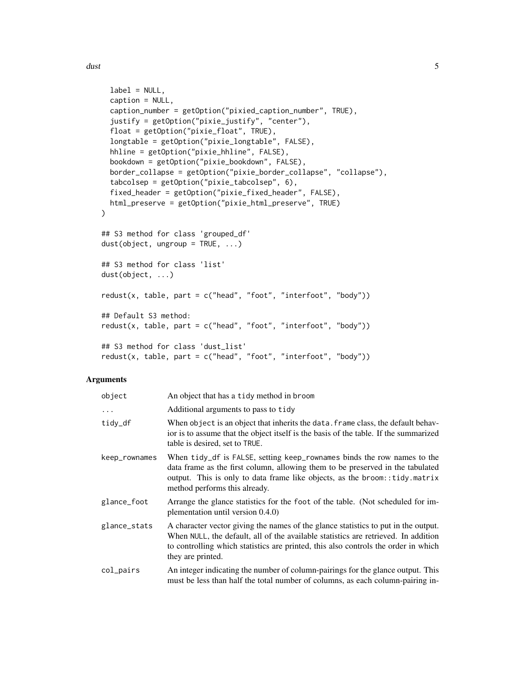```
label = NULL,caption = NULL,
 caption_number = getOption("pixied_caption_number", TRUE),
  justify = getOption("pixie_justify", "center"),
 float = getOption("pixie_float", TRUE),
  longtable = getOption("pixie_longtable", FALSE),
 hhline = getOption("pixie_hhline", FALSE),
 bookdown = getOption("pixie_bookdown", FALSE),
 border_collapse = getOption("pixie_border_collapse", "collapse"),
  tabcolsep = getOption("pixie_tabcolsep", 6),
 fixed_header = getOption("pixie_fixed_header", FALSE),
 html_preserve = getOption("pixie_html_preserve", TRUE)
)
## S3 method for class 'grouped_df'
dust(object, ungroup = TRUE, ...)## S3 method for class 'list'
dust(object, ...)
redust(x, table, part = c("head", "foot", "interfoot", "body")## Default S3 method:
redust(x, table, part = c("head", "foot", "interfoot", "body"))
## S3 method for class 'dust list'
redust(x, table, part = c("head", "foot", "interfoot", "body"))
```
#### Arguments

| object        | An object that has a tidy method in broom                                                                                                                                                                                                                                           |
|---------------|-------------------------------------------------------------------------------------------------------------------------------------------------------------------------------------------------------------------------------------------------------------------------------------|
| $\ddots$ .    | Additional arguments to pass to tidy                                                                                                                                                                                                                                                |
| tidy_df       | When object is an object that inherits the data. frame class, the default behav-<br>ior is to assume that the object itself is the basis of the table. If the summarized<br>table is desired, set to TRUE.                                                                          |
| keep_rownames | When tidy_df is FALSE, setting keep_rownames binds the row names to the<br>data frame as the first column, allowing them to be preserved in the tabulated<br>output. This is only to data frame like objects, as the broom:: tidy.matrix<br>method performs this already.           |
| glance_foot   | Arrange the glance statistics for the foot of the table. (Not scheduled for im-<br>plementation until version 0.4.0)                                                                                                                                                                |
| glance_stats  | A character vector giving the names of the glance statistics to put in the output.<br>When NULL, the default, all of the available statistics are retrieved. In addition<br>to controlling which statistics are printed, this also controls the order in which<br>they are printed. |
| col_pairs     | An integer indicating the number of column-pairings for the glance output. This<br>must be less than half the total number of columns, as each column-pairing in-                                                                                                                   |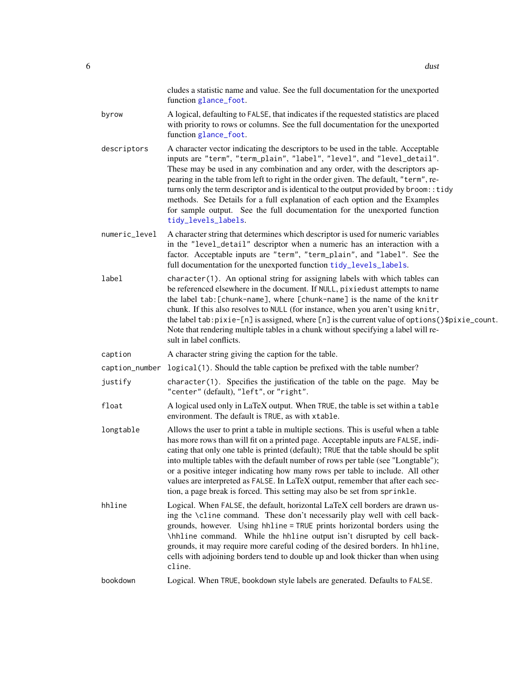|               | cludes a statistic name and value. See the full documentation for the unexported<br>function glance_foot.                                                                                                                                                                                                                                                                                                                                                                                                                                                                                                        |
|---------------|------------------------------------------------------------------------------------------------------------------------------------------------------------------------------------------------------------------------------------------------------------------------------------------------------------------------------------------------------------------------------------------------------------------------------------------------------------------------------------------------------------------------------------------------------------------------------------------------------------------|
| byrow         | A logical, defaulting to FALSE, that indicates if the requested statistics are placed<br>with priority to rows or columns. See the full documentation for the unexported<br>function glance_foot.                                                                                                                                                                                                                                                                                                                                                                                                                |
| descriptors   | A character vector indicating the descriptors to be used in the table. Acceptable<br>inputs are "term", "term_plain", "label", "level", and "level_detail".<br>These may be used in any combination and any order, with the descriptors ap-<br>pearing in the table from left to right in the order given. The default, "term", re-<br>turns only the term descriptor and is identical to the output provided by broom:: tidy<br>methods. See Details for a full explanation of each option and the Examples<br>for sample output. See the full documentation for the unexported function<br>tidy_levels_labels. |
| numeric_level | A character string that determines which descriptor is used for numeric variables<br>in the "level_detail" descriptor when a numeric has an interaction with a<br>factor. Acceptable inputs are "term", "term_plain", and "label". See the<br>full documentation for the unexported function tidy_levels_labels.                                                                                                                                                                                                                                                                                                 |
| label         | character(1). An optional string for assigning labels with which tables can<br>be referenced elsewhere in the document. If NULL, pixiedust attempts to name<br>the label tab: [chunk-name], where [chunk-name] is the name of the knitr<br>chunk. If this also resolves to NULL (for instance, when you aren't using knitr,<br>the label tab: pixie-[n] is assigned, where [n] is the current value of options()\$pixie_count.<br>Note that rendering multiple tables in a chunk without specifying a label will re-<br>sult in label conflicts.                                                                 |
| caption       | A character string giving the caption for the table.                                                                                                                                                                                                                                                                                                                                                                                                                                                                                                                                                             |
|               | caption_number logical(1). Should the table caption be prefixed with the table number?                                                                                                                                                                                                                                                                                                                                                                                                                                                                                                                           |
| justify       | character(1). Specifies the justification of the table on the page. May be<br>"center" (default), "left", or "right".                                                                                                                                                                                                                                                                                                                                                                                                                                                                                            |
| float         | A logical used only in LaTeX output. When TRUE, the table is set within a table<br>environment. The default is TRUE, as with xtable.                                                                                                                                                                                                                                                                                                                                                                                                                                                                             |
| longtable     | Allows the user to print a table in multiple sections. This is useful when a table<br>has more rows than will fit on a printed page. Acceptable inputs are FALSE, indi-<br>cating that only one table is printed (default); TRUE that the table should be split<br>into multiple tables with the default number of rows per table (see "Longtable");<br>or a positive integer indicating how many rows per table to include. All other<br>values are interpreted as FALSE. In LaTeX output, remember that after each sec-<br>tion, a page break is forced. This setting may also be set from sprinkle.           |
| hhline        | Logical. When FALSE, the default, horizontal LaTeX cell borders are drawn us-<br>ing the \cline command. These don't necessarily play well with cell back-<br>grounds, however. Using hhline = TRUE prints horizontal borders using the<br>\hhline command. While the hhline output isn't disrupted by cell back-<br>grounds, it may require more careful coding of the desired borders. In hhline,<br>cells with adjoining borders tend to double up and look thicker than when using<br>cline.                                                                                                                 |
| bookdown      | Logical. When TRUE, bookdown style labels are generated. Defaults to FALSE.                                                                                                                                                                                                                                                                                                                                                                                                                                                                                                                                      |
|               |                                                                                                                                                                                                                                                                                                                                                                                                                                                                                                                                                                                                                  |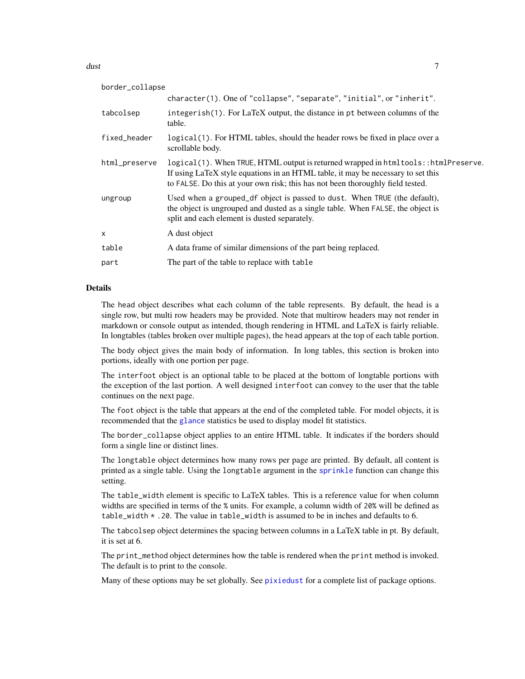#### $d$ ust  $7$

| border_collapse |                                                                                                                                                                                                                                                            |
|-----------------|------------------------------------------------------------------------------------------------------------------------------------------------------------------------------------------------------------------------------------------------------------|
|                 | character(1). One of "collapse", "separate", "initial", or "inherit".                                                                                                                                                                                      |
| tabcolsep       | integerish(1). For LaTeX output, the distance in pt between columns of the<br>table.                                                                                                                                                                       |
| fixed_header    | logical (1). For HTML tables, should the header rows be fixed in place over a<br>scrollable body.                                                                                                                                                          |
| html_preserve   | logical(1). When TRUE, HTML output is returned wrapped in htmltools: : htmlPreserve.<br>If using LaTeX style equations in an HTML table, it may be necessary to set this<br>to FALSE. Do this at your own risk; this has not been thoroughly field tested. |
| ungroup         | Used when a grouped df object is passed to dust. When TRUE (the default),<br>the object is ungrouped and dusted as a single table. When FALSE, the object is<br>split and each element is dusted separately.                                               |
| $\mathsf{x}$    | A dust object                                                                                                                                                                                                                                              |
| table           | A data frame of similar dimensions of the part being replaced.                                                                                                                                                                                             |
| part            | The part of the table to replace with table                                                                                                                                                                                                                |

# Details

The head object describes what each column of the table represents. By default, the head is a single row, but multi row headers may be provided. Note that multirow headers may not render in markdown or console output as intended, though rendering in HTML and LaTeX is fairly reliable. In longtables (tables broken over multiple pages), the head appears at the top of each table portion.

The body object gives the main body of information. In long tables, this section is broken into portions, ideally with one portion per page.

The interfoot object is an optional table to be placed at the bottom of longtable portions with the exception of the last portion. A well designed interfoot can convey to the user that the table continues on the next page.

The foot object is the table that appears at the end of the completed table. For model objects, it is recommended that the [glance](#page-0-0) statistics be used to display model fit statistics.

The border\_collapse object applies to an entire HTML table. It indicates if the borders should form a single line or distinct lines.

The longtable object determines how many rows per page are printed. By default, all content is printed as a single table. Using the longtable argument in the [sprinkle](#page-27-1) function can change this setting.

The table\_width element is specific to LaTeX tables. This is a reference value for when column widths are specified in terms of the % units. For example, a column width of 20% will be defined as table\_width \* .20. The value in table\_width is assumed to be in inches and defaults to 6.

The tabcolsep object determines the spacing between columns in a LaTeX table in pt. By default, it is set at 6.

The print\_method object determines how the table is rendered when the print method is invoked. The default is to print to the console.

Many of these options may be set globally. See [pixiedust](#page-17-1) for a complete list of package options.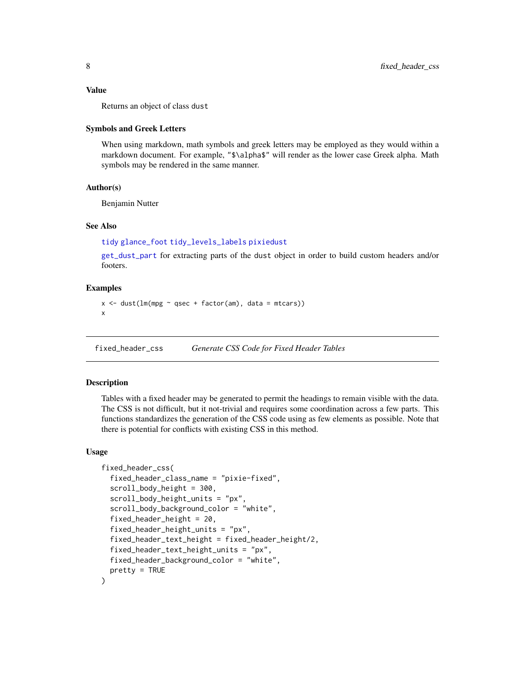#### <span id="page-7-0"></span>Value

Returns an object of class dust

#### Symbols and Greek Letters

When using markdown, math symbols and greek letters may be employed as they would within a markdown document. For example, "\$\alpha\$" will render as the lower case Greek alpha. Math symbols may be rendered in the same manner.

# Author(s)

Benjamin Nutter

#### See Also

```
tidy glance_foot tidy_levels_labels pixiedust
```
[get\\_dust\\_part](#page-11-2) for extracting parts of the dust object in order to build custom headers and/or footers.

# Examples

```
x \le - dust(lm(mpg \sim qsec + factor(am), data = mtcars))
x
```
<span id="page-7-1"></span>fixed\_header\_css *Generate CSS Code for Fixed Header Tables*

# Description

Tables with a fixed header may be generated to permit the headings to remain visible with the data. The CSS is not difficult, but it not-trivial and requires some coordination across a few parts. This functions standardizes the generation of the CSS code using as few elements as possible. Note that there is potential for conflicts with existing CSS in this method.

#### Usage

```
fixed_header_css(
  fixed_header_class_name = "pixie-fixed",
  scroll_body_height = 300,
  scroll_body_height_units = "px",
  scroll_body_background_color = "white",
  fixed_header_height = 20,
  fixed_header_height_units = "px",
  fixed_header_text_height = fixed_header_height/2,
  fixed_header_text_height_units = "px",
  fixed_header_background_color = "white",
  pretty = TRUE
)
```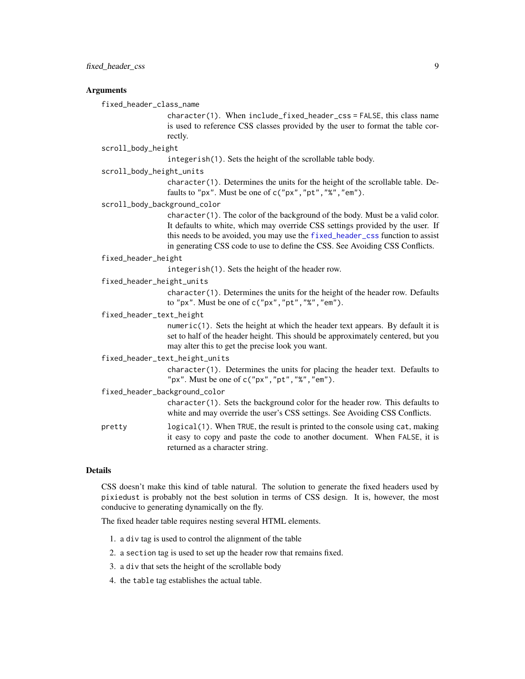# Arguments

fixed\_header\_class\_name

character(1). When include\_fixed\_header\_css = FALSE, this class name is used to reference CSS classes provided by the user to format the table correctly.

#### scroll\_body\_height

integerish(1). Sets the height of the scrollable table body.

#### scroll\_body\_height\_units

character(1). Determines the units for the height of the scrollable table. Defaults to "px". Must be one of c("px","pt","%","em").

scroll\_body\_background\_color

character(1). The color of the background of the body. Must be a valid color. It defaults to white, which may override CSS settings provided by the user. If this needs to be avoided, you may use the [fixed\\_header\\_css](#page-7-1) function to assist in generating CSS code to use to define the CSS. See Avoiding CSS Conflicts.

#### fixed\_header\_height

integerish(1). Sets the height of the header row.

# fixed\_header\_height\_units

character(1). Determines the units for the height of the header row. Defaults to "px". Must be one of  $c("px", "pt", "%", "em").$ 

#### fixed\_header\_text\_height

numeric(1). Sets the height at which the header text appears. By default it is set to half of the header height. This should be approximately centered, but you may alter this to get the precise look you want.

# fixed\_header\_text\_height\_units

character(1). Determines the units for placing the header text. Defaults to "px". Must be one of c("px","pt","%","em").

fixed\_header\_background\_color

character(1). Sets the background color for the header row. This defaults to white and may override the user's CSS settings. See Avoiding CSS Conflicts.

pretty logical(1). When TRUE, the result is printed to the console using cat, making it easy to copy and paste the code to another document. When FALSE, it is returned as a character string.

# Details

CSS doesn't make this kind of table natural. The solution to generate the fixed headers used by pixiedust is probably not the best solution in terms of CSS design. It is, however, the most conducive to generating dynamically on the fly.

The fixed header table requires nesting several HTML elements.

- 1. a div tag is used to control the alignment of the table
- 2. a section tag is used to set up the header row that remains fixed.
- 3. a div that sets the height of the scrollable body
- 4. the table tag establishes the actual table.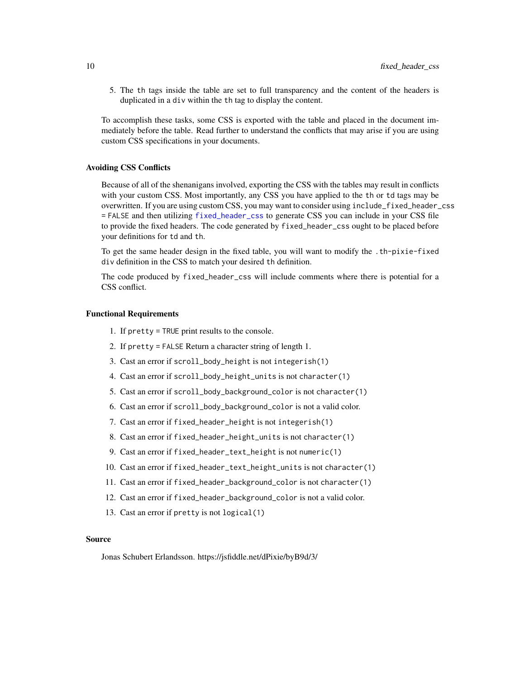5. The th tags inside the table are set to full transparency and the content of the headers is duplicated in a div within the th tag to display the content.

To accomplish these tasks, some CSS is exported with the table and placed in the document immediately before the table. Read further to understand the conflicts that may arise if you are using custom CSS specifications in your documents.

#### Avoiding CSS Conflicts

Because of all of the shenanigans involved, exporting the CSS with the tables may result in conflicts with your custom CSS. Most importantly, any CSS you have applied to the th or td tags may be overwritten. If you are using custom CSS, you may want to consider using include\_fixed\_header\_css = FALSE and then utilizing [fixed\\_header\\_css](#page-7-1) to generate CSS you can include in your CSS file to provide the fixed headers. The code generated by fixed\_header\_css ought to be placed before your definitions for td and th.

To get the same header design in the fixed table, you will want to modify the .th-pixie-fixed div definition in the CSS to match your desired th definition.

The code produced by fixed\_header\_css will include comments where there is potential for a CSS conflict.

#### Functional Requirements

- 1. If pretty = TRUE print results to the console.
- 2. If pretty = FALSE Return a character string of length 1.
- 3. Cast an error if scroll\_body\_height is not integerish(1)
- 4. Cast an error if scroll\_body\_height\_units is not character(1)
- 5. Cast an error if scroll\_body\_background\_color is not character(1)
- 6. Cast an error if scroll\_body\_background\_color is not a valid color.
- 7. Cast an error if fixed\_header\_height is not integerish(1)
- 8. Cast an error if fixed\_header\_height\_units is not character(1)
- 9. Cast an error if fixed\_header\_text\_height is not numeric(1)
- 10. Cast an error if fixed\_header\_text\_height\_units is not character(1)
- 11. Cast an error if fixed\_header\_background\_color is not character(1)
- 12. Cast an error if fixed\_header\_background\_color is not a valid color.
- 13. Cast an error if pretty is not logical(1)

#### Source

Jonas Schubert Erlandsson. https://jsfiddle.net/dPixie/byB9d/3/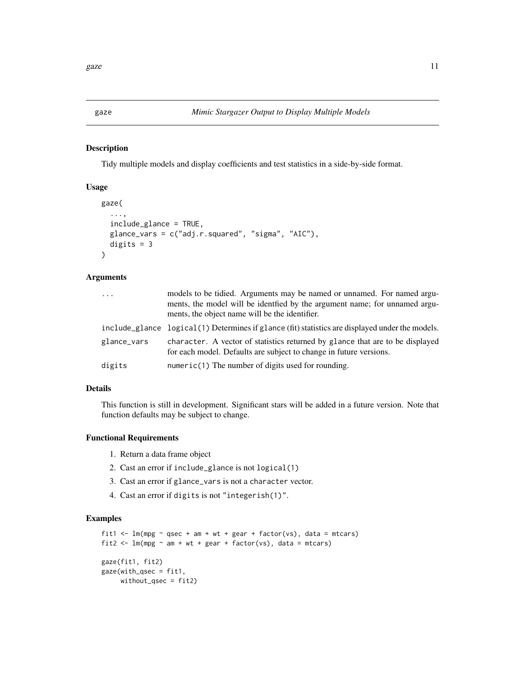<span id="page-10-0"></span>gaze *Mimic Stargazer Output to Display Multiple Models*

### Description

Tidy multiple models and display coefficients and test statistics in a side-by-side format.

# Usage

```
gaze(
  ...,
  include_glance = TRUE,
 glance_vars = c("adj.r.squared", "sigma", "AIC"),
  digits = 3)
```
# Arguments

| $\cdots$    | models to be tidied. Arguments may be named or unnamed. For named argu-<br>ments, the model will be identfied by the argument name; for unnamed argu-<br>ments, the object name will be the identifier. |
|-------------|---------------------------------------------------------------------------------------------------------------------------------------------------------------------------------------------------------|
|             | include_glance logical(1) Determines if glance (fit) statistics are displayed under the models.                                                                                                         |
| glance_vars | character. A vector of statistics returned by glance that are to be displayed<br>for each model. Defaults are subject to change in future versions.                                                     |
| digits      | $numeric(1)$ The number of digits used for rounding.                                                                                                                                                    |

# Details

This function is still in development. Significant stars will be added in a future version. Note that function defaults may be subject to change.

# Functional Requirements

- 1. Return a data frame object
- 2. Cast an error if include\_glance is not logical(1)
- 3. Cast an error if glance\_vars is not a character vector.
- 4. Cast an error if digits is not "integerish(1)".

# Examples

```
fit1 <- lm(mpg \sim qsec + am + wt + gear + factor(vs), data = mtcars)fit2 \leq lm(mpg \sim am + wt + gear + factor(vs), data = mtcars)
gaze(fit1, fit2)
gaze(with_qsec = fit1,
     without_qsec = fit2)
```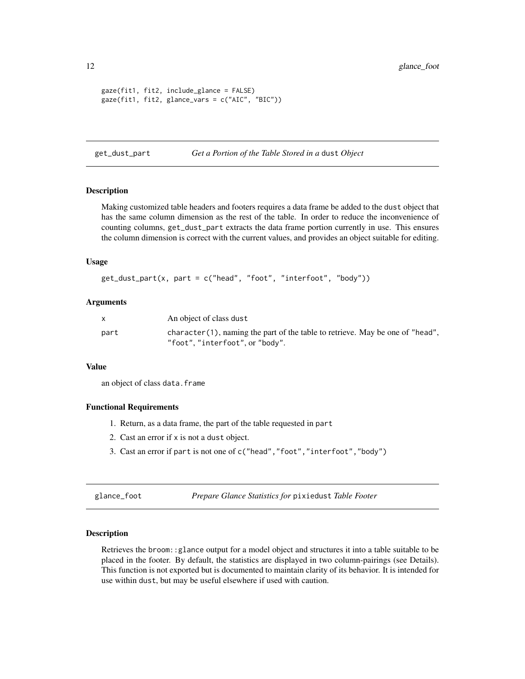```
gaze(fit1, fit2, include_glance = FALSE)
gaze(fit1, fit2, glance_vars = c("AIC", "BIC"))
```
<span id="page-11-2"></span>get\_dust\_part *Get a Portion of the Table Stored in a* dust *Object*

## Description

Making customized table headers and footers requires a data frame be added to the dust object that has the same column dimension as the rest of the table. In order to reduce the inconvenience of counting columns, get\_dust\_part extracts the data frame portion currently in use. This ensures the column dimension is correct with the current values, and provides an object suitable for editing.

# Usage

```
get_dust_part(x, part = c("head", "foot", "interfoot", "body"))
```
# Arguments

|      | An object of class dust                                                           |
|------|-----------------------------------------------------------------------------------|
| part | character $(1)$ , naming the part of the table to retrieve. May be one of "head", |
|      | "foot", "interfoot", or "body".                                                   |

# Value

an object of class data.frame

#### Functional Requirements

- 1. Return, as a data frame, the part of the table requested in part
- 2. Cast an error if x is not a dust object.
- 3. Cast an error if part is not one of c("head","foot","interfoot","body")

<span id="page-11-1"></span>glance\_foot *Prepare Glance Statistics for* pixiedust *Table Footer*

# Description

Retrieves the broom::glance output for a model object and structures it into a table suitable to be placed in the footer. By default, the statistics are displayed in two column-pairings (see Details). This function is not exported but is documented to maintain clarity of its behavior. It is intended for use within dust, but may be useful elsewhere if used with caution.

<span id="page-11-0"></span>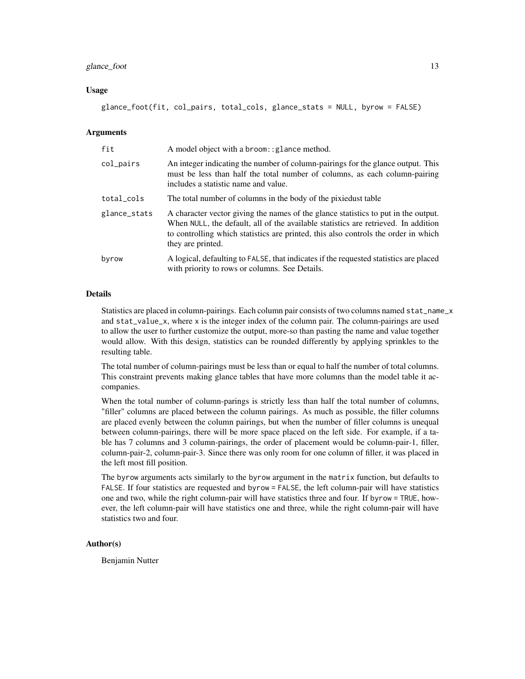#### glance\_foot 13

## Usage

glance\_foot(fit, col\_pairs, total\_cols, glance\_stats = NULL, byrow = FALSE)

# Arguments

| fit          | A model object with a broom: : glance method.                                                                                                                                                                                                                                       |  |
|--------------|-------------------------------------------------------------------------------------------------------------------------------------------------------------------------------------------------------------------------------------------------------------------------------------|--|
| col_pairs    | An integer indicating the number of column-pairings for the glance output. This<br>must be less than half the total number of columns, as each column-pairing<br>includes a statistic name and value.                                                                               |  |
| total_cols   | The total number of columns in the body of the pixiedust table                                                                                                                                                                                                                      |  |
| glance_stats | A character vector giving the names of the glance statistics to put in the output.<br>When NULL, the default, all of the available statistics are retrieved. In addition<br>to controlling which statistics are printed, this also controls the order in which<br>they are printed. |  |
| byrow        | A logical, defaulting to FALSE, that indicates if the requested statistics are placed<br>with priority to rows or columns. See Details.                                                                                                                                             |  |

#### Details

Statistics are placed in column-pairings. Each column pair consists of two columns named stat\_name\_x and stat\_value\_x, where x is the integer index of the column pair. The column-pairings are used to allow the user to further customize the output, more-so than pasting the name and value together would allow. With this design, statistics can be rounded differently by applying sprinkles to the resulting table.

The total number of column-pairings must be less than or equal to half the number of total columns. This constraint prevents making glance tables that have more columns than the model table it accompanies.

When the total number of column-parings is strictly less than half the total number of columns, "filler" columns are placed between the column pairings. As much as possible, the filler columns are placed evenly between the column pairings, but when the number of filler columns is unequal between column-pairings, there will be more space placed on the left side. For example, if a table has 7 columns and 3 column-pairings, the order of placement would be column-pair-1, filler, column-pair-2, column-pair-3. Since there was only room for one column of filler, it was placed in the left most fill position.

The byrow arguments acts similarly to the byrow argument in the matrix function, but defaults to FALSE. If four statistics are requested and byrow = FALSE, the left column-pair will have statistics one and two, while the right column-pair will have statistics three and four. If byrow = TRUE, however, the left column-pair will have statistics one and three, while the right column-pair will have statistics two and four.

# Author(s)

Benjamin Nutter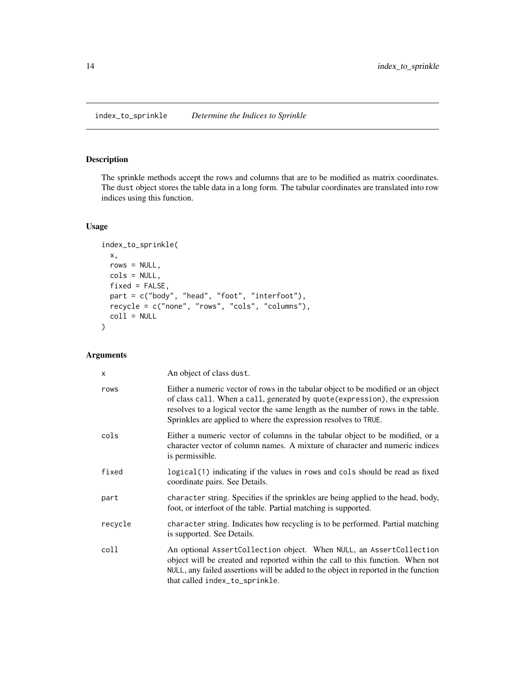# <span id="page-13-0"></span>Description

The sprinkle methods accept the rows and columns that are to be modified as matrix coordinates. The dust object stores the table data in a long form. The tabular coordinates are translated into row indices using this function.

# Usage

```
index_to_sprinkle(
 x,
 rows = NULL,cols = NULL,
 fixed = FALSE,part = c("body", "head", "foot", "interfoot"),
 recycle = c("none", "rows", "cols", "columns"),
 coll = NULL)
```
# Arguments

| $\mathsf{x}$ | An object of class dust.                                                                                                                                                                                                                                                                                                |
|--------------|-------------------------------------------------------------------------------------------------------------------------------------------------------------------------------------------------------------------------------------------------------------------------------------------------------------------------|
| rows         | Either a numeric vector of rows in the tabular object to be modified or an object<br>of class call. When a call, generated by quote (expression), the expression<br>resolves to a logical vector the same length as the number of rows in the table.<br>Sprinkles are applied to where the expression resolves to TRUE. |
| cols         | Either a numeric vector of columns in the tabular object to be modified, or a<br>character vector of column names. A mixture of character and numeric indices<br>is permissible.                                                                                                                                        |
| fixed        | logical(1) indicating if the values in rows and cols should be read as fixed<br>coordinate pairs. See Details.                                                                                                                                                                                                          |
| part         | character string. Specifies if the sprinkles are being applied to the head, body,<br>foot, or interfoot of the table. Partial matching is supported.                                                                                                                                                                    |
| recycle      | character string. Indicates how recycling is to be performed. Partial matching<br>is supported. See Details.                                                                                                                                                                                                            |
| coll         | An optional AssertCollection object. When NULL, an AssertCollection<br>object will be created and reported within the call to this function. When not<br>NULL, any failed assertions will be added to the object in reported in the function<br>that called index_to_sprinkle.                                          |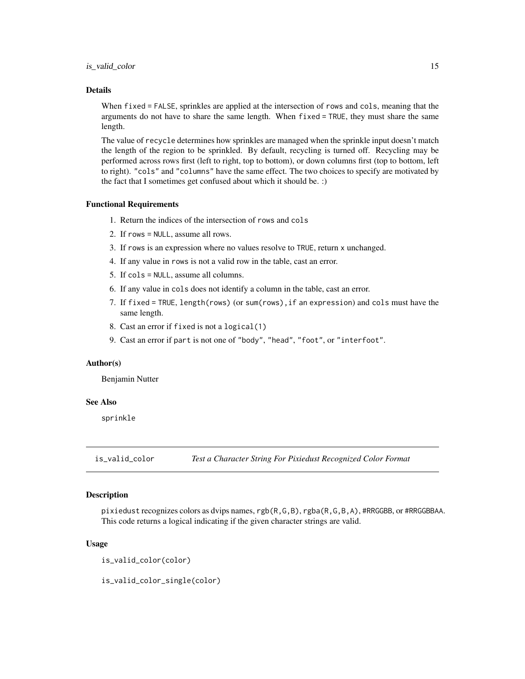#### <span id="page-14-0"></span>Details

When fixed = FALSE, sprinkles are applied at the intersection of rows and cols, meaning that the arguments do not have to share the same length. When fixed = TRUE, they must share the same length.

The value of recycle determines how sprinkles are managed when the sprinkle input doesn't match the length of the region to be sprinkled. By default, recycling is turned off. Recycling may be performed across rows first (left to right, top to bottom), or down columns first (top to bottom, left to right). "cols" and "columns" have the same effect. The two choices to specify are motivated by the fact that I sometimes get confused about which it should be. :)

#### Functional Requirements

- 1. Return the indices of the intersection of rows and cols
- 2. If rows = NULL, assume all rows.
- 3. If rows is an expression where no values resolve to TRUE, return x unchanged.
- 4. If any value in rows is not a valid row in the table, cast an error.
- 5. If cols = NULL, assume all columns.
- 6. If any value in cols does not identify a column in the table, cast an error.
- 7. If fixed = TRUE, length(rows) (or sum(rows),if an expression) and cols must have the same length.
- 8. Cast an error if fixed is not a logical(1)
- 9. Cast an error if part is not one of "body", "head", "foot", or "interfoot".

# Author(s)

Benjamin Nutter

# See Also

sprinkle

is\_valid\_color *Test a Character String For Pixiedust Recognized Color Format*

# **Description**

pixiedust recognizes colors as dvips names, rgb(R,G,B), rgba(R,G,B,A), #RRGGBB, or #RRGGBBAA. This code returns a logical indicating if the given character strings are valid.

#### Usage

is\_valid\_color(color)

is\_valid\_color\_single(color)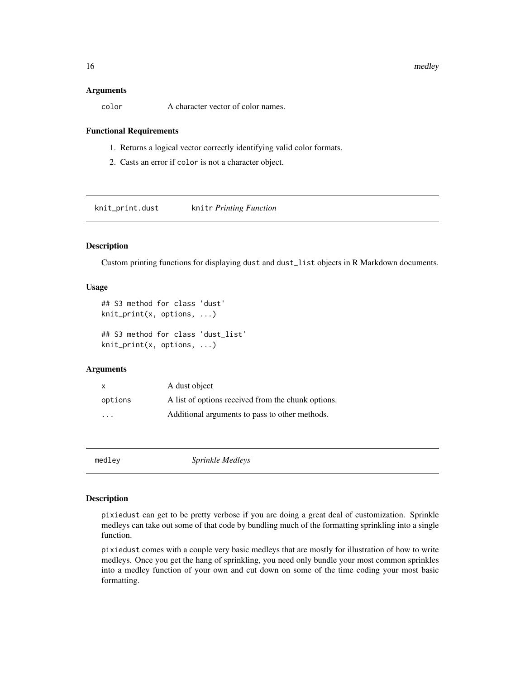#### <span id="page-15-0"></span>16 medley medley

#### Arguments

color A character vector of color names.

# Functional Requirements

- 1. Returns a logical vector correctly identifying valid color formats.
- 2. Casts an error if color is not a character object.

knit\_print.dust knitr *Printing Function*

# Description

Custom printing functions for displaying dust and dust\_list objects in R Markdown documents.

# Usage

```
## S3 method for class 'dust'
knit_print(x, options, ...)
## S3 method for class 'dust_list'
knit_print(x, options, ...)
```
# **Arguments**

| X                       | A dust object                                      |
|-------------------------|----------------------------------------------------|
| options                 | A list of options received from the chunk options. |
| $\cdot$ $\cdot$ $\cdot$ | Additional arguments to pass to other methods.     |

medley *Sprinkle Medleys*

## Description

pixiedust can get to be pretty verbose if you are doing a great deal of customization. Sprinkle medleys can take out some of that code by bundling much of the formatting sprinkling into a single function.

pixiedust comes with a couple very basic medleys that are mostly for illustration of how to write medleys. Once you get the hang of sprinkling, you need only bundle your most common sprinkles into a medley function of your own and cut down on some of the time coding your most basic formatting.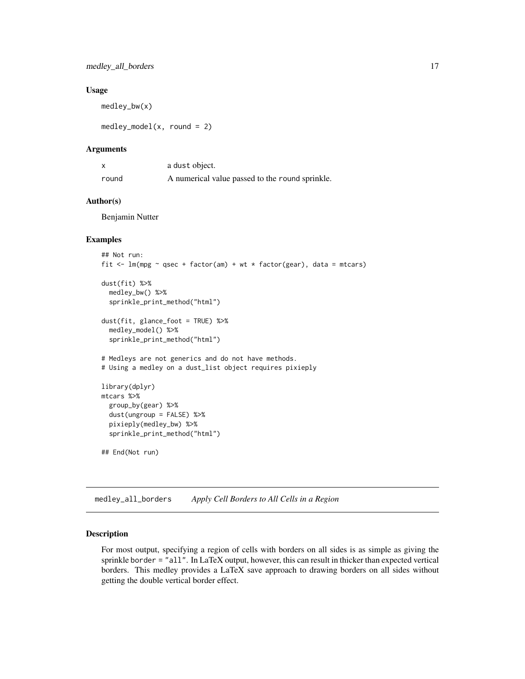# <span id="page-16-0"></span>Usage

medley\_bw(x)

 $medley_model(x, round = 2)$ 

# Arguments

| x     | a dust object.                                  |
|-------|-------------------------------------------------|
| round | A numerical value passed to the round sprinkle. |

#### Author(s)

Benjamin Nutter

# Examples

```
## Not run:
fit \leq lm(mpg \sim qsec + factor(am) + wt * factor(gear), data = mtcars)
dust(fit) %>%
  medley_bw() %>%
  sprinkle_print_method("html")
dust(fit, glance_foot = TRUE) %>%
  medley_model() %>%
  sprinkle_print_method("html")
# Medleys are not generics and do not have methods.
# Using a medley on a dust_list object requires pixieply
library(dplyr)
mtcars %>%
  group_by(gear) %>%
  dust(ungroup = FALSE) %>%
  pixieply(medley_bw) %>%
  sprinkle_print_method("html")
## End(Not run)
```
medley\_all\_borders *Apply Cell Borders to All Cells in a Region*

#### Description

For most output, specifying a region of cells with borders on all sides is as simple as giving the sprinkle border = "all". In LaTeX output, however, this can result in thicker than expected vertical borders. This medley provides a LaTeX save approach to drawing borders on all sides without getting the double vertical border effect.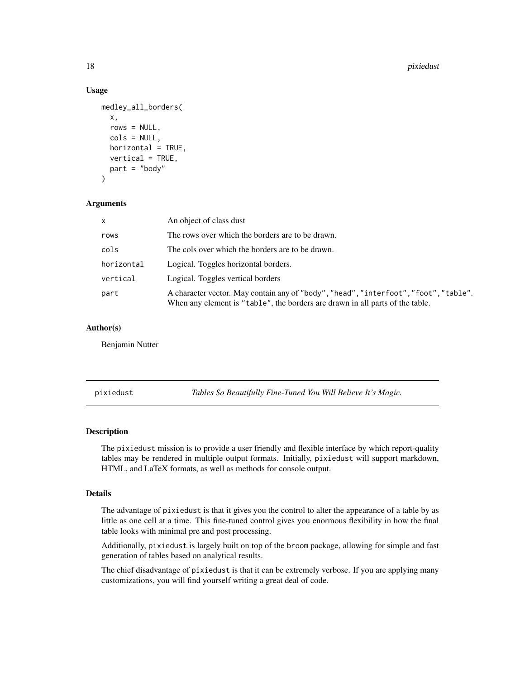# Usage

```
medley_all_borders(
  x,
  rows = NULL,cols = NULL,
  horizontal = TRUE,
  vertical = TRUE,part = "body"\lambda
```
# Arguments

| $\mathsf{x}$ | An object of class dust                                                                                                                                               |
|--------------|-----------------------------------------------------------------------------------------------------------------------------------------------------------------------|
| rows         | The rows over which the borders are to be drawn.                                                                                                                      |
| cols         | The cols over which the borders are to be drawn.                                                                                                                      |
| horizontal   | Logical. Toggles horizontal borders.                                                                                                                                  |
| vertical     | Logical. Toggles vertical borders                                                                                                                                     |
| part         | A character vector. May contain any of "body", "head", "interfoot", "foot", "table".<br>When any element is "table", the borders are drawn in all parts of the table. |

# Author(s)

Benjamin Nutter

<span id="page-17-1"></span>pixiedust *Tables So Beautifully Fine-Tuned You Will Believe It's Magic.*

# Description

The pixiedust mission is to provide a user friendly and flexible interface by which report-quality tables may be rendered in multiple output formats. Initially, pixiedust will support markdown, HTML, and LaTeX formats, as well as methods for console output.

# Details

The advantage of pixiedust is that it gives you the control to alter the appearance of a table by as little as one cell at a time. This fine-tuned control gives you enormous flexibility in how the final table looks with minimal pre and post processing.

Additionally, pixiedust is largely built on top of the broom package, allowing for simple and fast generation of tables based on analytical results.

The chief disadvantage of pixiedust is that it can be extremely verbose. If you are applying many customizations, you will find yourself writing a great deal of code.

<span id="page-17-0"></span>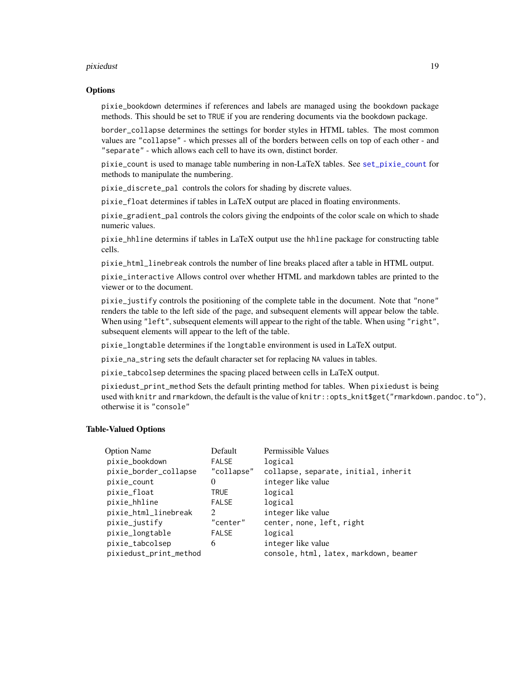#### pixiedust 19

# **Options**

pixie\_bookdown determines if references and labels are managed using the bookdown package methods. This should be set to TRUE if you are rendering documents via the bookdown package.

border\_collapse determines the settings for border styles in HTML tables. The most common values are "collapse" - which presses all of the borders between cells on top of each other - and "separate" - which allows each cell to have its own, distinct border.

pixie\_count is used to manage table numbering in non-LaTeX tables. See [set\\_pixie\\_count](#page-21-1) for methods to manipulate the numbering.

pixie\_discrete\_pal controls the colors for shading by discrete values.

pixie\_float determines if tables in LaTeX output are placed in floating environments.

pixie\_gradient\_pal controls the colors giving the endpoints of the color scale on which to shade numeric values.

pixie\_hhline determins if tables in LaTeX output use the hhline package for constructing table cells.

pixie\_html\_linebreak controls the number of line breaks placed after a table in HTML output.

pixie\_interactive Allows control over whether HTML and markdown tables are printed to the viewer or to the document.

pixie\_justify controls the positioning of the complete table in the document. Note that "none" renders the table to the left side of the page, and subsequent elements will appear below the table. When using "left", subsequent elements will appear to the right of the table. When using "right", subsequent elements will appear to the left of the table.

pixie\_longtable determines if the longtable environment is used in LaTeX output.

pixie\_na\_string sets the default character set for replacing NA values in tables.

pixie\_tabcolsep determines the spacing placed between cells in LaTeX output.

pixiedust\_print\_method Sets the default printing method for tables. When pixiedust is being used with knitr and rmarkdown, the default is the value of knitr::opts\_knit\$get("rmarkdown.pandoc.to"), otherwise it is "console"

# Table-Valued Options

| <b>Option Name</b>     | Default      | Permissible Values                     |
|------------------------|--------------|----------------------------------------|
| pixie_bookdown         | <b>FALSE</b> | logical                                |
| pixie_border_collapse  | "collapse"   | collapse, separate, initial, inherit   |
| pixie_count            | $\theta$     | integer like value                     |
| pixie_float            | <b>TRUE</b>  | logical                                |
| pixie_hhline           | <b>FALSE</b> | logical                                |
| pixie_html_linebreak   | 2            | integer like value                     |
| pixie_justify          | "center"     | center, none, left, right              |
| pixie_longtable        | <b>FALSE</b> | logical                                |
| pixie_tabcolsep        | 6            | integer like value                     |
| pixiedust_print_method |              | console, html, latex, markdown, beamer |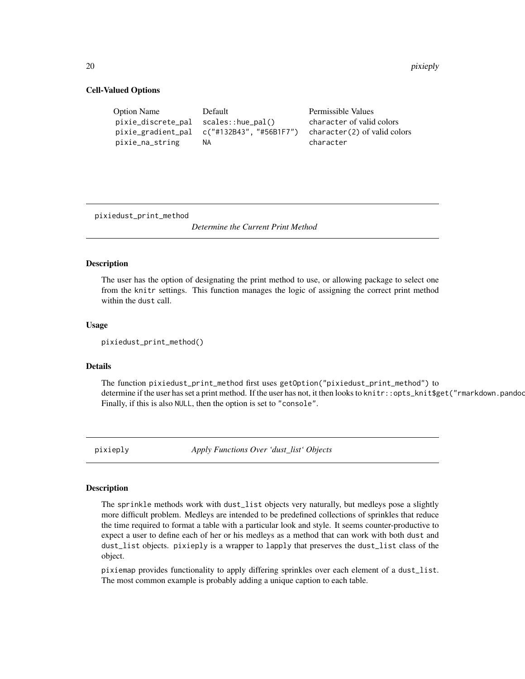#### Cell-Valued Options

| <b>Option Name</b>                   | Default                                           | Permissible Values                          |
|--------------------------------------|---------------------------------------------------|---------------------------------------------|
| pixie_discrete_pal scales::hue_pal() |                                                   | character of valid colors                   |
| pixie_na_string                      | pixie_gradient_pal c("#132B43", "#56B1F7")<br>NA. | $character(2)$ of valid colors<br>character |
|                                      |                                                   |                                             |

pixiedust\_print\_method

*Determine the Current Print Method*

# Description

The user has the option of designating the print method to use, or allowing package to select one from the knitr settings. This function manages the logic of assigning the correct print method within the dust call.

# Usage

pixiedust\_print\_method()

#### Details

The function pixiedust\_print\_method first uses getOption("pixiedust\_print\_method") to determine if the user has set a print method. If the user has not, it then looks to knitr::opts\_knit\$get("rmarkdown.pandoc Finally, if this is also NULL, then the option is set to "console".

pixieply *Apply Functions Over 'dust\_list' Objects*

#### Description

The sprinkle methods work with dust\_list objects very naturally, but medleys pose a slightly more difficult problem. Medleys are intended to be predefined collections of sprinkles that reduce the time required to format a table with a particular look and style. It seems counter-productive to expect a user to define each of her or his medleys as a method that can work with both dust and dust\_list objects. pixieply is a wrapper to lapply that preserves the dust\_list class of the object.

pixiemap provides functionality to apply differing sprinkles over each element of a dust\_list. The most common example is probably adding a unique caption to each table.

<span id="page-19-0"></span>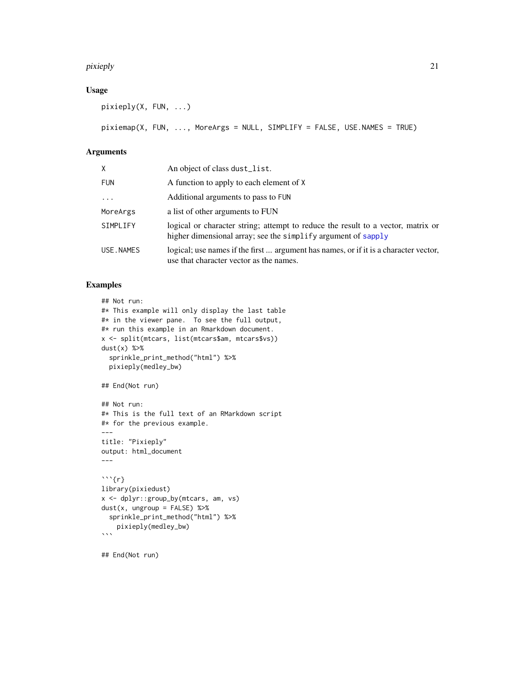#### pixieply the contract of the contract of the contract of the contract of the contract of the contract of the contract of the contract of the contract of the contract of the contract of the contract of the contract of the c

# Usage

```
pixieply(X, FUN, ...)
```
pixiemap(X, FUN, ..., MoreArgs = NULL, SIMPLIFY = FALSE, USE.NAMES = TRUE)

# Arguments

| X.         | An object of class dust_list.                                                                                                                     |
|------------|---------------------------------------------------------------------------------------------------------------------------------------------------|
| <b>FUN</b> | A function to apply to each element of X                                                                                                          |
| $\cdots$   | Additional arguments to pass to FUN                                                                                                               |
| MoreArgs   | a list of other arguments to FUN                                                                                                                  |
| SIMPLIFY   | logical or character string; attempt to reduce the result to a vector, matrix or<br>higher dimensional array; see the simplify argument of sapply |
| USE.NAMES  | logical; use names if the first  argument has names, or if it is a character vector,<br>use that character vector as the names.                   |

# Examples

```
## Not run:
#* This example will only display the last table
#* in the viewer pane. To see the full output,
#* run this example in an Rmarkdown document.
x <- split(mtcars, list(mtcars$am, mtcars$vs))
dust(x) %>%
  sprinkle_print_method("html") %>%
  pixieply(medley_bw)
## End(Not run)
## Not run:
#* This is the full text of an RMarkdown script
#* for the previous example.
---
title: "Pixieply"
output: html_document
---
\cdots{r}
library(pixiedust)
x <- dplyr::group_by(mtcars, am, vs)
dust(x, ungroup = FALSE) %>%
  sprinkle_print_method("html") %>%
    pixieply(medley_bw)
\ddot{\mathbf{v}}
```
## End(Not run)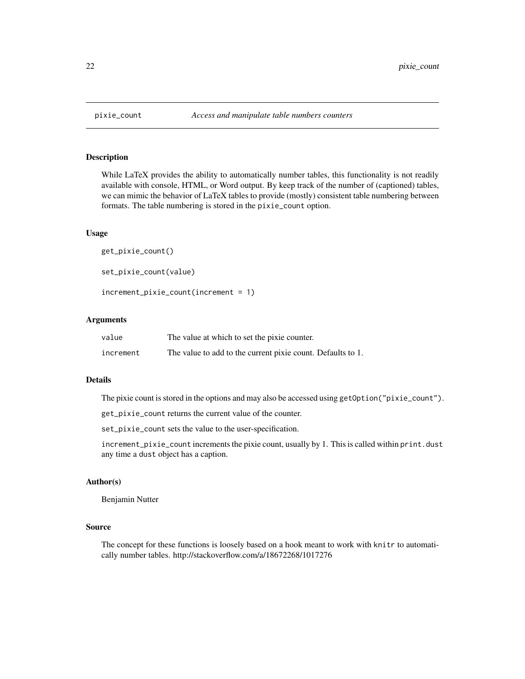# <span id="page-21-1"></span>Description

While LaTeX provides the ability to automatically number tables, this functionality is not readily available with console, HTML, or Word output. By keep track of the number of (captioned) tables, we can mimic the behavior of LaTeX tables to provide (mostly) consistent table numbering between formats. The table numbering is stored in the pixie\_count option.

#### Usage

```
get_pixie_count()
set_pixie_count(value)
increment_pixie_count(increment = 1)
```
# Arguments

| value     | The value at which to set the pixie counter.                |
|-----------|-------------------------------------------------------------|
| increment | The value to add to the current pixie count. Defaults to 1. |

#### Details

The pixie count is stored in the options and may also be accessed using getOption("pixie\_count").

get\_pixie\_count returns the current value of the counter.

set\_pixie\_count sets the value to the user-specification.

increment\_pixie\_count increments the pixie count, usually by 1. This is called within print.dust any time a dust object has a caption.

#### Author(s)

Benjamin Nutter

# Source

The concept for these functions is loosely based on a hook meant to work with knitr to automatically number tables. http://stackoverflow.com/a/18672268/1017276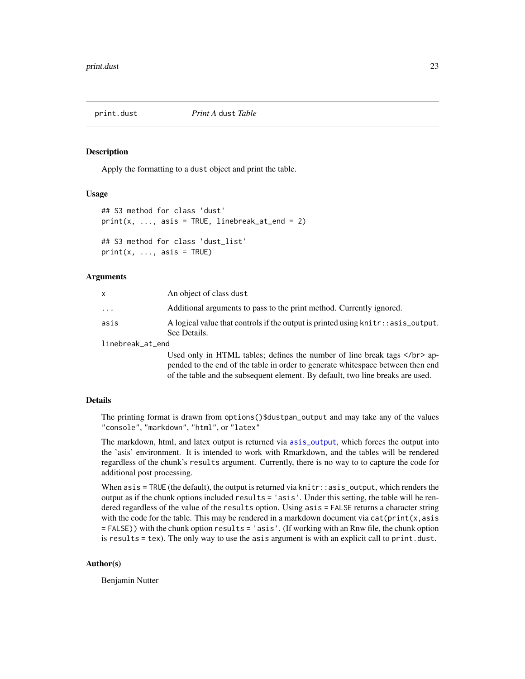<span id="page-22-0"></span>

#### Description

Apply the formatting to a dust object and print the table.

#### Usage

```
## S3 method for class 'dust'
print(x, ..., axis = TRUE, linebreak_at_end = 2)## S3 method for class 'dust_list'
```
 $print(x, ..., axis = TRUE)$ 

# Arguments

|                  | An object of class dust                                                                             |
|------------------|-----------------------------------------------------------------------------------------------------|
| $\ddotsc$        | Additional arguments to pass to the print method. Currently ignored.                                |
| asis             | A logical value that controls if the output is printed using knitr:: as is _output.<br>See Details. |
| linebreak_at_end |                                                                                                     |

Used only in HTML tables; defines the number of line break tags  $\langle$ /br> appended to the end of the table in order to generate whitespace between then end of the table and the subsequent element. By default, two line breaks are used.

# Details

The printing format is drawn from options()\$dustpan\_output and may take any of the values "console", "markdown", "html", or "latex"

The markdown, html, and latex output is returned via [asis\\_output](#page-0-0), which forces the output into the 'asis' environment. It is intended to work with Rmarkdown, and the tables will be rendered regardless of the chunk's results argument. Currently, there is no way to to capture the code for additional post processing.

When  $asis = TRUE$  (the default), the output is returned via knitr::asis\_output, which renders the output as if the chunk options included results = 'asis'. Under this setting, the table will be rendered regardless of the value of the results option. Using asis = FALSE returns a character string with the code for the table. This may be rendered in a markdown document via  $cat(print(x, axis))$ = FALSE)) with the chunk option results = 'asis'. (If working with an Rnw file, the chunk option is results = tex). The only way to use the asis argument is with an explicit call to print.dust.

# Author(s)

Benjamin Nutter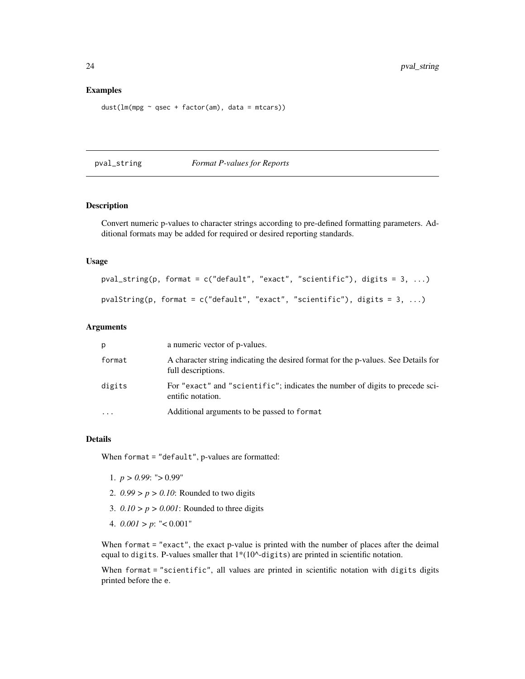## <span id="page-23-0"></span>Examples

```
dust(lm(mpg ~ qsec + factor(am), data = mtcars))
```
pval\_string *Format P-values for Reports*

# Description

Convert numeric p-values to character strings according to pre-defined formatting parameters. Additional formats may be added for required or desired reporting standards.

# Usage

```
pval_string(p, format = c("default", "exact", "scientific"), digits = 3, ...)
pvalString(p, format = c("default", "exact", "scientific"), digits = 3, ...)
```
# Arguments

| p        | a numeric vector of p-values.                                                                            |
|----------|----------------------------------------------------------------------------------------------------------|
| format   | A character string indicating the desired format for the p-values. See Details for<br>full descriptions. |
| digits   | For "exact" and "scientific"; indicates the number of digits to precede sci-<br>entific notation.        |
| $\ddots$ | Additional arguments to be passed to format                                                              |

# Details

When format = "default", p-values are formatted:

- 1.  $p > 0.99$ : " $> 0.99$ "
- 2. *0.99 > p > 0.10*: Rounded to two digits
- 3.  $0.10 > p > 0.001$ : Rounded to three digits
- 4. *0.001 > p*: "< 0.001"

When format = "exact", the exact p-value is printed with the number of places after the deimal equal to digits. P-values smaller that  $1*(10^\wedge\text{-digits})$  are printed in scientific notation.

When format = "scientific", all values are printed in scientific notation with digits digits printed before the e.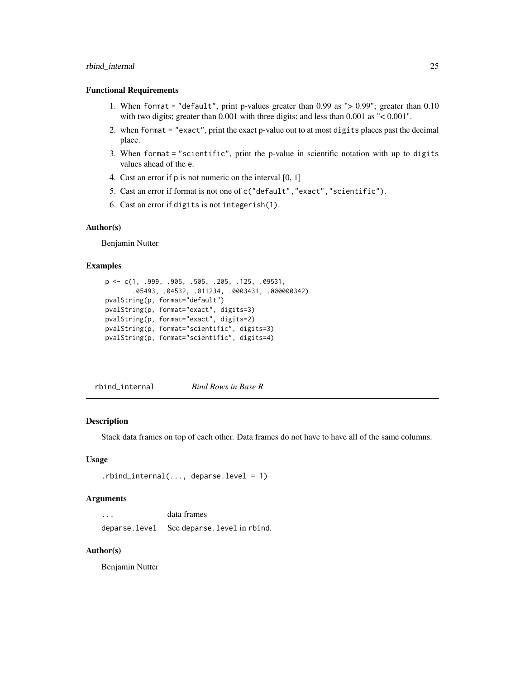# <span id="page-24-0"></span>rbind\_internal 25

## Functional Requirements

- 1. When format = "default", print p-values greater than 0.99 as "> 0.99"; greater than 0.10 with two digits; greater than 0.001 with three digits; and less than 0.001 as "< 0.001".
- 2. when format = "exact", print the exact p-value out to at most digits places past the decimal place.
- 3. When format = "scientific", print the p-value in scientific notation with up to digits values ahead of the e.
- 4. Cast an error if p is not numeric on the interval [0, 1]
- 5. Cast an error if format is not one of c("default","exact","scientific").
- 6. Cast an error if digits is not integerish(1).

# Author(s)

Benjamin Nutter

#### Examples

```
p <- c(1, .999, .905, .505, .205, .125, .09531,
       .05493, .04532, .011234, .0003431, .000000342)
pvalString(p, format="default")
pvalString(p, format="exact", digits=3)
pvalString(p, format="exact", digits=2)
pvalString(p, format="scientific", digits=3)
pvalString(p, format="scientific", digits=4)
```
rbind\_internal *Bind Rows in Base R*

#### **Description**

Stack data frames on top of each other. Data frames do not have to have all of the same columns.

# Usage

```
.rbind_internal(..., deparse.level = 1)
```
#### Arguments

| $\cdot$ $\cdot$ $\cdot$ | data frames                               |
|-------------------------|-------------------------------------------|
|                         | deparse.level See deparse.level in rbind. |

# Author(s)

Benjamin Nutter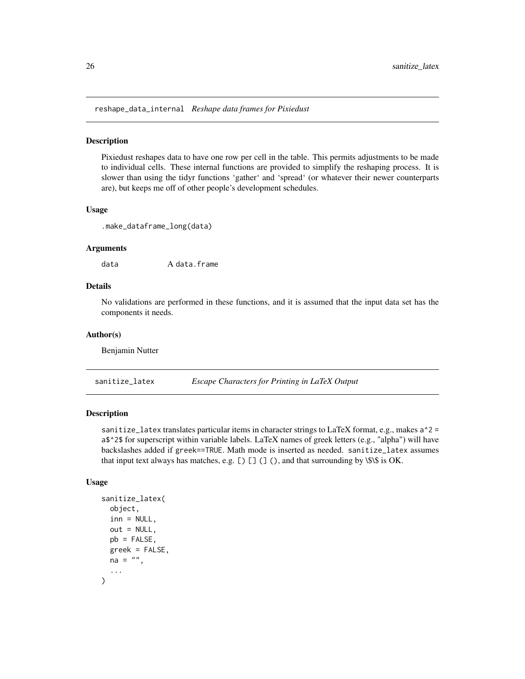<span id="page-25-0"></span>reshape\_data\_internal *Reshape data frames for Pixiedust*

# Description

Pixiedust reshapes data to have one row per cell in the table. This permits adjustments to be made to individual cells. These internal functions are provided to simplify the reshaping process. It is slower than using the tidyr functions 'gather' and 'spread' (or whatever their newer counterparts are), but keeps me off of other people's development schedules.

#### Usage

```
.make_dataframe_long(data)
```
#### Arguments

data A data.frame

# Details

No validations are performed in these functions, and it is assumed that the input data set has the components it needs.

# Author(s)

Benjamin Nutter

sanitize\_latex *Escape Characters for Printing in LaTeX Output*

# Description

sanitize\_latex translates particular items in character strings to LaTeX format, e.g., makes  $a^2$  =  $a$ \$  $\textdegree$  2\$ for superscript within variable labels. LaTeX names of greek letters (e.g., "alpha") will have backslashes added if greek==TRUE. Math mode is inserted as needed. sanitize\_latex assumes that input text always has matches, e.g.  $[$   $]$   $[$   $]$   $($   $]$   $($   $)$ , and that surrounding by \\$\\$ is OK.

#### Usage

```
sanitize_latex(
 object,
  inn = NULL,out = NULL,pb = FALSE,greek = FALSE,
 na = "",...
)
```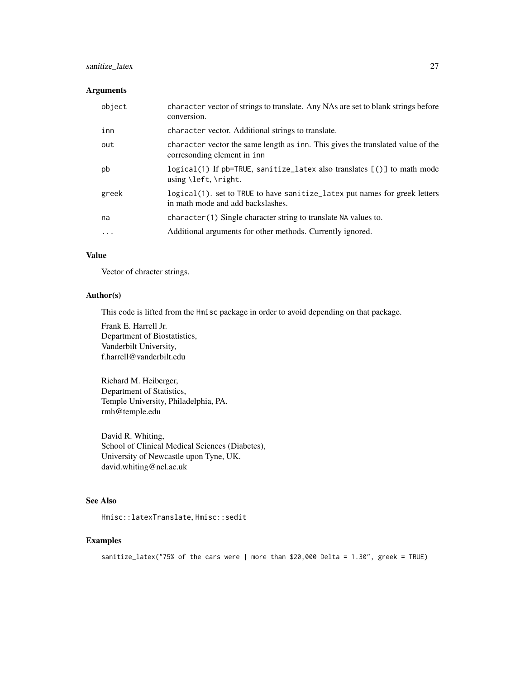# sanitize\_latex 27

# Arguments

| object   | character vector of strings to translate. Any NAs are set to blank strings before<br>conversion.                   |
|----------|--------------------------------------------------------------------------------------------------------------------|
| inn      | character vector. Additional strings to translate.                                                                 |
| out      | character vector the same length as inn. This gives the translated value of the<br>corresonding element in inn     |
| pb       | logical(1) If pb=TRUE, sanitize_latex also translates [()] to math mode<br>using $\left\{ \left( \right) \right\}$ |
| greek    | logical(1). set to TRUE to have sanitize_latex put names for greek letters<br>in math mode and add backslashes.    |
| na       | character (1) Single character string to translate NA values to.                                                   |
| $\cdots$ | Additional arguments for other methods. Currently ignored.                                                         |

# Value

Vector of chracter strings.

# Author(s)

This code is lifted from the Hmisc package in order to avoid depending on that package.

Frank E. Harrell Jr. Department of Biostatistics, Vanderbilt University, f.harrell@vanderbilt.edu

Richard M. Heiberger, Department of Statistics, Temple University, Philadelphia, PA. rmh@temple.edu

David R. Whiting, School of Clinical Medical Sciences (Diabetes), University of Newcastle upon Tyne, UK. david.whiting@ncl.ac.uk

# See Also

Hmisc::latexTranslate, Hmisc::sedit

# Examples

sanitize\_latex("75% of the cars were | more than \$20,000 Delta = 1.30", greek = TRUE)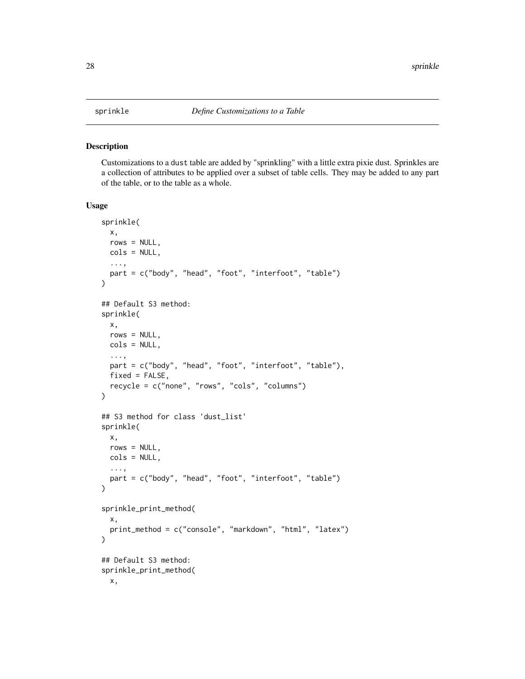<span id="page-27-1"></span><span id="page-27-0"></span>

#### Description

Customizations to a dust table are added by "sprinkling" with a little extra pixie dust. Sprinkles are a collection of attributes to be applied over a subset of table cells. They may be added to any part of the table, or to the table as a whole.

#### Usage

```
sprinkle(
 x,
 rows = NULL,
 cols = NULL,
  ...,
 part = c("body", "head", "foot", "interfoot", "table")
)
## Default S3 method:
sprinkle(
 x,
 rows = NULL,cols = NULL,
  ...,
 part = c("body", "head", "foot", "interfoot", "table"),
 fixed = FALSE,
 recycle = c("none", "rows", "cols", "columns")
\lambda## S3 method for class 'dust_list'
sprinkle(
 x,
 rows = NULL,
 cols = NULL,
  ...,
 part = c("body", "head", "foot", "interfoot", "table")
)
sprinkle_print_method(
 x,
 print_method = c("console", "markdown", "html", "latex")
)
## Default S3 method:
sprinkle_print_method(
 x,
```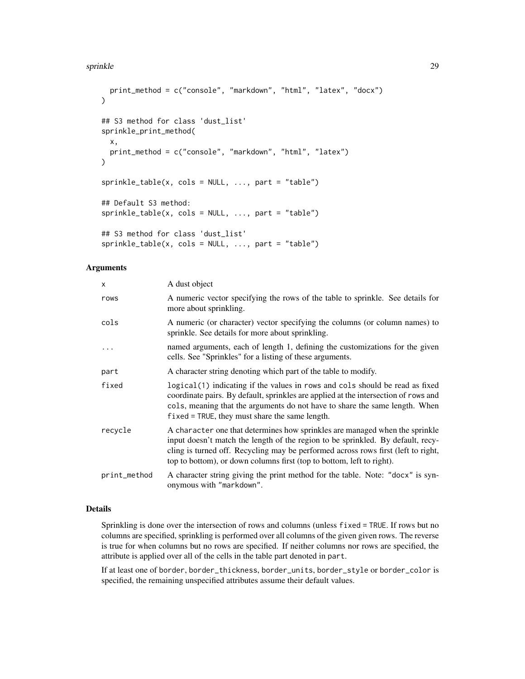```
print_method = c("console", "markdown", "html", "latex", "docx")
\lambda## S3 method for class 'dust_list'
sprinkle_print_method(
 x,
 print_method = c("console", "markdown", "html", "latex")
)
sprinkle_table(x, cols = NULL, ..., part = "table")## Default S3 method:
sprinkle_table(x, <math>cols = NULL, ..., part = "table")## S3 method for class 'dust_list'
sprinkle_table(x, cols = NULL, ..., part = "table")
```
# Arguments

| X            | A dust object                                                                                                                                                                                                                                                                                                                |  |
|--------------|------------------------------------------------------------------------------------------------------------------------------------------------------------------------------------------------------------------------------------------------------------------------------------------------------------------------------|--|
| rows         | A numeric vector specifying the rows of the table to sprinkle. See details for<br>more about sprinkling.                                                                                                                                                                                                                     |  |
| cols         | A numeric (or character) vector specifying the columns (or column names) to<br>sprinkle. See details for more about sprinkling.                                                                                                                                                                                              |  |
| $\cdots$     | named arguments, each of length 1, defining the customizations for the given<br>cells. See "Sprinkles" for a listing of these arguments.                                                                                                                                                                                     |  |
| part         | A character string denoting which part of the table to modify.                                                                                                                                                                                                                                                               |  |
| fixed        | logical (1) indicating if the values in rows and cols should be read as fixed<br>coordinate pairs. By default, sprinkles are applied at the intersection of rows and<br>cols, meaning that the arguments do not have to share the same length. When<br>$fixed = TRUE$ , they must share the same length.                     |  |
| recycle      | A character one that determines how sprinkles are managed when the sprinkle<br>input doesn't match the length of the region to be sprinkled. By default, recy-<br>cling is turned off. Recycling may be performed across rows first (left to right,<br>top to bottom), or down columns first (top to bottom, left to right). |  |
| print_method | A character string giving the print method for the table. Note: "docx" is syn-<br>onymous with "markdown".                                                                                                                                                                                                                   |  |

# Details

Sprinkling is done over the intersection of rows and columns (unless fixed = TRUE. If rows but no columns are specified, sprinkling is performed over all columns of the given given rows. The reverse is true for when columns but no rows are specified. If neither columns nor rows are specified, the attribute is applied over all of the cells in the table part denoted in part.

If at least one of border, border\_thickness, border\_units, border\_style or border\_color is specified, the remaining unspecified attributes assume their default values.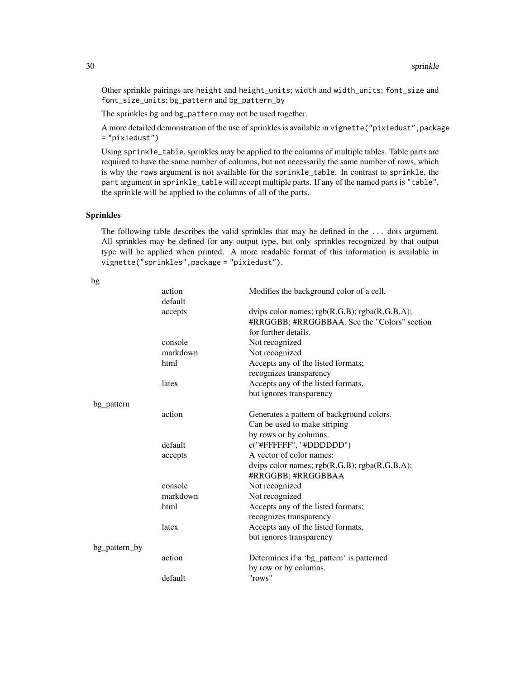Other sprinkle pairings are height and height\_units; width and width\_units; font\_size and font\_size\_units; bg\_pattern and bg\_pattern\_by

The sprinkles bg and bg\_pattern may not be used together.

A more detailed demonstration of the use of sprinkles is available in vignette ("pixiedust", package = "pixiedust")

Using sprinkle\_table, sprinkles may be applied to the columns of multiple tables. Table parts are required to have the same number of columns, but not necessarily the same number of rows, which is why the rows argument is not available for the sprinkle\_table. In contrast to sprinkle, the part argument in sprinkle\_table will accept multiple parts. If any of the named parts is "table", the sprinkle will be applied to the columns of all of the parts.

# Sprinkles

The following table describes the valid sprinkles that may be defined in the ... dots argument. All sprinkles may be defined for any output type, but only sprinkles recognized by that output type will be applied when printed. A more readable format of this information is available in vignette("sprinkles",package = "pixiedust").

| Dg            |          |                                                 |
|---------------|----------|-------------------------------------------------|
|               | action   | Modifies the background color of a cell.        |
|               | default  |                                                 |
|               | accepts  | dvips color names; $rgb(R,G,B); rgba(R,G,B,A);$ |
|               |          | #RRGGBB; #RRGGBBAA. See the "Colors" section    |
|               |          | for further details.                            |
|               | console  | Not recognized                                  |
|               | markdown | Not recognized                                  |
|               | html     | Accepts any of the listed formats;              |
|               |          | recognizes transparency                         |
|               | latex    | Accepts any of the listed formats,              |
|               |          | but ignores transparency                        |
| bg_pattern    |          |                                                 |
|               | action   | Generates a pattern of background colors.       |
|               |          | Can be used to make striping                    |
|               |          | by rows or by columns.                          |
|               | default  | c("#FFFFFF", "#DDDDDD")                         |
|               | accepts  | A vector of color names:                        |
|               |          | dvips color names; rgb(R,G,B); rgba(R,G,B,A);   |
|               |          | #RRGGBB; #RRGGBBAA                              |
|               | console  | Not recognized                                  |
|               | markdown | Not recognized                                  |
|               | html     | Accepts any of the listed formats;              |
|               |          | recognizes transparency                         |
|               | latex    | Accepts any of the listed formats,              |
|               |          | but ignores transparency                        |
| bg_pattern_by |          |                                                 |
|               | action   | Determines if a 'bg_pattern' is patterned       |
|               |          | by row or by columns.                           |
|               | default  | "rows"                                          |
|               |          |                                                 |

 $\mathbf{b}$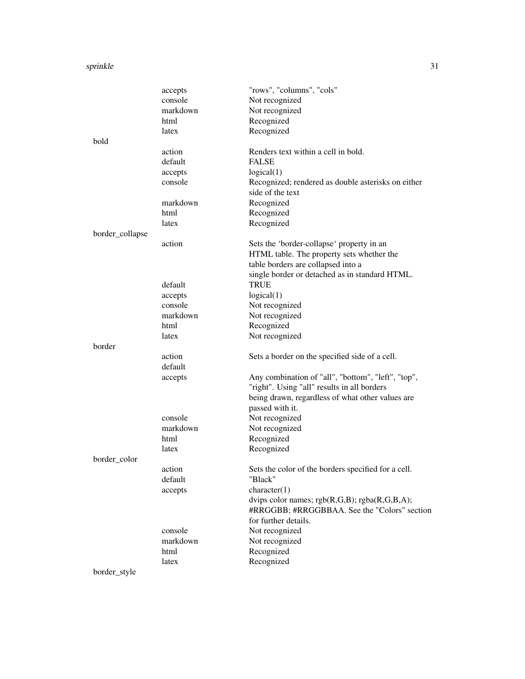|                 | accepts  | "rows", "columns", "cols"                           |
|-----------------|----------|-----------------------------------------------------|
|                 | console  | Not recognized                                      |
|                 | markdown | Not recognized                                      |
|                 | html     | Recognized                                          |
|                 | latex    | Recognized                                          |
| bold            |          |                                                     |
|                 | action   | Renders text within a cell in bold.                 |
|                 | default  | <b>FALSE</b>                                        |
|                 | accepts  | logical(1)                                          |
|                 | console  | Recognized; rendered as double asterisks on either  |
|                 |          | side of the text                                    |
|                 | markdown | Recognized                                          |
|                 | html     | Recognized                                          |
|                 | latex    | Recognized                                          |
| border_collapse |          |                                                     |
|                 | action   | Sets the 'border-collapse' property in an           |
|                 |          | HTML table. The property sets whether the           |
|                 |          | table borders are collapsed into a                  |
|                 |          | single border or detached as in standard HTML.      |
|                 | default  | <b>TRUE</b>                                         |
|                 | accepts  | logical(1)                                          |
|                 | console  | Not recognized                                      |
|                 | markdown | Not recognized                                      |
|                 | html     | Recognized                                          |
|                 | latex    | Not recognized                                      |
| border          |          |                                                     |
|                 | action   | Sets a border on the specified side of a cell.      |
|                 | default  |                                                     |
|                 | accepts  | Any combination of "all", "bottom", "left", "top",  |
|                 |          | "right". Using "all" results in all borders         |
|                 |          | being drawn, regardless of what other values are    |
|                 |          | passed with it.                                     |
|                 | console  | Not recognized                                      |
|                 | markdown | Not recognized                                      |
|                 | html     | Recognized                                          |
|                 | latex    | Recognized                                          |
| border color    |          |                                                     |
|                 | action   | Sets the color of the borders specified for a cell. |
|                 | default  | "Black"                                             |
|                 | accepts  | character(1)                                        |
|                 |          | dvips color names; $rgb(R,G,B); rgba(R,G,B,A);$     |
|                 |          | #RRGGBB; #RRGGBBAA. See the "Colors" section        |
|                 |          | for further details.                                |
|                 | console  | Not recognized                                      |
|                 | markdown | Not recognized                                      |
|                 | html     | Recognized                                          |
|                 | latex    | Recognized                                          |
| border_style    |          |                                                     |
|                 |          |                                                     |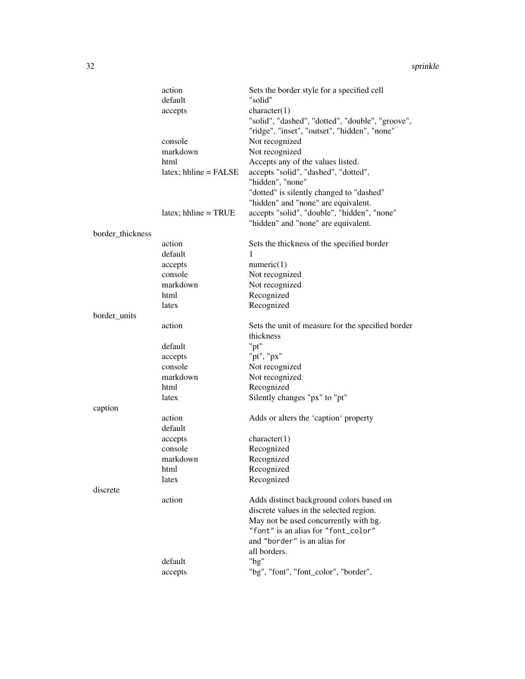|                  | action                   | Sets the border style for a specified cell        |
|------------------|--------------------------|---------------------------------------------------|
|                  | default                  | "solid"                                           |
|                  | accepts                  | character(1)                                      |
|                  |                          | "solid", "dashed", "dotted", "double", "groove",  |
|                  |                          | "ridge", "inset", "outset", "hidden", "none"      |
|                  |                          |                                                   |
|                  | console                  | Not recognized                                    |
|                  | markdown                 | Not recognized                                    |
|                  | html                     | Accepts any of the values listed.                 |
|                  | $lates$ ; hhline = FALSE | accepts "solid", "dashed", "dotted",              |
|                  |                          | "hidden", "none"                                  |
|                  |                          | "dotted" is silently changed to "dashed"          |
|                  |                          | "hidden" and "none" are equivalent.               |
|                  | $lates$ ; hhline = TRUE  | accepts "solid", "double", "hidden", "none"       |
|                  |                          | "hidden" and "none" are equivalent.               |
| border_thickness |                          |                                                   |
|                  | action                   | Sets the thickness of the specified border        |
|                  | default                  | 1                                                 |
|                  | accepts                  | numeric(1)                                        |
|                  | console                  | Not recognized                                    |
|                  | markdown                 | Not recognized                                    |
|                  | html                     | Recognized                                        |
|                  | latex                    | Recognized                                        |
| border_units     |                          |                                                   |
|                  | action                   | Sets the unit of measure for the specified border |
|                  |                          | thickness                                         |
|                  | default                  | "pt"                                              |
|                  | accepts                  | "pt", "px"                                        |
|                  | console                  | Not recognized                                    |
|                  | markdown                 | Not recognized                                    |
|                  | html                     | Recognized                                        |
|                  | latex                    | Silently changes "px" to "pt"                     |
| caption          |                          |                                                   |
|                  | action                   |                                                   |
|                  | default                  | Adds or alters the 'caption' property             |
|                  |                          |                                                   |
|                  | accepts<br>console       | character(1)                                      |
|                  |                          | Recognized                                        |
|                  | markdown                 | Recognized                                        |
|                  | html                     | Recognized                                        |
|                  | latex                    | Recognized                                        |
| discrete         |                          |                                                   |
|                  | action                   | Adds distinct background colors based on          |
|                  |                          | discrete values in the selected region.           |
|                  |                          | May not be used concurrently with bg.             |
|                  |                          | "font" is an alias for "font_color"               |
|                  |                          | and "border" is an alias for                      |
|                  |                          | all borders.                                      |
|                  | default                  | " $bg$ "                                          |
|                  | accepts                  | "bg", "font", "font_color", "border",             |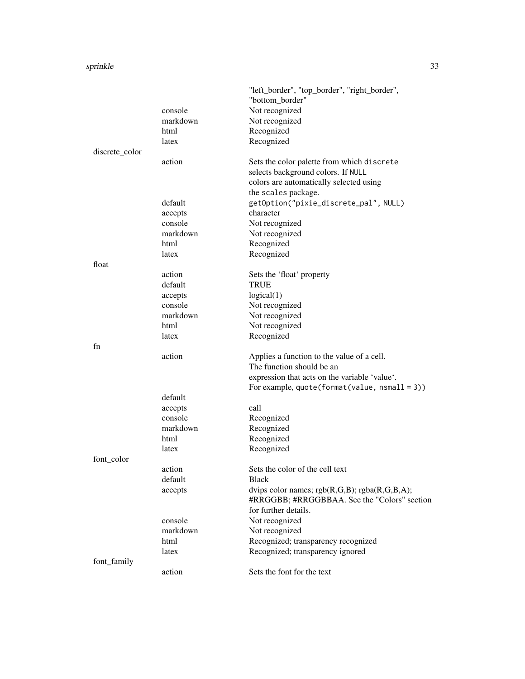|                |          | "left_border", "top_border", "right_border",    |
|----------------|----------|-------------------------------------------------|
|                |          | "bottom_border"                                 |
|                | console  | Not recognized                                  |
|                | markdown | Not recognized                                  |
|                | html     | Recognized                                      |
|                | latex    | Recognized                                      |
| discrete_color |          |                                                 |
|                | action   | Sets the color palette from which discrete      |
|                |          | selects background colors. If NULL              |
|                |          | colors are automatically selected using         |
|                |          | the scales package.                             |
|                | default  | getOption("pixie_discrete_pal", NULL)           |
|                | accepts  | character                                       |
|                | console  | Not recognized                                  |
|                | markdown | Not recognized                                  |
|                | html     | Recognized                                      |
|                | latex    | Recognized                                      |
| float          |          |                                                 |
|                | action   | Sets the 'float' property                       |
|                | default  | <b>TRUE</b>                                     |
|                | accepts  | logical(1)                                      |
|                | console  | Not recognized                                  |
|                | markdown | Not recognized                                  |
|                | html     | Not recognized                                  |
|                | latex    | Recognized                                      |
| fn             |          |                                                 |
|                | action   | Applies a function to the value of a cell.      |
|                |          | The function should be an                       |
|                |          | expression that acts on the variable 'value'.   |
|                |          | For example, $quote(format(value, nsmall = 3))$ |
|                | default  |                                                 |
|                | accepts  | call                                            |
|                | console  | Recognized                                      |
|                | markdown | Recognized                                      |
|                | html     | Recognized                                      |
|                | latex    | Recognized                                      |
| font_color     |          |                                                 |
|                | action   | Sets the color of the cell text                 |
|                | default  | <b>Black</b>                                    |
|                | accepts  | dvips color names; rgb(R,G,B); rgba(R,G,B,A);   |
|                |          | #RRGGBB; #RRGGBBAA. See the "Colors" section    |
|                |          | for further details.                            |
|                | console  | Not recognized                                  |
|                | markdown | Not recognized                                  |
|                | html     | Recognized; transparency recognized             |
|                | latex    | Recognized; transparency ignored                |
| font_family    |          |                                                 |
|                | action   | Sets the font for the text                      |
|                |          |                                                 |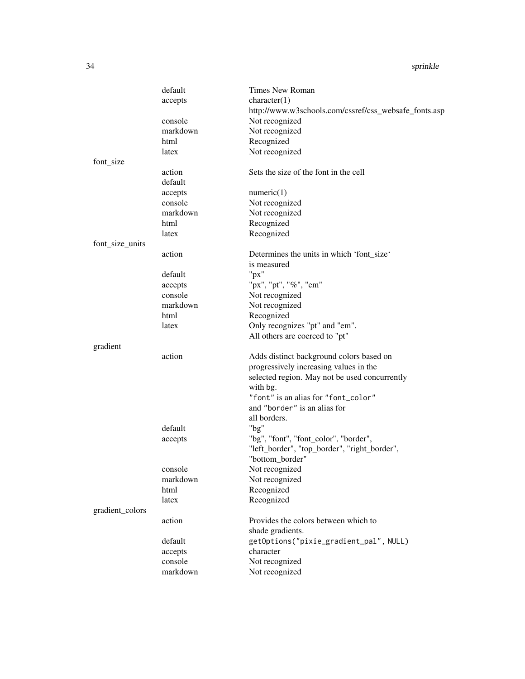|                 | default  | Times New Roman                                       |
|-----------------|----------|-------------------------------------------------------|
|                 | accepts  | character(1)                                          |
|                 |          | http://www.w3schools.com/cssref/css_websafe_fonts.asp |
|                 | console  | Not recognized                                        |
|                 | markdown | Not recognized                                        |
|                 | html     | Recognized                                            |
|                 | latex    | Not recognized                                        |
| font_size       |          |                                                       |
|                 | action   | Sets the size of the font in the cell                 |
|                 | default  |                                                       |
|                 | accepts  | numeric(1)                                            |
|                 | console  | Not recognized                                        |
|                 | markdown | Not recognized                                        |
|                 | html     | Recognized                                            |
|                 | latex    | Recognized                                            |
| font_size_units |          |                                                       |
|                 | action   | Determines the units in which 'font_size'             |
|                 |          | is measured                                           |
|                 | default  | " $px$ "                                              |
|                 | accepts  | "px", "pt", "%", "em"                                 |
|                 | console  | Not recognized                                        |
|                 | markdown | Not recognized                                        |
|                 | html     | Recognized                                            |
|                 | latex    | Only recognizes "pt" and "em".                        |
|                 |          |                                                       |
|                 |          | All others are coerced to "pt"                        |
| gradient        | action   |                                                       |
|                 |          | Adds distinct background colors based on              |
|                 |          | progressively increasing values in the                |
|                 |          | selected region. May not be used concurrently         |
|                 |          | with bg.                                              |
|                 |          | "font" is an alias for "font_color"                   |
|                 |          | and "border" is an alias for                          |
|                 |          | all borders.                                          |
|                 | default  | " $bg$ "                                              |
|                 | accepts  | "bg", "font", "font_color", "border",                 |
|                 |          | "left_border", "top_border", "right_border",          |
|                 |          | "bottom_border"                                       |
|                 | console  | Not recognized                                        |
|                 | markdown | Not recognized                                        |
|                 | html     | Recognized                                            |
|                 | latex    | Recognized                                            |
| gradient_colors |          |                                                       |
|                 | action   | Provides the colors between which to                  |
|                 |          | shade gradients.                                      |
|                 | default  | getOptions("pixie_gradient_pal", NULL)                |
|                 | accepts  | character                                             |
|                 | console  | Not recognized                                        |
|                 | markdown | Not recognized                                        |
|                 |          |                                                       |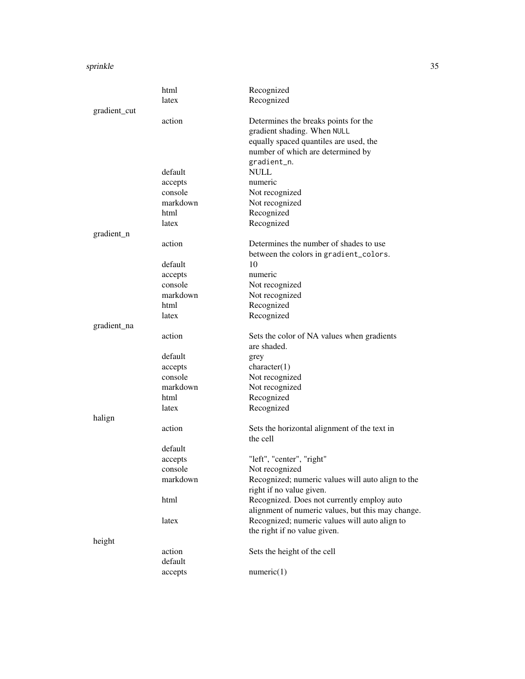|              | html     | Recognized                                                                    |
|--------------|----------|-------------------------------------------------------------------------------|
|              | latex    | Recognized                                                                    |
| gradient_cut |          |                                                                               |
|              | action   | Determines the breaks points for the                                          |
|              |          | gradient shading. When NULL                                                   |
|              |          | equally spaced quantiles are used, the                                        |
|              |          | number of which are determined by                                             |
|              |          | gradient_n.                                                                   |
|              | default  | <b>NULL</b>                                                                   |
|              | accepts  | numeric                                                                       |
|              | console  | Not recognized                                                                |
|              | markdown | Not recognized                                                                |
|              | html     | Recognized                                                                    |
|              | latex    | Recognized                                                                    |
| gradient_n   |          |                                                                               |
|              | action   | Determines the number of shades to use                                        |
|              |          | between the colors in gradient_colors.                                        |
|              | default  | 10                                                                            |
|              | accepts  | numeric                                                                       |
|              | console  | Not recognized                                                                |
|              | markdown | Not recognized                                                                |
|              | html     | Recognized                                                                    |
|              | latex    | Recognized                                                                    |
| gradient_na  |          |                                                                               |
|              | action   | Sets the color of NA values when gradients                                    |
|              |          | are shaded.                                                                   |
|              | default  |                                                                               |
|              | accepts  | grey<br>character(1)                                                          |
|              | console  | Not recognized                                                                |
|              | markdown | Not recognized                                                                |
|              | html     |                                                                               |
|              |          | Recognized                                                                    |
|              | latex    | Recognized                                                                    |
| halign       |          |                                                                               |
|              | action   | Sets the horizontal alignment of the text in                                  |
|              |          | the cell                                                                      |
|              | default  |                                                                               |
|              | accepts  | "left", "center", "right"                                                     |
|              | console  | Not recognized                                                                |
|              | markdown | Recognized; numeric values will auto align to the<br>right if no value given. |
|              | html     | Recognized. Does not currently employ auto                                    |
|              |          | alignment of numeric values, but this may change.                             |
|              |          |                                                                               |
|              | latex    | Recognized; numeric values will auto align to                                 |
|              |          | the right if no value given.                                                  |
| height       |          |                                                                               |
|              | action   | Sets the height of the cell                                                   |
|              | default  |                                                                               |
|              | accepts  | numeric(1)                                                                    |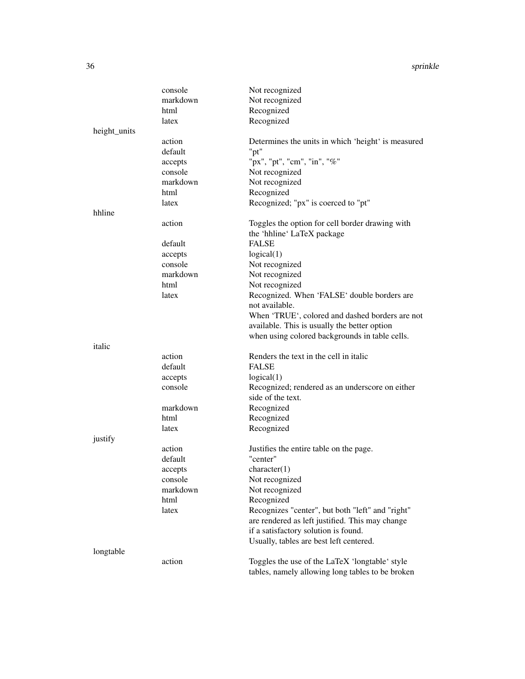|              | console  | Not recognized                                     |
|--------------|----------|----------------------------------------------------|
|              | markdown | Not recognized                                     |
|              | html     | Recognized                                         |
|              | latex    | Recognized                                         |
| height_units |          |                                                    |
|              | action   | Determines the units in which 'height' is measured |
|              | default  | "pt"                                               |
|              | accepts  | "px", "pt", "cm", "in", "%"                        |
|              | console  | Not recognized                                     |
|              | markdown | Not recognized                                     |
|              | html     | Recognized                                         |
|              | latex    | Recognized; "px" is coerced to "pt"                |
| hhline       |          |                                                    |
|              | action   | Toggles the option for cell border drawing with    |
|              |          | the 'hhline' LaTeX package                         |
|              | default  | <b>FALSE</b>                                       |
|              | accepts  | logical(1)                                         |
|              | console  | Not recognized                                     |
|              | markdown | Not recognized                                     |
|              | html     | Not recognized                                     |
|              | latex    | Recognized. When 'FALSE' double borders are        |
|              |          | not available.                                     |
|              |          | When 'TRUE', colored and dashed borders are not    |
|              |          | available. This is usually the better option       |
|              |          | when using colored backgrounds in table cells.     |
| italic       |          |                                                    |
|              | action   | Renders the text in the cell in italic             |
|              | default  | <b>FALSE</b>                                       |
|              | accepts  | logical(1)                                         |
|              | console  | Recognized; rendered as an underscore on either    |
|              |          | side of the text.                                  |
|              | markdown | Recognized                                         |
|              | html     | Recognized                                         |
|              | latex    | Recognized                                         |
| justify      |          |                                                    |
|              | action   | Justifies the entire table on the page.            |
|              | default  | "center"                                           |
|              | accepts  | character(1)                                       |
|              | console  | Not recognized                                     |
|              | markdown | Not recognized                                     |
|              | html     | Recognized                                         |
|              | latex    | Recognizes "center", but both "left" and "right"   |
|              |          | are rendered as left justified. This may change    |
|              |          | if a satisfactory solution is found.               |
|              |          | Usually, tables are best left centered.            |
| longtable    |          |                                                    |
|              | action   | Toggles the use of the LaTeX 'longtable' style     |
|              |          | tables, namely allowing long tables to be broken   |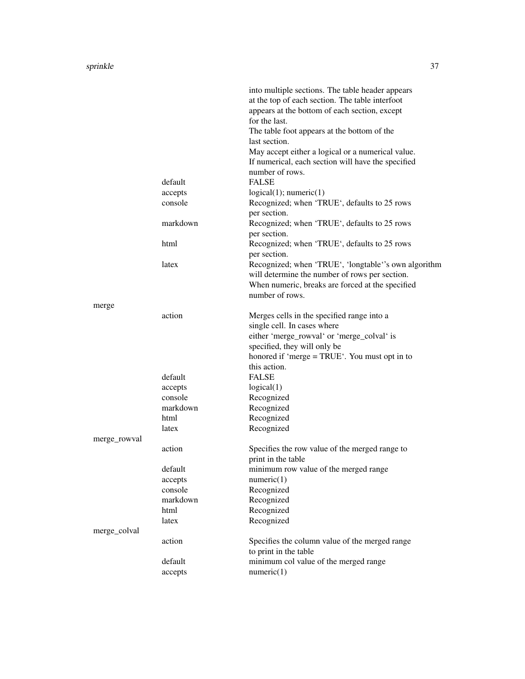|              |          | into multiple sections. The table header appears     |
|--------------|----------|------------------------------------------------------|
|              |          | at the top of each section. The table interfoot      |
|              |          | appears at the bottom of each section, except        |
|              |          | for the last.                                        |
|              |          | The table foot appears at the bottom of the          |
|              |          | last section.                                        |
|              |          |                                                      |
|              |          | May accept either a logical or a numerical value.    |
|              |          | If numerical, each section will have the specified   |
|              |          | number of rows.                                      |
|              | default  | <b>FALSE</b>                                         |
|              | accepts  | logical(1); numeric(1)                               |
|              | console  | Recognized; when 'TRUE', defaults to 25 rows         |
|              |          | per section.                                         |
|              | markdown | Recognized; when 'TRUE', defaults to 25 rows         |
|              |          | per section.                                         |
|              |          |                                                      |
|              | html     | Recognized; when 'TRUE', defaults to 25 rows         |
|              |          | per section.                                         |
|              | latex    | Recognized; when 'TRUE', 'longtable''s own algorithm |
|              |          | will determine the number of rows per section.       |
|              |          | When numeric, breaks are forced at the specified     |
|              |          | number of rows.                                      |
| merge        |          |                                                      |
|              | action   | Merges cells in the specified range into a           |
|              |          | single cell. In cases where                          |
|              |          | either 'merge_rowval' or 'merge_colval' is           |
|              |          |                                                      |
|              |          | specified, they will only be                         |
|              |          | honored if 'merge = TRUE'. You must opt in to        |
|              |          | this action.                                         |
|              | default  | <b>FALSE</b>                                         |
|              | accepts  | logical(1)                                           |
|              | console  | Recognized                                           |
|              | markdown | Recognized                                           |
|              | html     | Recognized                                           |
|              | latex    | Recognized                                           |
| merge_rowval |          |                                                      |
|              |          |                                                      |
|              | action   | Specifies the row value of the merged range to       |
|              |          | print in the table                                   |
|              | default  | minimum row value of the merged range                |
|              | accepts  | numeric(1)                                           |
|              | console  | Recognized                                           |
|              | markdown | Recognized                                           |
|              | html     | Recognized                                           |
|              | latex    | Recognized                                           |
| merge_colval |          |                                                      |
|              | action   | Specifies the column value of the merged range       |
|              |          |                                                      |
|              |          | to print in the table                                |
|              | default  | minimum col value of the merged range                |
|              | accepts  | numeric(1)                                           |
|              |          |                                                      |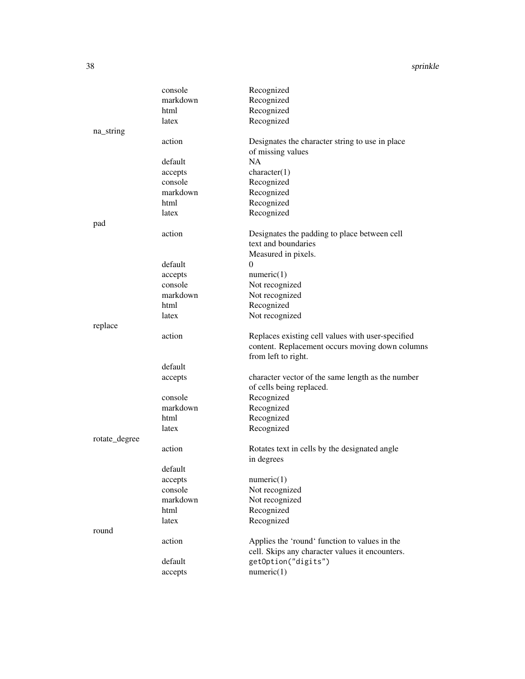#### 38 sprinkle

|               | console            | Recognized                                        |
|---------------|--------------------|---------------------------------------------------|
|               | markdown           | Recognized                                        |
|               | html               | Recognized                                        |
|               | latex              | Recognized                                        |
| na_string     |                    |                                                   |
|               | action             | Designates the character string to use in place   |
|               |                    | of missing values                                 |
|               | default            | <b>NA</b>                                         |
|               | accepts            | character(1)                                      |
|               | console            | Recognized                                        |
|               | markdown           | Recognized                                        |
|               | html               | Recognized                                        |
|               | latex              | Recognized                                        |
| pad           |                    |                                                   |
|               | action             | Designates the padding to place between cell      |
|               |                    | text and boundaries                               |
|               |                    | Measured in pixels.                               |
|               | default            | $\theta$                                          |
|               | accepts            | numeric(1)                                        |
|               | console            | Not recognized                                    |
|               | markdown           | Not recognized                                    |
|               | html               | Recognized                                        |
|               | latex              | Not recognized                                    |
| replace       |                    |                                                   |
|               | action             | Replaces existing cell values with user-specified |
|               |                    | content. Replacement occurs moving down columns   |
|               |                    | from left to right.                               |
|               | default            |                                                   |
|               | accepts            | character vector of the same length as the number |
|               |                    | of cells being replaced.                          |
|               | console            | Recognized                                        |
|               | markdown           | Recognized                                        |
|               | html               | Recognized                                        |
|               | latex              | Recognized                                        |
| rotate_degree |                    |                                                   |
|               | action             | Rotates text in cells by the designated angle     |
|               | default            | in degrees                                        |
|               |                    |                                                   |
|               | accepts<br>console | numeric(1)<br>Not recognized                      |
|               | markdown           |                                                   |
|               | html               | Not recognized<br>Recognized                      |
|               | latex              | Recognized                                        |
|               |                    |                                                   |
| round         | action             | Applies the 'round' function to values in the     |
|               |                    | cell. Skips any character values it encounters.   |
|               | default            | getOption("digits")                               |
|               |                    | numeric(1)                                        |
|               | accepts            |                                                   |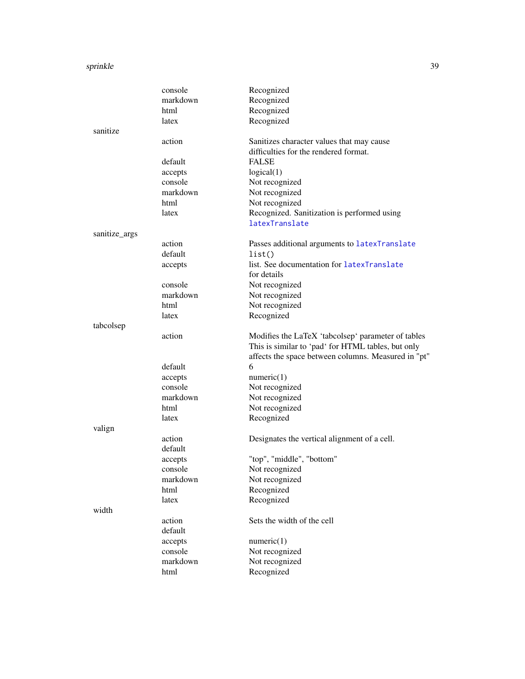#### sprinkle 39

|               | console  | Recognized                                          |
|---------------|----------|-----------------------------------------------------|
|               | markdown | Recognized                                          |
|               | html     | Recognized                                          |
|               | latex    | Recognized                                          |
| sanitize      |          |                                                     |
|               | action   | Sanitizes character values that may cause           |
|               |          | difficulties for the rendered format.               |
|               | default  | <b>FALSE</b>                                        |
|               | accepts  | logical(1)                                          |
|               | console  | Not recognized                                      |
|               | markdown | Not recognized                                      |
|               | html     | Not recognized                                      |
|               | latex    | Recognized. Sanitization is performed using         |
|               |          | latexTranslate                                      |
| sanitize_args |          |                                                     |
|               | action   | Passes additional arguments to latexTranslate       |
|               | default  | list()                                              |
|               | accepts  | list. See documentation for latexTranslate          |
|               |          | for details                                         |
|               | console  | Not recognized                                      |
|               | markdown | Not recognized                                      |
|               | html     | Not recognized                                      |
|               | latex    | Recognized                                          |
| tabcolsep     |          |                                                     |
|               | action   | Modifies the LaTeX 'tabcolsep' parameter of tables  |
|               |          | This is similar to 'pad' for HTML tables, but only  |
|               |          | affects the space between columns. Measured in "pt" |
|               | default  | 6                                                   |
|               | accepts  | numeric(1)                                          |
|               | console  | Not recognized                                      |
|               | markdown | Not recognized                                      |
|               | html     | Not recognized                                      |
|               | latex    | Recognized                                          |
| valign        |          |                                                     |
|               | action   | Designates the vertical alignment of a cell.        |
|               | default  |                                                     |
|               | accepts  | "top", "middle", "bottom"                           |
|               | console  | Not recognized                                      |
|               | markdown | Not recognized                                      |
|               | html     | Recognized                                          |
|               | latex    | Recognized                                          |
| width         |          |                                                     |
|               | action   | Sets the width of the cell                          |
|               | default  |                                                     |
|               | accepts  | numeric(1)                                          |
|               | console  | Not recognized                                      |
|               | markdown | Not recognized                                      |
|               | html     | Recognized                                          |
|               |          |                                                     |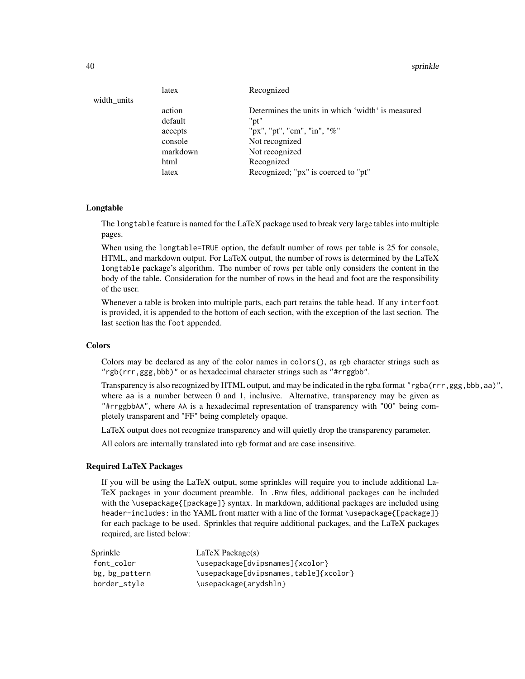#### 40 sprinkle

|             | latex    | Recognized                                        |
|-------------|----------|---------------------------------------------------|
| width_units |          |                                                   |
|             | action   | Determines the units in which 'width' is measured |
|             | default  | "pt"                                              |
|             | accepts  | "px", "pt", "cm", "in", "%"                       |
|             | console  | Not recognized                                    |
|             | markdown | Not recognized                                    |
|             | html     | Recognized                                        |
|             | latex    | Recognized; "px" is coerced to "pt"               |
|             |          |                                                   |

## Longtable

The longtable feature is named for the LaTeX package used to break very large tables into multiple pages.

When using the longtable=TRUE option, the default number of rows per table is 25 for console, HTML, and markdown output. For LaTeX output, the number of rows is determined by the LaTeX longtable package's algorithm. The number of rows per table only considers the content in the body of the table. Consideration for the number of rows in the head and foot are the responsibility of the user.

Whenever a table is broken into multiple parts, each part retains the table head. If any interfoot is provided, it is appended to the bottom of each section, with the exception of the last section. The last section has the foot appended.

#### Colors

Colors may be declared as any of the color names in colors(), as rgb character strings such as "rgb(rrr,ggg,bbb)" or as hexadecimal character strings such as "#rrggbb".

Transparency is also recognized by HTML output, and may be indicated in the rgba format "rgba(rrr,ggg,bbb,aa)", where aa is a number between 0 and 1, inclusive. Alternative, transparency may be given as "#rrggbbAA", where AA is a hexadecimal representation of transparency with "00" being completely transparent and "FF" being completely opaque.

LaTeX output does not recognize transparency and will quietly drop the transparency parameter.

All colors are internally translated into rgb format and are case insensitive.

#### Required LaTeX Packages

If you will be using the LaTeX output, some sprinkles will require you to include additional La-TeX packages in your document preamble. In .Rnw files, additional packages can be included with the \usepackage{[package]} syntax. In markdown, additional packages are included using header-includes: in the YAML front matter with a line of the format \usepackage{[package]} for each package to be used. Sprinkles that require additional packages, and the LaTeX packages required, are listed below:

| Sprinkle       | $LaTeX$ Package(s)                    |
|----------------|---------------------------------------|
| font color     | \usepackage[dvipsnames]{xcolor}       |
| bg, bg_pattern | \usepackage[dvipsnames,table]{xcolor} |
| border_style   | \usepackage{arydshln}                 |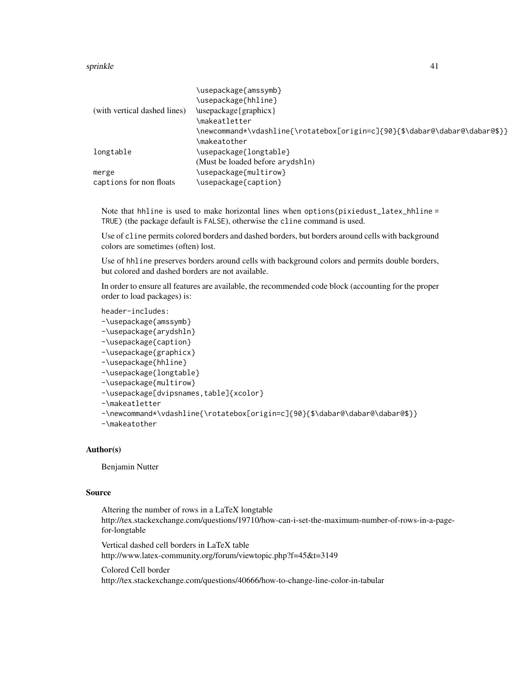## sprinkle to the set of the set of the set of the set of the set of the set of the set of the set of the set of the set of the set of the set of the set of the set of the set of the set of the set of the set of the set of t

|                              | \usepackage{amssymb}                                                        |
|------------------------------|-----------------------------------------------------------------------------|
|                              | \usepackage{hhline}                                                         |
| (with vertical dashed lines) | \usepackage{graphicx}                                                       |
|                              | \makeatletter                                                               |
|                              | \newcommand*\vdashline{\rotatebox[origin=c]{90}{\$\dabar@\dabar@\dabar@\$}} |
|                              | \makeatother                                                                |
| longtable                    | \usepackage{longtable}                                                      |
|                              | (Must be loaded before arydshln)                                            |
| merge                        | \usepackage{multirow}                                                       |
| captions for non floats      | \usepackage{caption}                                                        |
|                              |                                                                             |

Note that hhline is used to make horizontal lines when options(pixiedust\_latex\_hhline = TRUE) (the package default is FALSE), otherwise the cline command is used.

Use of cline permits colored borders and dashed borders, but borders around cells with background colors are sometimes (often) lost.

Use of hhline preserves borders around cells with background colors and permits double borders, but colored and dashed borders are not available.

In order to ensure all features are available, the recommended code block (accounting for the proper order to load packages) is:

header-includes:

```
-\usepackage{amssymb}
```

```
-\usepackage{arydshln}
```

```
-\usepackage{caption}
```

```
-\usepackage{graphicx}
```

```
-\usepackage{hhline}
```

```
-\usepackage{longtable}
```

```
-\usepackage{multirow}
```

```
-\usepackage[dvipsnames,table]{xcolor}
```

```
-\makeatletter
```

```
-\newcommand*\vdashline{\rotatebox[origin=c]{90}{$\dabar@\dabar@\dabar@$}}
```

```
-\makeatother
```
# Author(s)

Benjamin Nutter

## Source

```
Altering the number of rows in a LaTeX longtable
http://tex.stackexchange.com/questions/19710/how-can-i-set-the-maximum-number-of-rows-in-a-page-
for-longtable
```
Vertical dashed cell borders in LaTeX table http://www.latex-community.org/forum/viewtopic.php?f=45&t=3149

Colored Cell border http://tex.stackexchange.com/questions/40666/how-to-change-line-color-in-tabular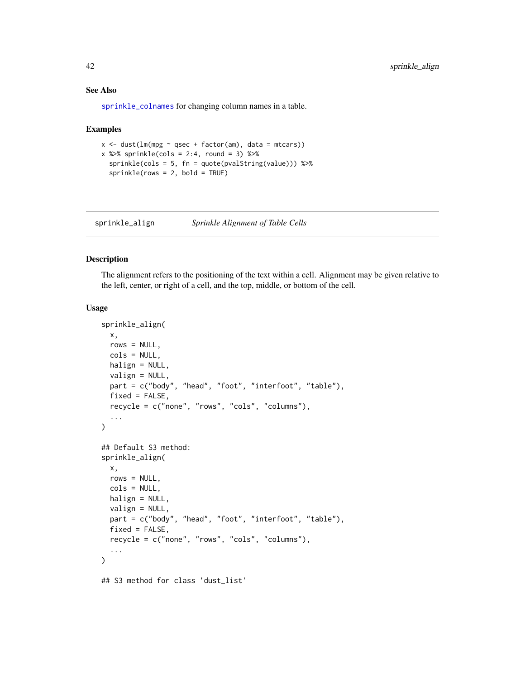## See Also

[sprinkle\\_colnames](#page-55-0) for changing column names in a table.

#### Examples

```
x \le - dust(lm(mpg \sim qsec + factor(am), data = mtcars))
x %>% sprinkle(cols = 2:4, round = 3) %>%
  sprinkle(cols = 5, fn = quote(pvalString(value))) %>%
  sprinkle(rows = 2, bold = TRUE)
```
sprinkle\_align *Sprinkle Alignment of Table Cells*

## Description

The alignment refers to the positioning of the text within a cell. Alignment may be given relative to the left, center, or right of a cell, and the top, middle, or bottom of the cell.

```
sprinkle_align(
  x,
  rows = NULL,cols = NULL,
 halign = NULL,
  valign = NULL,
  part = c("body", "head", "foot", "interfoot", "table"),
  fixed = FALSE,recycle = c("none", "rows", "cols", "columns"),
  ...
)
## Default S3 method:
sprinkle_align(
  x,
  rows = NULL,cols = NULL,
 halign = NULL,valign = NULL,
 part = c("body", "head", "foot", "interfoot", "table"),
  fixed = FALSE,
  recycle = c("none", "rows", "cols", "columns"),
  ...
)
## S3 method for class 'dust_list'
```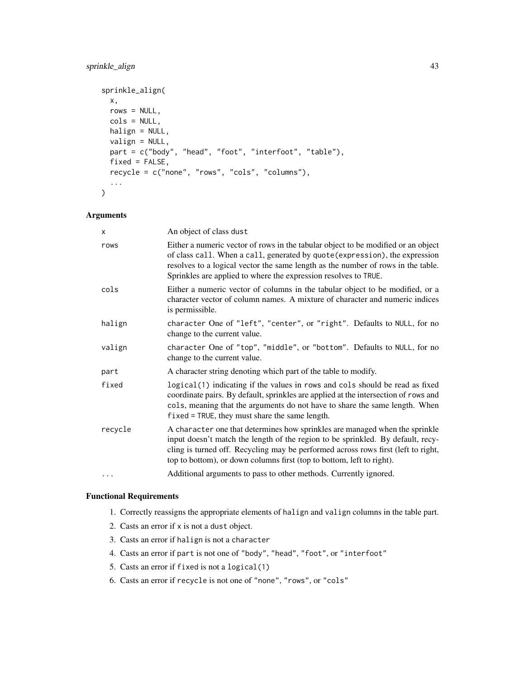# sprinkle\_align 43

```
sprinkle_align(
 x,
 rows = NULL,cols = NULL,halign = NULL,
 valign = NULL,
 part = c("body", "head", "foot", "interfoot", "table"),
 fixed = FALSE,
  recycle = c("none", "rows", "cols", "columns"),
  ...
\mathcal{L}
```
## Arguments

| x       | An object of class dust                                                                                                                                                                                                                                                                                                      |
|---------|------------------------------------------------------------------------------------------------------------------------------------------------------------------------------------------------------------------------------------------------------------------------------------------------------------------------------|
| rows    | Either a numeric vector of rows in the tabular object to be modified or an object<br>of class call. When a call, generated by quote (expression), the expression<br>resolves to a logical vector the same length as the number of rows in the table.<br>Sprinkles are applied to where the expression resolves to TRUE.      |
| cols    | Either a numeric vector of columns in the tabular object to be modified, or a<br>character vector of column names. A mixture of character and numeric indices<br>is permissible.                                                                                                                                             |
| halign  | character One of "left", "center", or "right". Defaults to NULL, for no<br>change to the current value.                                                                                                                                                                                                                      |
| valign  | character One of "top", "middle", or "bottom". Defaults to NULL, for no<br>change to the current value.                                                                                                                                                                                                                      |
| part    | A character string denoting which part of the table to modify.                                                                                                                                                                                                                                                               |
| fixed   | logical(1) indicating if the values in rows and cols should be read as fixed<br>coordinate pairs. By default, sprinkles are applied at the intersection of rows and<br>cols, meaning that the arguments do not have to share the same length. When<br>fixed = TRUE, they must share the same length.                         |
| recycle | A character one that determines how sprinkles are managed when the sprinkle<br>input doesn't match the length of the region to be sprinkled. By default, recy-<br>cling is turned off. Recycling may be performed across rows first (left to right,<br>top to bottom), or down columns first (top to bottom, left to right). |
|         | Additional arguments to pass to other methods. Currently ignored.                                                                                                                                                                                                                                                            |
|         |                                                                                                                                                                                                                                                                                                                              |

## Functional Requirements

- 1. Correctly reassigns the appropriate elements of halign and valign columns in the table part.
- 2. Casts an error if x is not a dust object.
- 3. Casts an error if halign is not a character
- 4. Casts an error if part is not one of "body", "head", "foot", or "interfoot"
- 5. Casts an error if fixed is not a logical(1)
- 6. Casts an error if recycle is not one of "none", "rows", or "cols"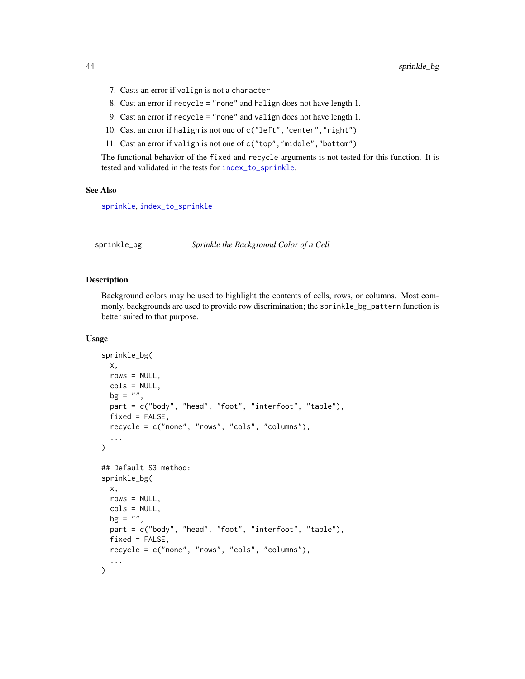- 7. Casts an error if valign is not a character
- 8. Cast an error if recycle = "none" and halign does not have length 1.
- 9. Cast an error if recycle = "none" and valign does not have length 1.
- 10. Cast an error if halign is not one of c("left","center","right")
- 11. Cast an error if valign is not one of c("top","middle","bottom")

The functional behavior of the fixed and recycle arguments is not tested for this function. It is tested and validated in the tests for [index\\_to\\_sprinkle](#page-13-0).

#### See Also

[sprinkle](#page-27-0), [index\\_to\\_sprinkle](#page-13-0)

<span id="page-43-0"></span>sprinkle\_bg *Sprinkle the Background Color of a Cell*

## Description

Background colors may be used to highlight the contents of cells, rows, or columns. Most commonly, backgrounds are used to provide row discrimination; the sprinkle\_bg\_pattern function is better suited to that purpose.

```
sprinkle_bg(
 x,
 rows = NULL,
 cols = NULL,
 bg = "",part = c("body", "head", "foot", "interfoot", "table"),
  fixed = FALSE,recycle = c("none", "rows", "cols", "columns"),
  ...
)
## Default S3 method:
sprinkle_bg(
 x,
 rows = NULL,cols = NULL,
 bg = "",part = c("body", "head", "foot", "interfoot", "table"),
 fixed = FALSE,
  recycle = c("none", "rows", "cols", "columns"),
  ...
)
```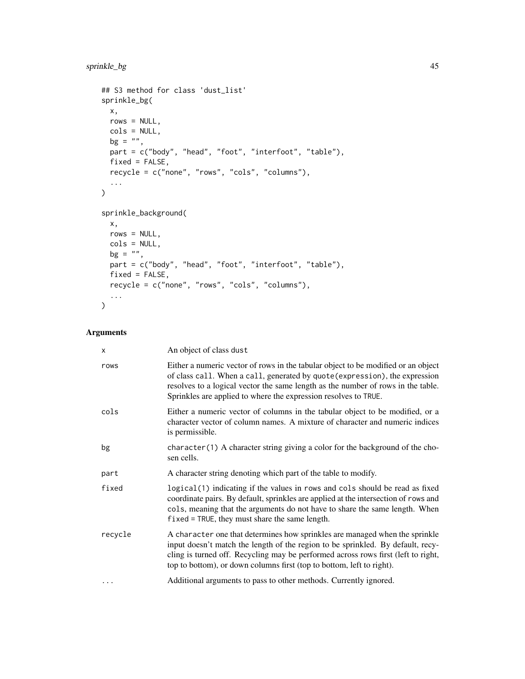# sprinkle\_bg 45

```
## S3 method for class 'dust_list'
sprinkle_bg(
 x,
 rows = NULL,cols = NULL,
 bg = ",
 part = c("body", "head", "foot", "interfoot", "table"),
 fixed = FALSE,recycle = c("none", "rows", "cols", "columns"),
  ...
\mathcal{L}sprinkle_background(
 x,
 rows = NULL,
 cols = NULL,
 bg = "",part = c("body", "head", "foot", "interfoot", "table"),
 fixed = FALSE,recycle = c("none", "rows", "cols", "columns"),
 ...
\mathcal{L}
```
# Arguments

| X        | An object of class dust                                                                                                                                                                                                                                                                                                      |
|----------|------------------------------------------------------------------------------------------------------------------------------------------------------------------------------------------------------------------------------------------------------------------------------------------------------------------------------|
| rows     | Either a numeric vector of rows in the tabular object to be modified or an object<br>of class call. When a call, generated by quote (expression), the expression<br>resolves to a logical vector the same length as the number of rows in the table.<br>Sprinkles are applied to where the expression resolves to TRUE.      |
| cols     | Either a numeric vector of columns in the tabular object to be modified, or a<br>character vector of column names. A mixture of character and numeric indices<br>is permissible.                                                                                                                                             |
| bg       | $character(1)$ A character string giving a color for the background of the cho-<br>sen cells.                                                                                                                                                                                                                                |
| part     | A character string denoting which part of the table to modify.                                                                                                                                                                                                                                                               |
| fixed    | logical (1) indicating if the values in rows and cols should be read as fixed<br>coordinate pairs. By default, sprinkles are applied at the intersection of rows and<br>cols, meaning that the arguments do not have to share the same length. When<br>$fixed = TRUE$ , they must share the same length.                     |
| recycle  | A character one that determines how sprinkles are managed when the sprinkle<br>input doesn't match the length of the region to be sprinkled. By default, recy-<br>cling is turned off. Recycling may be performed across rows first (left to right,<br>top to bottom), or down columns first (top to bottom, left to right). |
| $\cdots$ | Additional arguments to pass to other methods. Currently ignored.                                                                                                                                                                                                                                                            |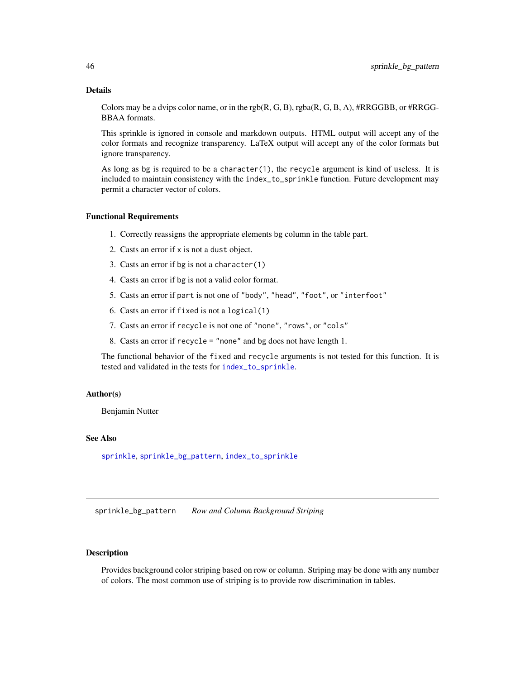## Details

Colors may be a dvips color name, or in the rgb $(R, G, B)$ , rgba $(R, G, B, A)$ , #RRGGBB, or #RRGG-BBAA formats.

This sprinkle is ignored in console and markdown outputs. HTML output will accept any of the color formats and recognize transparency. LaTeX output will accept any of the color formats but ignore transparency.

As long as bg is required to be a character(1), the recycle argument is kind of useless. It is included to maintain consistency with the index\_to\_sprinkle function. Future development may permit a character vector of colors.

#### Functional Requirements

- 1. Correctly reassigns the appropriate elements bg column in the table part.
- 2. Casts an error if x is not a dust object.
- 3. Casts an error if bg is not a character(1)
- 4. Casts an error if bg is not a valid color format.
- 5. Casts an error if part is not one of "body", "head", "foot", or "interfoot"
- 6. Casts an error if fixed is not a logical(1)
- 7. Casts an error if recycle is not one of "none", "rows", or "cols"
- 8. Casts an error if recycle = "none" and bg does not have length 1.

The functional behavior of the fixed and recycle arguments is not tested for this function. It is tested and validated in the tests for [index\\_to\\_sprinkle](#page-13-0).

## Author(s)

Benjamin Nutter

# See Also

[sprinkle](#page-27-0), [sprinkle\\_bg\\_pattern](#page-45-0), [index\\_to\\_sprinkle](#page-13-0)

<span id="page-45-0"></span>sprinkle\_bg\_pattern *Row and Column Background Striping*

# **Description**

Provides background color striping based on row or column. Striping may be done with any number of colors. The most common use of striping is to provide row discrimination in tables.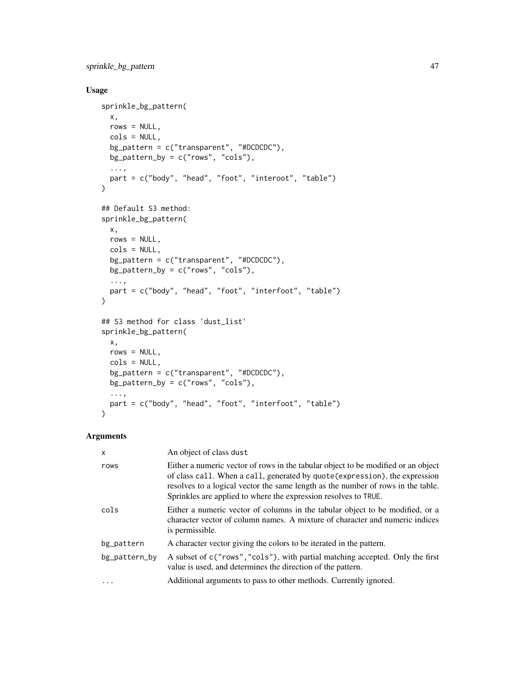sprinkle\_bg\_pattern 47

# Usage

```
sprinkle_bg_pattern(
 x,
 rows = NULL,
 cols = NULL,
 bg_pattern = c("transparent", "#DCDCDC"),
 bg_pattern_by = c("rows", "cols"),...,
 part = c("body", "head", "foot", "interoot", "table")
\mathcal{L}## Default S3 method:
sprinkle_bg_pattern(
 x,
 rows = NULL,cols = NULL,bg_pattern = c("transparent", "#DCDCDC"),
 bg_pattern_by = c("rows", "cols"),...,
 part = c("body", "head", "foot", "interfoot", "table")
\mathcal{L}## S3 method for class 'dust_list'
sprinkle_bg_pattern(
 x,
 rows = NULL,cols = NULL,
 bg_pattern = c("transparent", "#DCDCDC"),
 bg_pattern_by = c("rows", "cols"),...,
 part = c("body", "head", "foot", "interfoot", "table")
\mathcal{L}
```
# Arguments

| X             | An object of class dust                                                                                                                                                                                                                                                                                                 |
|---------------|-------------------------------------------------------------------------------------------------------------------------------------------------------------------------------------------------------------------------------------------------------------------------------------------------------------------------|
| rows          | Either a numeric vector of rows in the tabular object to be modified or an object<br>of class call. When a call, generated by quote (expression), the expression<br>resolves to a logical vector the same length as the number of rows in the table.<br>Sprinkles are applied to where the expression resolves to TRUE. |
| cols          | Either a numeric vector of columns in the tabular object to be modified, or a<br>character vector of column names. A mixture of character and numeric indices<br>is permissible.                                                                                                                                        |
| bg_pattern    | A character vector giving the colors to be iterated in the pattern.                                                                                                                                                                                                                                                     |
| bg_pattern_by | A subset of c("rows", "cols"), with partial matching accepted. Only the first<br>value is used, and determines the direction of the pattern.                                                                                                                                                                            |
| $\cdot$       | Additional arguments to pass to other methods. Currently ignored.                                                                                                                                                                                                                                                       |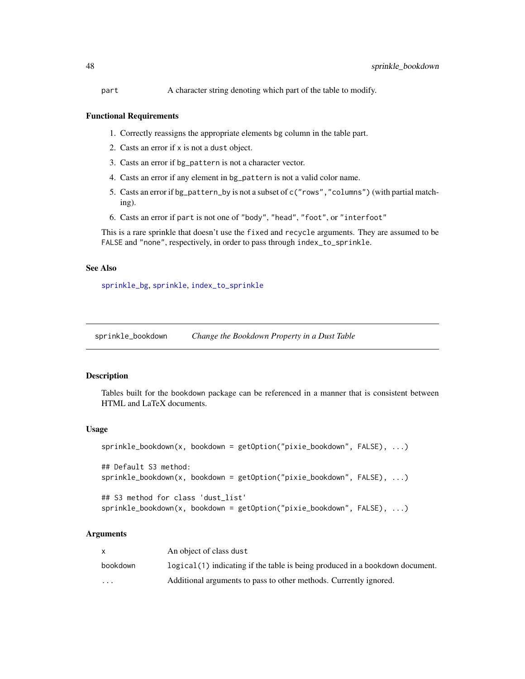part A character string denoting which part of the table to modify.

#### Functional Requirements

- 1. Correctly reassigns the appropriate elements bg column in the table part.
- 2. Casts an error if x is not a dust object.
- 3. Casts an error if bg\_pattern is not a character vector.
- 4. Casts an error if any element in bg\_pattern is not a valid color name.
- 5. Casts an error if bg\_pattern\_by is not a subset of c("rows","columns") (with partial matching).
- 6. Casts an error if part is not one of "body", "head", "foot", or "interfoot"

This is a rare sprinkle that doesn't use the fixed and recycle arguments. They are assumed to be FALSE and "none", respectively, in order to pass through index\_to\_sprinkle.

## See Also

[sprinkle\\_bg](#page-43-0), [sprinkle](#page-27-0), [index\\_to\\_sprinkle](#page-13-0)

sprinkle\_bookdown *Change the Bookdown Property in a Dust Table*

## Description

Tables built for the bookdown package can be referenced in a manner that is consistent between HTML and LaTeX documents.

#### Usage

```
sprinkle_bookdown(x, bookdown = getOption("pixie_bookdown", FALSE), ...)
## Default S3 method:
sprinkle_bookdown(x, bookdown = getOption("pixie_bookdown", FALSE), ...)
```

```
## S3 method for class 'dust_list'
sprinkle_bookdown(x, bookdown = getOption("pixie_bookdown", FALSE), ...)
```
## **Arguments**

|          | An object of class dust                                                        |
|----------|--------------------------------------------------------------------------------|
| bookdown | $logical(1)$ indicating if the table is being produced in a bookdown document. |
| $\cdots$ | Additional arguments to pass to other methods. Currently ignored.              |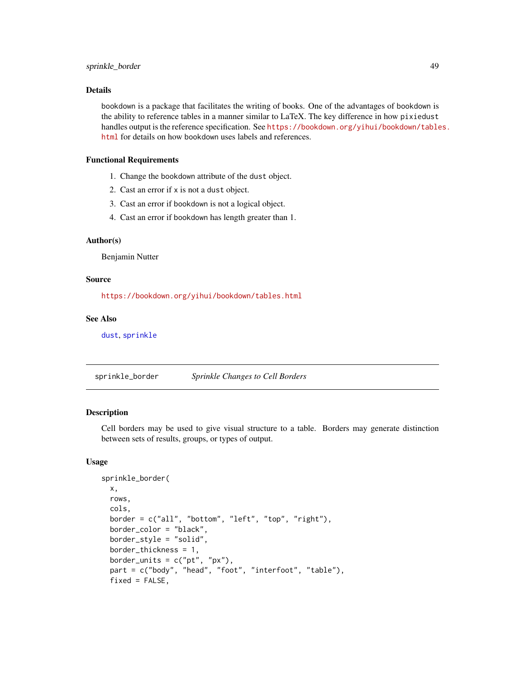# sprinkle\_border 49

## Details

bookdown is a package that facilitates the writing of books. One of the advantages of bookdown is the ability to reference tables in a manner similar to LaTeX. The key difference in how pixiedust handles output is the reference specification. See [https://bookdown.org/yihui/bookdown/table](https://bookdown.org/yihui/bookdown/tables.html)s. [html](https://bookdown.org/yihui/bookdown/tables.html) for details on how bookdown uses labels and references.

## Functional Requirements

- 1. Change the bookdown attribute of the dust object.
- 2. Cast an error if x is not a dust object.
- 3. Cast an error if bookdown is not a logical object.
- 4. Cast an error if bookdown has length greater than 1.

# Author(s)

Benjamin Nutter

## Source

<https://bookdown.org/yihui/bookdown/tables.html>

#### See Also

[dust](#page-3-0), [sprinkle](#page-27-0)

sprinkle\_border *Sprinkle Changes to Cell Borders*

## Description

Cell borders may be used to give visual structure to a table. Borders may generate distinction between sets of results, groups, or types of output.

```
sprinkle_border(
  x,
  rows,
  cols,
  border = c("all", "bottom", "left", "top", "right"),
 border_color = "black",
 border_style = "solid",
 border_thickness = 1,
 border_units = c("pt", "px"),
  part = c("body", "head", "foot", "interfoot", "table"),
  fixed = FALSE,
```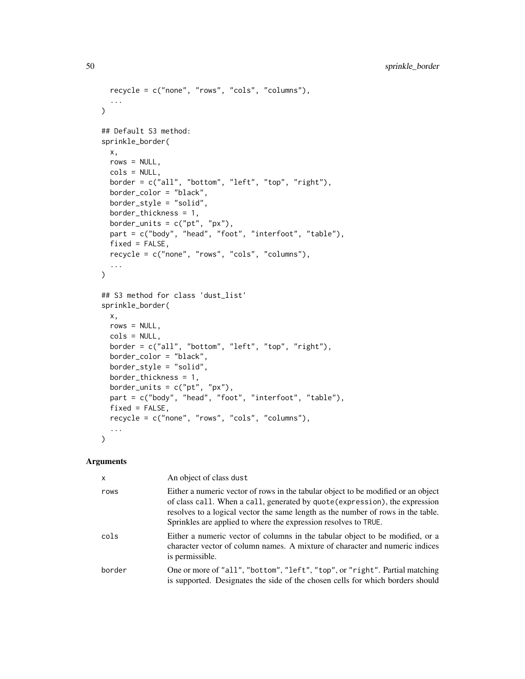```
recycle = c("none", "rows", "cols", "columns"),
  ...
\sum_{i=1}^{n}## Default S3 method:
sprinkle_border(
 x,
 rows = NULL,cols = NULL,
 border = c("all", "bottom", "left", "top", "right","),
 border_color = "black",
 border_style = "solid",
 border_thickness = 1,
 border_units = c("pt", "px"),
 part = c("body", "head", "foot", "interfoot", "table"),
 fixed = FALSE,recycle = c("none", "rows", "cols", "columns"),
  ...
\lambda## S3 method for class 'dust_list'
sprinkle_border(
 x,
 rows = NULL,cols = NULL,
 border = c("all", "bottom", "left", "top", "right"),
 border_color = "black",
 border_style = "solid",
 border_thickness = 1,
 border_units = c("pt", "px"),
  part = c("body", "head", "foot", "interfoot", "table"),
 fixed = FALSE,recycle = c("none", "rows", "cols", "columns"),
  ...
\mathcal{L}
```
## Arguments

| $\mathsf{x}$ | An object of class dust                                                                                                                                                                                                                                                                                                 |
|--------------|-------------------------------------------------------------------------------------------------------------------------------------------------------------------------------------------------------------------------------------------------------------------------------------------------------------------------|
| rows         | Either a numeric vector of rows in the tabular object to be modified or an object<br>of class call. When a call, generated by quote (expression), the expression<br>resolves to a logical vector the same length as the number of rows in the table.<br>Sprinkles are applied to where the expression resolves to TRUE. |
| cols         | Either a numeric vector of columns in the tabular object to be modified, or a<br>character vector of column names. A mixture of character and numeric indices<br>is permissible.                                                                                                                                        |
| border       | One or more of "all", "bottom", "left", "top", or "right". Partial matching<br>is supported. Designates the side of the chosen cells for which borders should                                                                                                                                                           |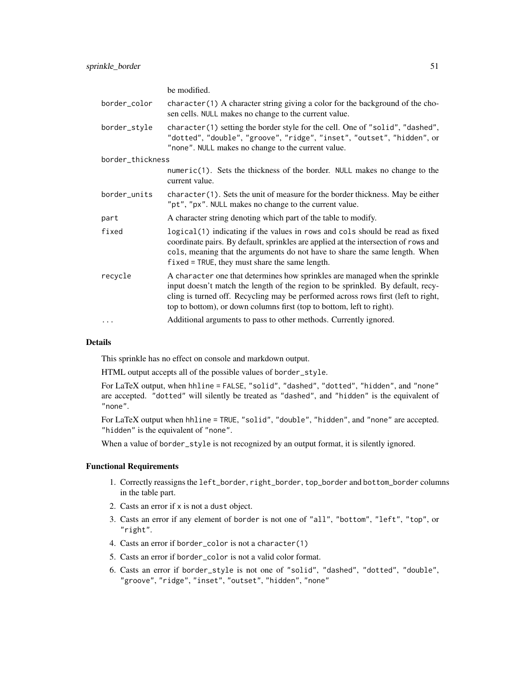|                  | be modified.                                                                                                                                                                                                                                                                                                                 |
|------------------|------------------------------------------------------------------------------------------------------------------------------------------------------------------------------------------------------------------------------------------------------------------------------------------------------------------------------|
| border_color     | $character(1)$ A character string giving a color for the background of the cho-<br>sen cells. NULL makes no change to the current value.                                                                                                                                                                                     |
| border_style     | character(1) setting the border style for the cell. One of "solid", "dashed",<br>"dotted", "double", "groove", "ridge", "inset", "outset", "hidden", or<br>"none". NULL makes no change to the current value.                                                                                                                |
| border_thickness |                                                                                                                                                                                                                                                                                                                              |
|                  | numeric(1). Sets the thickness of the border. NULL makes no change to the<br>current value.                                                                                                                                                                                                                                  |
| border_units     | $character(1)$ . Sets the unit of measure for the border thickness. May be either<br>"pt", "px". NULL makes no change to the current value.                                                                                                                                                                                  |
| part             | A character string denoting which part of the table to modify.                                                                                                                                                                                                                                                               |
| fixed            | logical(1) indicating if the values in rows and cols should be read as fixed<br>coordinate pairs. By default, sprinkles are applied at the intersection of rows and<br>cols, meaning that the arguments do not have to share the same length. When<br>$fixed = TRUE$ , they must share the same length.                      |
| recycle          | A character one that determines how sprinkles are managed when the sprinkle<br>input doesn't match the length of the region to be sprinkled. By default, recy-<br>cling is turned off. Recycling may be performed across rows first (left to right,<br>top to bottom), or down columns first (top to bottom, left to right). |
| $\cdots$         | Additional arguments to pass to other methods. Currently ignored.                                                                                                                                                                                                                                                            |

# Details

This sprinkle has no effect on console and markdown output.

HTML output accepts all of the possible values of border\_style.

For LaTeX output, when hhline = FALSE, "solid", "dashed", "dotted", "hidden", and "none" are accepted. "dotted" will silently be treated as "dashed", and "hidden" is the equivalent of "none".

For LaTeX output when hhline = TRUE, "solid", "double", "hidden", and "none" are accepted. "hidden" is the equivalent of "none".

When a value of border\_style is not recognized by an output format, it is silently ignored.

# Functional Requirements

- 1. Correctly reassigns the left\_border, right\_border, top\_border and bottom\_border columns in the table part.
- 2. Casts an error if x is not a dust object.
- 3. Casts an error if any element of border is not one of "all", "bottom", "left", "top", or "right".
- 4. Casts an error if border\_color is not a character(1)
- 5. Casts an error if border\_color is not a valid color format.
- 6. Casts an error if border\_style is not one of "solid", "dashed", "dotted", "double", "groove", "ridge", "inset", "outset", "hidden", "none"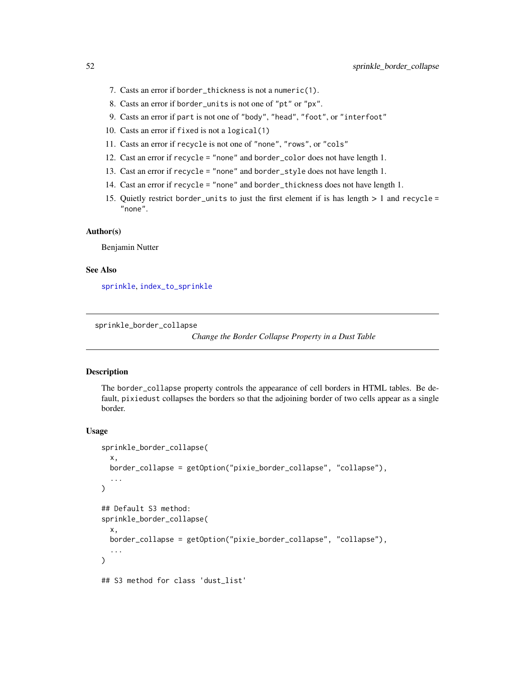- 7. Casts an error if border\_thickness is not a numeric(1).
- 8. Casts an error if border\_units is not one of "pt" or "px".
- 9. Casts an error if part is not one of "body", "head", "foot", or "interfoot"
- 10. Casts an error if fixed is not a logical(1)
- 11. Casts an error if recycle is not one of "none", "rows", or "cols"
- 12. Cast an error if recycle = "none" and border\_color does not have length 1.
- 13. Cast an error if recycle = "none" and border\_style does not have length 1.
- 14. Cast an error if recycle = "none" and border\_thickness does not have length 1.
- 15. Quietly restrict border\_units to just the first element if is has length > 1 and recycle = "none".

## Author(s)

Benjamin Nutter

# See Also

[sprinkle](#page-27-0), [index\\_to\\_sprinkle](#page-13-0)

sprinkle\_border\_collapse

*Change the Border Collapse Property in a Dust Table*

# **Description**

The border\_collapse property controls the appearance of cell borders in HTML tables. Be default, pixiedust collapses the borders so that the adjoining border of two cells appear as a single border.

```
sprinkle_border_collapse(
 x,
 border_collapse = getOption("pixie_border_collapse", "collapse"),
  ...
)
## Default S3 method:
sprinkle_border_collapse(
  x,
 border_collapse = getOption("pixie_border_collapse", "collapse"),
  ...
)
## S3 method for class 'dust_list'
```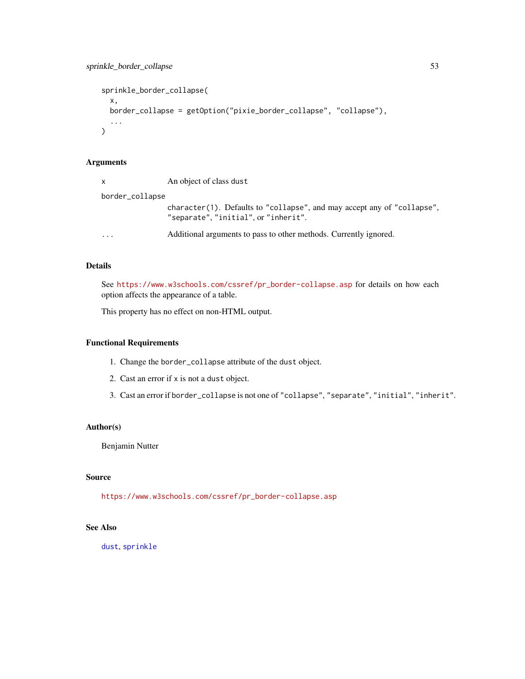```
sprinkle_border_collapse(
 x,
 border_collapse = getOption("pixie_border_collapse", "collapse"),
  ...
\mathcal{L}
```
## Arguments

|                 | $\mathsf{x}$         | An object of class dust                                                                                         |
|-----------------|----------------------|-----------------------------------------------------------------------------------------------------------------|
| border_collapse |                      |                                                                                                                 |
|                 |                      | character(1). Defaults to "collapse", and may accept any of "collapse",<br>"separate", "initial", or "inherit". |
|                 | $\ddot{\phantom{0}}$ | Additional arguments to pass to other methods. Currently ignored.                                               |

# Details

See [https://www.w3schools.com/cssref/pr\\_border-collapse.asp](https://www.w3schools.com/cssref/pr_border-collapse.asp) for details on how each option affects the appearance of a table.

This property has no effect on non-HTML output.

# Functional Requirements

- 1. Change the border\_collapse attribute of the dust object.
- 2. Cast an error if x is not a dust object.
- 3. Cast an error if border\_collapse is not one of "collapse", "separate", "initial", "inherit".

# Author(s)

Benjamin Nutter

# Source

[https://www.w3schools.com/cssref/pr\\_border-collapse.asp](https://www.w3schools.com/cssref/pr_border-collapse.asp)

# See Also

[dust](#page-3-0), [sprinkle](#page-27-0)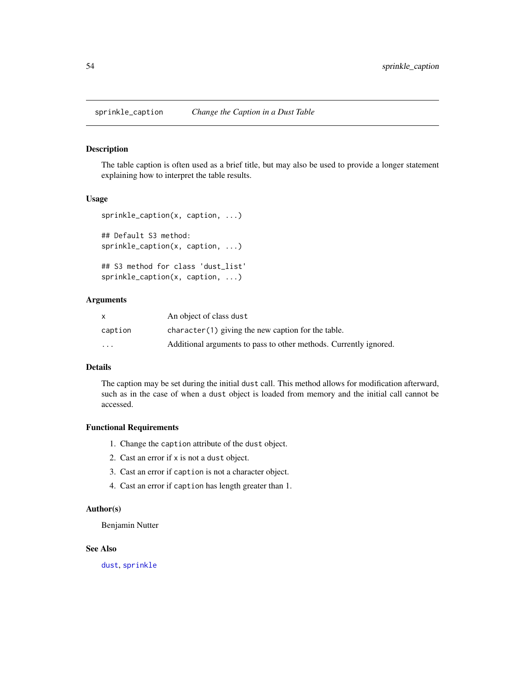## Description

The table caption is often used as a brief title, but may also be used to provide a longer statement explaining how to interpret the table results.

#### Usage

```
sprinkle_caption(x, caption, ...)
## Default S3 method:
sprinkle_caption(x, caption, ...)
## S3 method for class 'dust_list'
sprinkle_caption(x, caption, ...)
```
#### Arguments

|          | An object of class dust                                           |
|----------|-------------------------------------------------------------------|
| caption  | character(1) giving the new caption for the table.                |
| $\cdots$ | Additional arguments to pass to other methods. Currently ignored. |

# Details

The caption may be set during the initial dust call. This method allows for modification afterward, such as in the case of when a dust object is loaded from memory and the initial call cannot be accessed.

#### Functional Requirements

- 1. Change the caption attribute of the dust object.
- 2. Cast an error if x is not a dust object.
- 3. Cast an error if caption is not a character object.
- 4. Cast an error if caption has length greater than 1.

## Author(s)

Benjamin Nutter

# See Also

[dust](#page-3-0), [sprinkle](#page-27-0)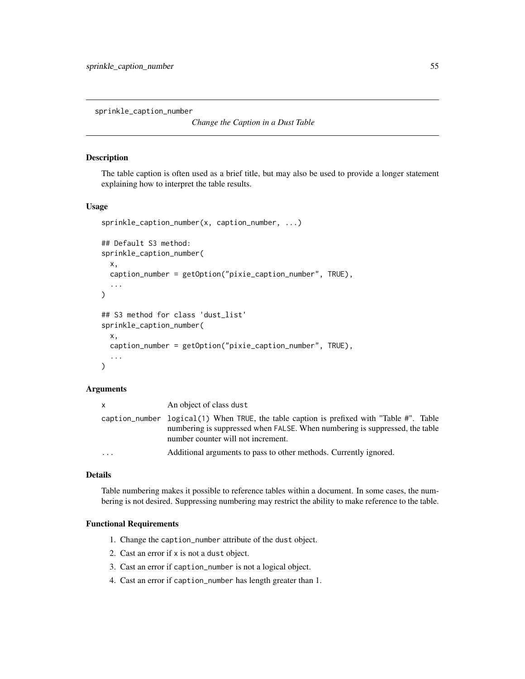sprinkle\_caption\_number

```
Change the Caption in a Dust Table
```
#### Description

The table caption is often used as a brief title, but may also be used to provide a longer statement explaining how to interpret the table results.

## Usage

```
sprinkle_caption_number(x, caption_number, ...)
## Default S3 method:
sprinkle_caption_number(
 x,
  caption_number = getOption("pixie_caption_number", TRUE),
  ...
)
## S3 method for class 'dust_list'
sprinkle_caption_number(
 x,
 caption_number = getOption("pixie_caption_number", TRUE),
  ...
)
```
#### Arguments

| X                 | An object of class dust                                                                                                                                                                                       |
|-------------------|---------------------------------------------------------------------------------------------------------------------------------------------------------------------------------------------------------------|
|                   | caption_number logical(1) When TRUE, the table caption is prefixed with "Table #". Table<br>numbering is suppressed when FALSE. When numbering is suppressed, the table<br>number counter will not increment. |
| $\cdot\cdot\cdot$ | Additional arguments to pass to other methods. Currently ignored.                                                                                                                                             |

#### Details

Table numbering makes it possible to reference tables within a document. In some cases, the numbering is not desired. Suppressing numbering may restrict the ability to make reference to the table.

# Functional Requirements

- 1. Change the caption\_number attribute of the dust object.
- 2. Cast an error if x is not a dust object.
- 3. Cast an error if caption\_number is not a logical object.
- 4. Cast an error if caption\_number has length greater than 1.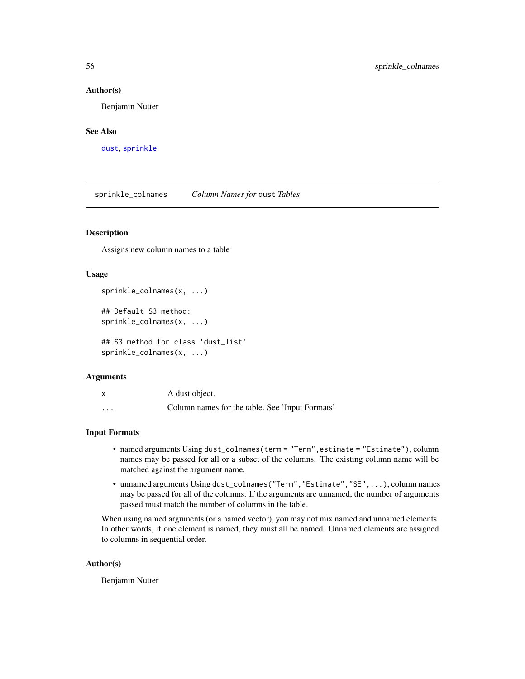#### Author(s)

Benjamin Nutter

# See Also

[dust](#page-3-0), [sprinkle](#page-27-0)

<span id="page-55-0"></span>sprinkle\_colnames *Column Names for* dust *Tables*

## Description

Assigns new column names to a table

## Usage

sprinkle\_colnames(x, ...)

## Default S3 method: sprinkle\_colnames(x, ...)

## S3 method for class 'dust\_list' sprinkle\_colnames(x, ...)

## Arguments

| X                       | A dust object.                                  |
|-------------------------|-------------------------------------------------|
| $\cdot$ $\cdot$ $\cdot$ | Column names for the table. See 'Input Formats' |

#### Input Formats

- named arguments Using dust\_colnames(term = "Term",estimate = "Estimate"), column names may be passed for all or a subset of the columns. The existing column name will be matched against the argument name.
- unnamed arguments Using dust\_colnames("Term","Estimate","SE",...), column names may be passed for all of the columns. If the arguments are unnamed, the number of arguments passed must match the number of columns in the table.

When using named arguments (or a named vector), you may not mix named and unnamed elements. In other words, if one element is named, they must all be named. Unnamed elements are assigned to columns in sequential order.

#### Author(s)

Benjamin Nutter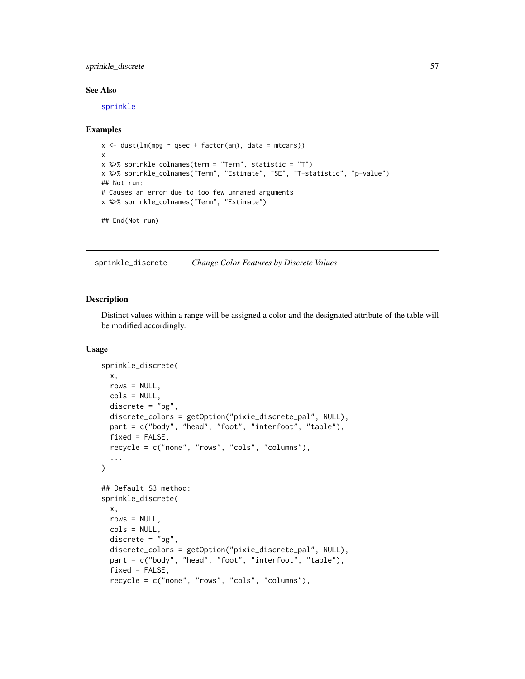# sprinkle\_discrete 57

#### See Also

[sprinkle](#page-27-0)

#### Examples

```
x \le dust(lm(mpg \sim qsec + factor(am), data = mtcars))
x
x %>% sprinkle_colnames(term = "Term", statistic = "T")
x %>% sprinkle_colnames("Term", "Estimate", "SE", "T-statistic", "p-value")
## Not run:
# Causes an error due to too few unnamed arguments
x %>% sprinkle_colnames("Term", "Estimate")
```

```
## End(Not run)
```
sprinkle\_discrete *Change Color Features by Discrete Values*

#### Description

Distinct values within a range will be assigned a color and the designated attribute of the table will be modified accordingly.

```
sprinkle_discrete(
  x,
 rows = NULL,cols = NULL,discrete = "bg",
 discrete_colors = getOption("pixie_discrete_pal", NULL),
 part = c("body", "head", "foot", "interfoot", "table"),
 fixed = FALSE,recycle = c("none", "rows", "cols", "columns"),
  ...
\lambda## Default S3 method:
sprinkle_discrete(
 x,
 rows = NULL,cols = NULL,
 discrete = "bg",discrete_colors = getOption("pixie_discrete_pal", NULL),
 part = c("body", "head", "foot", "interfoot", "table"),
  fixed = FALSE,recycle = c("none", "rows", "cols", "columns"),
```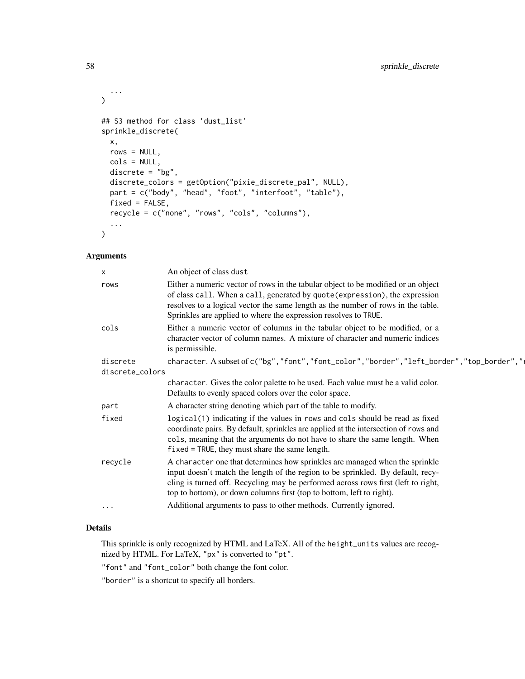```
...
\mathcal{L}## S3 method for class 'dust_list'
sprinkle_discrete(
 x,
 rows = NULL,cols = NULL,
 discrete = "bg",
 discrete_colors = getOption("pixie_discrete_pal", NULL),
 part = c("body", "head", "foot", "interfoot", "table"),
 fixed = FALSE,recycle = c("none", "rows", "cols", "columns"),
  ...
\mathcal{L}
```
#### Arguments

| x                           | An object of class dust                                                                                                                                                                                                                                                                                                      |
|-----------------------------|------------------------------------------------------------------------------------------------------------------------------------------------------------------------------------------------------------------------------------------------------------------------------------------------------------------------------|
| rows                        | Either a numeric vector of rows in the tabular object to be modified or an object<br>of class call. When a call, generated by quote (expression), the expression<br>resolves to a logical vector the same length as the number of rows in the table.<br>Sprinkles are applied to where the expression resolves to TRUE.      |
| cols                        | Either a numeric vector of columns in the tabular object to be modified, or a<br>character vector of column names. A mixture of character and numeric indices<br>is permissible.                                                                                                                                             |
| discrete<br>discrete_colors | character. A subset of c("bg", "font", "font_color", "border", "left_border", "top_border","                                                                                                                                                                                                                                 |
|                             | character. Gives the color palette to be used. Each value must be a valid color.<br>Defaults to evenly spaced colors over the color space.                                                                                                                                                                                   |
| part                        | A character string denoting which part of the table to modify.                                                                                                                                                                                                                                                               |
| fixed                       | logical(1) indicating if the values in rows and cols should be read as fixed<br>coordinate pairs. By default, sprinkles are applied at the intersection of rows and<br>cols, meaning that the arguments do not have to share the same length. When<br>$fixed = TRUE$ , they must share the same length.                      |
| recycle                     | A character one that determines how sprinkles are managed when the sprinkle<br>input doesn't match the length of the region to be sprinkled. By default, recy-<br>cling is turned off. Recycling may be performed across rows first (left to right,<br>top to bottom), or down columns first (top to bottom, left to right). |
| $\cdots$                    | Additional arguments to pass to other methods. Currently ignored.                                                                                                                                                                                                                                                            |
|                             |                                                                                                                                                                                                                                                                                                                              |

# Details

This sprinkle is only recognized by HTML and LaTeX. All of the height\_units values are recognized by HTML. For LaTeX, "px" is converted to "pt".

"font" and "font\_color" both change the font color.

"border" is a shortcut to specify all borders.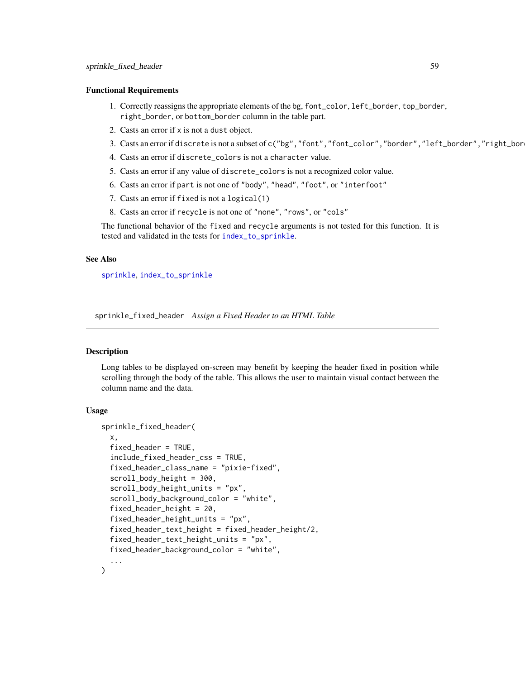#### Functional Requirements

- 1. Correctly reassigns the appropriate elements of the bg, font\_color, left\_border, top\_border, right\_border, or bottom\_border column in the table part.
- 2. Casts an error if x is not a dust object.
- 3. Casts an error if discrete is not a subset of c("bg", "font", "font\_color", "border", "left\_border", "right\_bor
- 4. Casts an error if discrete\_colors is not a character value.
- 5. Casts an error if any value of discrete\_colors is not a recognized color value.
- 6. Casts an error if part is not one of "body", "head", "foot", or "interfoot"
- 7. Casts an error if fixed is not a logical(1)
- 8. Casts an error if recycle is not one of "none", "rows", or "cols"

The functional behavior of the fixed and recycle arguments is not tested for this function. It is tested and validated in the tests for [index\\_to\\_sprinkle](#page-13-0).

# See Also

[sprinkle](#page-27-0), [index\\_to\\_sprinkle](#page-13-0)

sprinkle\_fixed\_header *Assign a Fixed Header to an HTML Table*

## Description

Long tables to be displayed on-screen may benefit by keeping the header fixed in position while scrolling through the body of the table. This allows the user to maintain visual contact between the column name and the data.

```
sprinkle_fixed_header(
 x,
  fixed_header = TRUE,
  include_fixed_header_css = TRUE,
  fixed_header_class_name = "pixie-fixed",
  scroll_body_height = 300,
  scroll_body_height_units = "px",
  scroll_body_background_color = "white",
  fixed_header_height = 20,
  fixed_header_height_units = "px",
  fixed_header_text_height = fixed_header_height/2,
  fixed_header_text_height_units = "px",
  fixed_header_background_color = "white",
  ...
)
```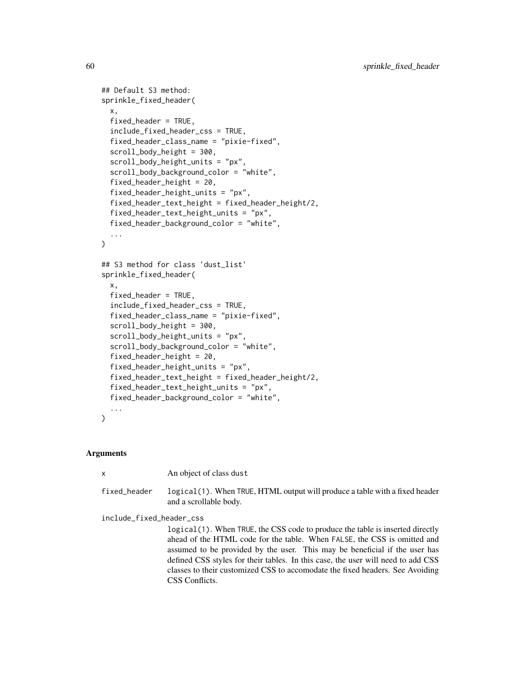```
## Default S3 method:
sprinkle_fixed_header(
  x,
  fixed_header = TRUE,
  include_fixed_header_css = TRUE,
  fixed_header_class_name = "pixie-fixed",
  scroll_body_height = 300,
  scroll_body_height_units = "px",
  scroll_body_background_color = "white",
  fixed_header_height = 20,
  fixed_header_height_units = "px",
  fixed_header_text_height = fixed_header_height/2,
  fixed_header_text_height_units = "px",
  fixed_header_background_color = "white",
  ...
)
## S3 method for class 'dust_list'
sprinkle_fixed_header(
  x,
  fixed_header = TRUE,
  include_fixed_header_css = TRUE,
  fixed_header_class_name = "pixie-fixed",
  scroll_body_height = 300,
  scroll_body_height_units = "px",
  scroll_body_background_color = "white",
  fixed_header_height = 20,
  fixed_header_height_units = "px",
  fixed_header_text_height = fixed_header_height/2,
  fixed_header_text_height_units = "px",
  fixed_header_background_color = "white",
  ...
)
```
## Arguments

x An object of class dust

fixed\_header logical(1). When TRUE, HTML output will produce a table with a fixed header and a scrollable body.

include\_fixed\_header\_css

logical(1). When TRUE, the CSS code to produce the table is inserted directly ahead of the HTML code for the table. When FALSE, the CSS is omitted and assumed to be provided by the user. This may be beneficial if the user has defined CSS styles for their tables. In this case, the user will need to add CSS classes to their customized CSS to accomodate the fixed headers. See Avoiding CSS Conflicts.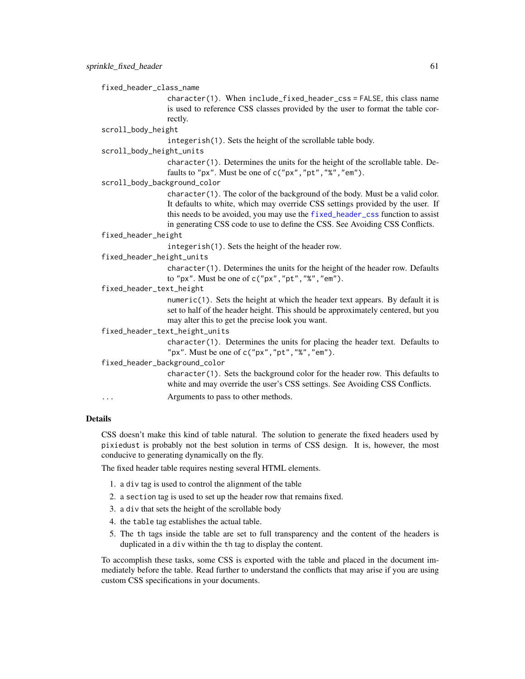fixed\_header\_class\_name

character(1). When include\_fixed\_header\_css = FALSE, this class name is used to reference CSS classes provided by the user to format the table correctly.

scroll\_body\_height

integerish(1). Sets the height of the scrollable table body.

#### scroll\_body\_height\_units

character(1). Determines the units for the height of the scrollable table. Defaults to "px". Must be one of c("px","pt","%","em").

scroll\_body\_background\_color

character(1). The color of the background of the body. Must be a valid color. It defaults to white, which may override CSS settings provided by the user. If this needs to be avoided, you may use the [fixed\\_header\\_css](#page-7-0) function to assist in generating CSS code to use to define the CSS. See Avoiding CSS Conflicts.

#### fixed\_header\_height

integerish(1). Sets the height of the header row.

fixed\_header\_height\_units

character(1). Determines the units for the height of the header row. Defaults to "px". Must be one of  $c("px", "pt", "%", "em").$ 

fixed\_header\_text\_height

numeric(1). Sets the height at which the header text appears. By default it is set to half of the header height. This should be approximately centered, but you may alter this to get the precise look you want.

fixed\_header\_text\_height\_units

character(1). Determines the units for placing the header text. Defaults to "px". Must be one of c("px","pt","%","em").

fixed\_header\_background\_color

character(1). Sets the background color for the header row. This defaults to white and may override the user's CSS settings. See Avoiding CSS Conflicts.

... Arguments to pass to other methods.

## Details

CSS doesn't make this kind of table natural. The solution to generate the fixed headers used by pixiedust is probably not the best solution in terms of CSS design. It is, however, the most conducive to generating dynamically on the fly.

The fixed header table requires nesting several HTML elements.

- 1. a div tag is used to control the alignment of the table
- 2. a section tag is used to set up the header row that remains fixed.
- 3. a div that sets the height of the scrollable body
- 4. the table tag establishes the actual table.
- 5. The th tags inside the table are set to full transparency and the content of the headers is duplicated in a div within the th tag to display the content.

To accomplish these tasks, some CSS is exported with the table and placed in the document immediately before the table. Read further to understand the conflicts that may arise if you are using custom CSS specifications in your documents.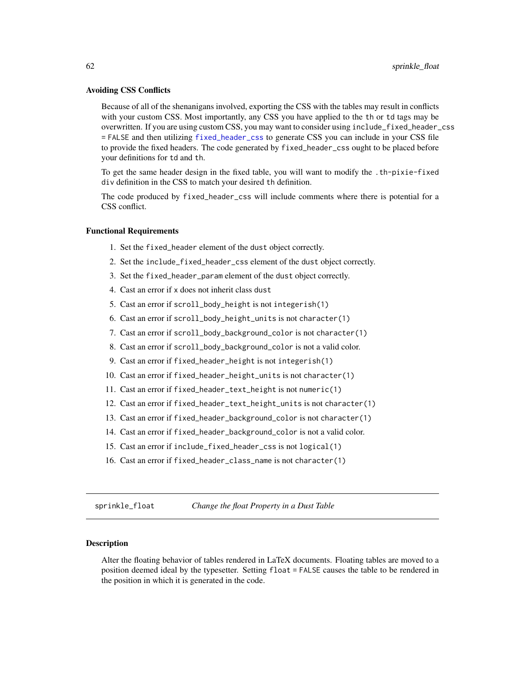#### Avoiding CSS Conflicts

Because of all of the shenanigans involved, exporting the CSS with the tables may result in conflicts with your custom CSS. Most importantly, any CSS you have applied to the th or td tags may be overwritten. If you are using custom CSS, you may want to consider using include\_fixed\_header\_css = FALSE and then utilizing [fixed\\_header\\_css](#page-7-0) to generate CSS you can include in your CSS file to provide the fixed headers. The code generated by fixed\_header\_css ought to be placed before your definitions for td and th.

To get the same header design in the fixed table, you will want to modify the .th-pixie-fixed div definition in the CSS to match your desired th definition.

The code produced by fixed\_header\_css will include comments where there is potential for a CSS conflict.

## Functional Requirements

- 1. Set the fixed\_header element of the dust object correctly.
- 2. Set the include\_fixed\_header\_css element of the dust object correctly.
- 3. Set the fixed\_header\_param element of the dust object correctly.
- 4. Cast an error if x does not inherit class dust
- 5. Cast an error if scroll\_body\_height is not integerish(1)
- 6. Cast an error if scroll\_body\_height\_units is not character(1)
- 7. Cast an error if scroll\_body\_background\_color is not character(1)
- 8. Cast an error if scroll\_body\_background\_color is not a valid color.
- 9. Cast an error if fixed\_header\_height is not integerish(1)
- 10. Cast an error if fixed\_header\_height\_units is not character(1)
- 11. Cast an error if fixed\_header\_text\_height is not numeric(1)
- 12. Cast an error if fixed\_header\_text\_height\_units is not character(1)
- 13. Cast an error if fixed\_header\_background\_color is not character(1)
- 14. Cast an error if fixed\_header\_background\_color is not a valid color.
- 15. Cast an error if include\_fixed\_header\_css is not logical(1)
- 16. Cast an error if fixed\_header\_class\_name is not character(1)

sprinkle\_float *Change the float Property in a Dust Table*

#### Description

Alter the floating behavior of tables rendered in LaTeX documents. Floating tables are moved to a position deemed ideal by the typesetter. Setting float = FALSE causes the table to be rendered in the position in which it is generated in the code.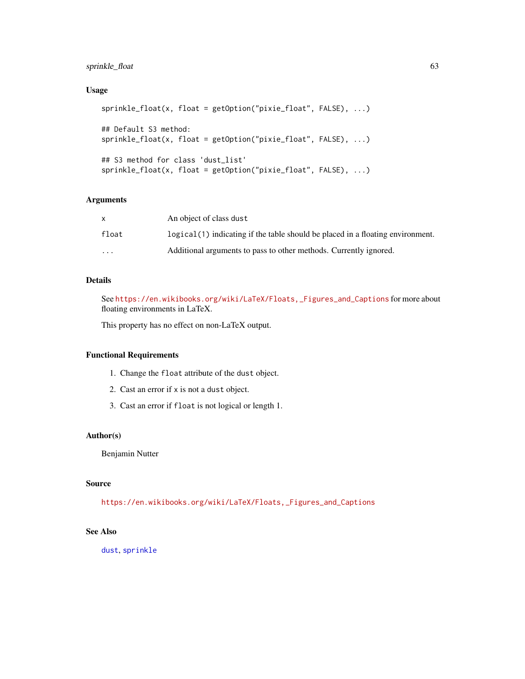# sprinkle\_float 63

# Usage

```
sprinkle_float(x, float = getOption("pixie_float", FALSE), ...)
## Default S3 method:
sprinkle_float(x, float = getOption("pixie_float", FALSE), ...)
## S3 method for class 'dust_list'
sprinkle_float(x, float = getOption("pixie_float", FALSE), ...)
```
# Arguments

| X     | An object of class dust                                                          |
|-------|----------------------------------------------------------------------------------|
| float | $logical(1)$ indicating if the table should be placed in a floating environment. |
| .     | Additional arguments to pass to other methods. Currently ignored.                |

# Details

See [https://en.wikibooks.org/wiki/LaTeX/Floats,\\_Figures\\_and\\_Captions](https://en.wikibooks.org/wiki/LaTeX/Floats,_Figures_and_Captions) for more about floating environments in LaTeX.

This property has no effect on non-LaTeX output.

## Functional Requirements

- 1. Change the float attribute of the dust object.
- 2. Cast an error if x is not a dust object.
- 3. Cast an error if float is not logical or length 1.

# Author(s)

Benjamin Nutter

## Source

[https://en.wikibooks.org/wiki/LaTeX/Floats,\\_Figures\\_and\\_Captions](https://en.wikibooks.org/wiki/LaTeX/Floats,_Figures_and_Captions)

# See Also

[dust](#page-3-0), [sprinkle](#page-27-0)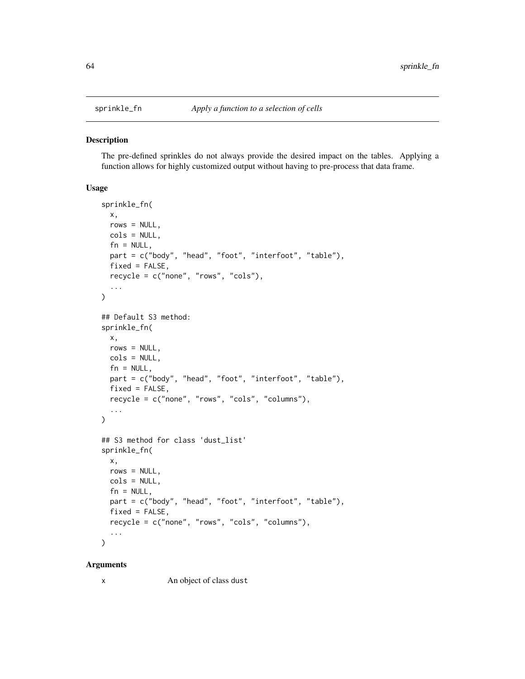#### **Description**

The pre-defined sprinkles do not always provide the desired impact on the tables. Applying a function allows for highly customized output without having to pre-process that data frame.

# Usage

```
sprinkle_fn(
  x,
  rows = NULL,cols = NULL,
  fn = NULL,part = c("body", "head", "foot", "interfoot", "table"),
  fixed = FALSE,recycle = c("none", "rows", "cols"),
  ...
\mathcal{L}## Default S3 method:
sprinkle_fn(
 x,
  rows = NULL,cols = NULL,
  fn = NULL,part = c("body", "head", "foot", "interfoot", "table"),
  fixed = FALSE,recycle = c("none", "rows", "cols", "columns"),
  ...
)
## S3 method for class 'dust_list'
sprinkle_fn(
 x,
 rows = NULL,cols = NULL,
  fn = NULL,part = c("body", "head", "foot", "interfoot", "table"),
  fixed = FALSE,recycle = c("none", "rows", "cols", "columns"),
  ...
)
```
#### Arguments

x An object of class dust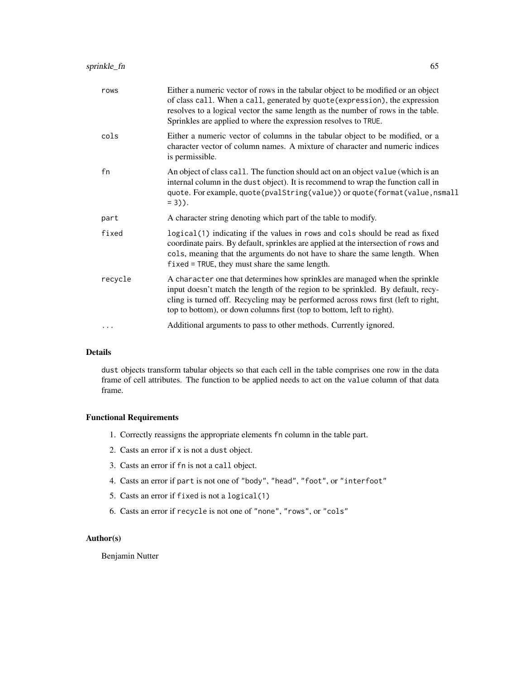| rows    | Either a numeric vector of rows in the tabular object to be modified or an object<br>of class call. When a call, generated by quote (expression), the expression<br>resolves to a logical vector the same length as the number of rows in the table.<br>Sprinkles are applied to where the expression resolves to TRUE.      |
|---------|------------------------------------------------------------------------------------------------------------------------------------------------------------------------------------------------------------------------------------------------------------------------------------------------------------------------------|
| cols    | Either a numeric vector of columns in the tabular object to be modified, or a<br>character vector of column names. A mixture of character and numeric indices<br>is permissible.                                                                                                                                             |
| fn      | An object of class call. The function should act on an object value (which is an<br>internal column in the dust object). It is recommend to wrap the function call in<br>quote. For example, quote(pvalString(value)) or quote(format(value, nsmall<br>$= 3$ ).                                                              |
| part    | A character string denoting which part of the table to modify.                                                                                                                                                                                                                                                               |
| fixed   | logical(1) indicating if the values in rows and cols should be read as fixed<br>coordinate pairs. By default, sprinkles are applied at the intersection of rows and<br>cols, meaning that the arguments do not have to share the same length. When<br>$fixed = TRUE$ , they must share the same length.                      |
| recycle | A character one that determines how sprinkles are managed when the sprinkle<br>input doesn't match the length of the region to be sprinkled. By default, recy-<br>cling is turned off. Recycling may be performed across rows first (left to right,<br>top to bottom), or down columns first (top to bottom, left to right). |
|         | Additional arguments to pass to other methods. Currently ignored.                                                                                                                                                                                                                                                            |
|         |                                                                                                                                                                                                                                                                                                                              |

# Details

dust objects transform tabular objects so that each cell in the table comprises one row in the data frame of cell attributes. The function to be applied needs to act on the value column of that data frame.

# Functional Requirements

- 1. Correctly reassigns the appropriate elements fn column in the table part.
- 2. Casts an error if x is not a dust object.
- 3. Casts an error if fn is not a call object.
- 4. Casts an error if part is not one of "body", "head", "foot", or "interfoot"
- 5. Casts an error if fixed is not a logical(1)
- 6. Casts an error if recycle is not one of "none", "rows", or "cols"

## Author(s)

Benjamin Nutter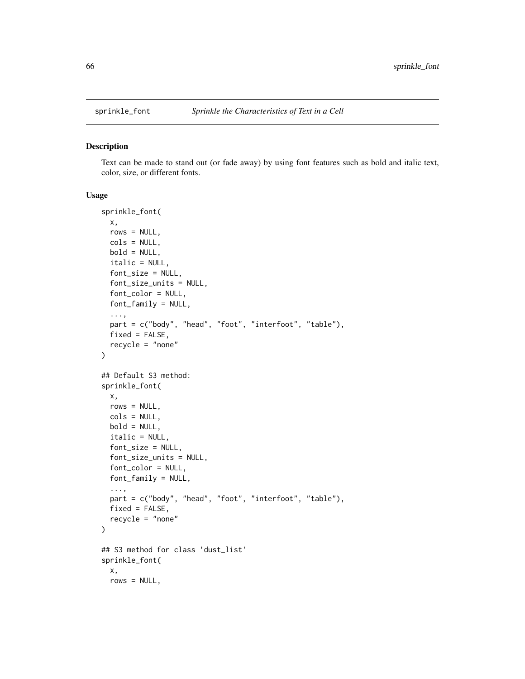#### Description

Text can be made to stand out (or fade away) by using font features such as bold and italic text, color, size, or different fonts.

```
sprinkle_font(
 x,
 rows = NULL,cols = NULL,
 bold = NULL,italic = NULL,
  font_size = NULL,
  font_size_units = NULL,
  font_color = NULL,
  font_family = NULL,
  ...,
 part = c("body", "head", "foot", "interfoot", "table"),
 fixed = FALSE,recycle = "none"
\lambda## Default S3 method:
sprinkle_font(
 x,
 rows = NULL,cols = NULL,
 bold = NULL,italic = NULL,
  font_size = NULL,
  font_size_units = NULL,
  font_color = NULL,
 font_family = NULL,
  ...,
 part = c("body", "head", "foot", "interfoot", "table"),
 fixed = FALSE,recycle = "none"
)
## S3 method for class 'dust_list'
sprinkle_font(
 x,
 rows = NULL,
```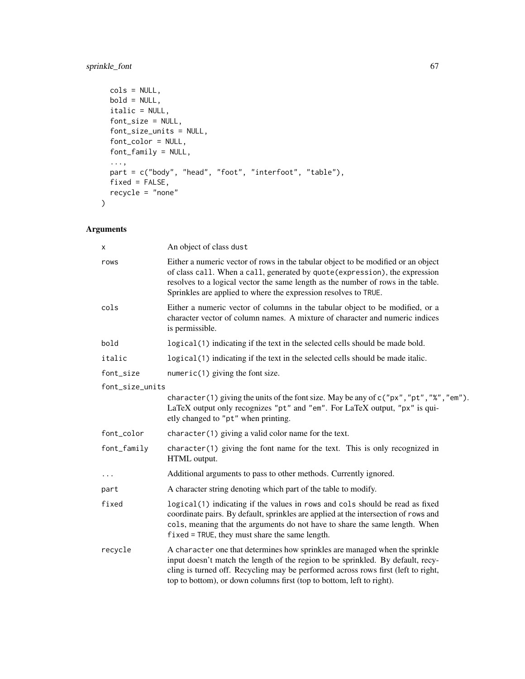# sprinkle\_font 67

```
cols = NULL,bold = NULL,italic = NULL,
font_size = NULL,
font_size_units = NULL,
font_color = NULL,
font_family = NULL,
...,
part = c("body", "head", "foot", "interfoot", "table"),
fixed = FALSE,recycle = "none"
```
# Arguments

 $\mathcal{L}$ 

| x                                                                                                                                                                                                                                                                                                                | An object of class dust                                                                                                                                                                                                                                                                                                      |  |
|------------------------------------------------------------------------------------------------------------------------------------------------------------------------------------------------------------------------------------------------------------------------------------------------------------------|------------------------------------------------------------------------------------------------------------------------------------------------------------------------------------------------------------------------------------------------------------------------------------------------------------------------------|--|
| rows                                                                                                                                                                                                                                                                                                             | Either a numeric vector of rows in the tabular object to be modified or an object<br>of class call. When a call, generated by quote (expression), the expression<br>resolves to a logical vector the same length as the number of rows in the table.<br>Sprinkles are applied to where the expression resolves to TRUE.      |  |
| cols                                                                                                                                                                                                                                                                                                             | Either a numeric vector of columns in the tabular object to be modified, or a<br>character vector of column names. A mixture of character and numeric indices<br>is permissible.                                                                                                                                             |  |
| bold                                                                                                                                                                                                                                                                                                             | logical (1) indicating if the text in the selected cells should be made bold.                                                                                                                                                                                                                                                |  |
| italic                                                                                                                                                                                                                                                                                                           | logical (1) indicating if the text in the selected cells should be made italic.                                                                                                                                                                                                                                              |  |
| font_size                                                                                                                                                                                                                                                                                                        | $numeric(1)$ giving the font size.                                                                                                                                                                                                                                                                                           |  |
| font_size_units                                                                                                                                                                                                                                                                                                  |                                                                                                                                                                                                                                                                                                                              |  |
|                                                                                                                                                                                                                                                                                                                  | character(1) giving the units of the font size. May be any of c("px", "pt", "%", "em").<br>LaTeX output only recognizes "pt" and "em". For LaTeX output, "px" is qui-<br>etly changed to "pt" when printing.                                                                                                                 |  |
| font_color                                                                                                                                                                                                                                                                                                       | $character(1)$ giving a valid color name for the text.                                                                                                                                                                                                                                                                       |  |
| font_family                                                                                                                                                                                                                                                                                                      | $character(1)$ giving the font name for the text. This is only recognized in<br>HTML output.                                                                                                                                                                                                                                 |  |
| $\cdots$                                                                                                                                                                                                                                                                                                         | Additional arguments to pass to other methods. Currently ignored.                                                                                                                                                                                                                                                            |  |
| part                                                                                                                                                                                                                                                                                                             | A character string denoting which part of the table to modify.                                                                                                                                                                                                                                                               |  |
| fixed<br>logical(1) indicating if the values in rows and cols should be read as fixed<br>coordinate pairs. By default, sprinkles are applied at the intersection of rows and<br>cols, meaning that the arguments do not have to share the same length. When<br>$fixed = TRUE$ , they must share the same length. |                                                                                                                                                                                                                                                                                                                              |  |
| recycle                                                                                                                                                                                                                                                                                                          | A character one that determines how sprinkles are managed when the sprinkle<br>input doesn't match the length of the region to be sprinkled. By default, recy-<br>cling is turned off. Recycling may be performed across rows first (left to right,<br>top to bottom), or down columns first (top to bottom, left to right). |  |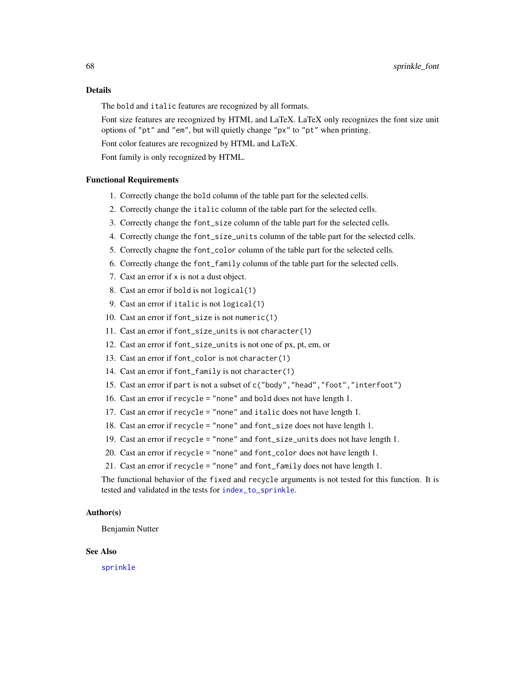The bold and italic features are recognized by all formats.

Font size features are recognized by HTML and LaTeX. LaTeX only recognizes the font size unit options of "pt" and "em", but will quietly change "px" to "pt" when printing.

Font color features are recognized by HTML and LaTeX.

Font family is only recognized by HTML.

## Functional Requirements

- 1. Correctly change the bold column of the table part for the selected cells.
- 2. Correctly change the italic column of the table part for the selected cells.
- 3. Correctly change the font\_size column of the table part for the selected cells.
- 4. Correctly change the font\_size\_units column of the table part for the selected cells.
- 5. Correctly chagne the font\_color column of the table part for the selected cells.
- 6. Correctly change the font\_family column of the table part for the selected cells.
- 7. Cast an error if x is not a dust object.
- 8. Cast an error if bold is not logical(1)
- 9. Cast an error if italic is not logical(1)
- 10. Cast an error if font\_size is not numeric(1)
- 11. Cast an error if font\_size\_units is not character(1)
- 12. Cast an error if font\_size\_units is not one of px, pt, em, or
- 13. Cast an error if font\_color is not character(1)
- 14. Cast an error if font\_family is not character(1)
- 15. Cast an error if part is not a subset of c("body","head","foot","interfoot")
- 16. Cast an error if recycle = "none" and bold does not have length 1.
- 17. Cast an error if recycle = "none" and italic does not have length 1.
- 18. Cast an error if recycle = "none" and font\_size does not have length 1.
- 19. Cast an error if recycle = "none" and font\_size\_units does not have length 1.
- 20. Cast an error if recycle = "none" and font\_color does not have length 1.
- 21. Cast an error if recycle = "none" and font\_family does not have length 1.

The functional behavior of the fixed and recycle arguments is not tested for this function. It is tested and validated in the tests for [index\\_to\\_sprinkle](#page-13-0).

## Author(s)

Benjamin Nutter

#### See Also

[sprinkle](#page-27-0)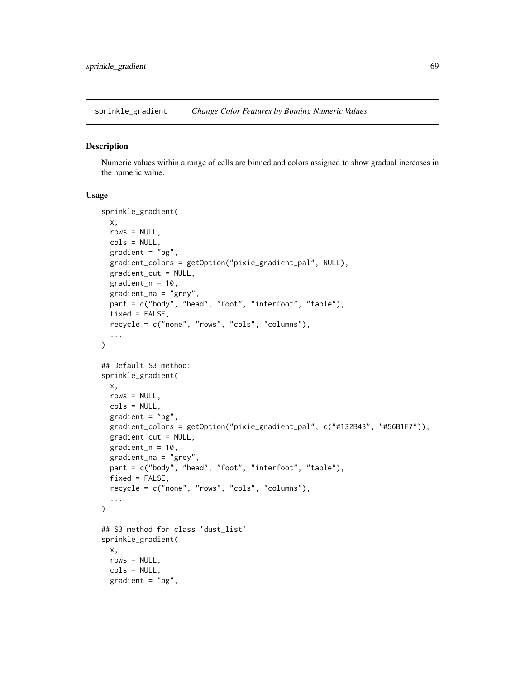sprinkle\_gradient *Change Color Features by Binning Numeric Values*

#### Description

Numeric values within a range of cells are binned and colors assigned to show gradual increases in the numeric value.

```
sprinkle_gradient(
 x,
 rows = NULL,
 cols = NULL,
  gradient = "bg",gradient_colors = getOption("pixie_gradient_pal", NULL),
 gradient_cut = NULL,
 gradient_n = 10,
 gradient_na = "grey",
 part = c("body", "head", "foot", "interfoot", "table"),
 fixed = FALSE,recycle = c("none", "rows", "cols", "columns"),
  ...
\mathcal{L}## Default S3 method:
sprinkle_gradient(
 x,
 rows = NULL,cols = NULL,
  gradient = "bg",gradient_colors = getOption("pixie_gradient_pal", c("#132B43", "#56B1F7")),
 gradient_cut = NULL,
 gradient_n = 10,
 gradient_na = "grey",
 part = c("body", "head", "foot", "interfoot", "table"),
 fixed = FALSE,recycle = c("none", "rows", "cols", "columns"),
  ...
\mathcal{L}## S3 method for class 'dust_list'
sprinkle_gradient(
 x,
 rows = NULL,cols = NULL,
 gradient = "bg",
```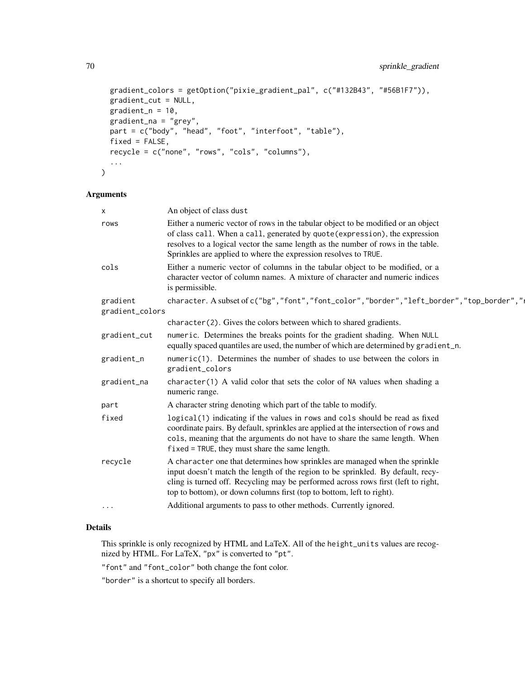```
gradient_colors = getOption("pixie_gradient_pal", c("#132B43", "#56B1F7")),
gradient_cut = NULL,
gradient_n = 10,
gradient_na = "grey",
part = c("body", "head", "foot", "interfoot", "table"),
fixed = FALSE,recycle = c("none", "rows", "cols", "columns"),
...
```
## Arguments

)

| X               | An object of class dust                                                                                                                                                                                                                                                                                                      |
|-----------------|------------------------------------------------------------------------------------------------------------------------------------------------------------------------------------------------------------------------------------------------------------------------------------------------------------------------------|
| rows            | Either a numeric vector of rows in the tabular object to be modified or an object<br>of class call. When a call, generated by quote (expression), the expression<br>resolves to a logical vector the same length as the number of rows in the table.<br>Sprinkles are applied to where the expression resolves to TRUE.      |
| cols            | Either a numeric vector of columns in the tabular object to be modified, or a<br>character vector of column names. A mixture of character and numeric indices<br>is permissible.                                                                                                                                             |
| gradient        | character. A subset of c("bg", "font", "font_color", "border", "left_border", "top_border","                                                                                                                                                                                                                                 |
| gradient_colors |                                                                                                                                                                                                                                                                                                                              |
|                 | character (2). Gives the colors between which to shared gradients.                                                                                                                                                                                                                                                           |
| gradient_cut    | numeric. Determines the breaks points for the gradient shading. When NULL<br>equally spaced quantiles are used, the number of which are determined by gradient_n.                                                                                                                                                            |
| gradient_n      | $numeric(1)$ . Determines the number of shades to use between the colors in<br>gradient_colors                                                                                                                                                                                                                               |
| gradient_na     | $character(1)$ A valid color that sets the color of NA values when shading a<br>numeric range.                                                                                                                                                                                                                               |
| part            | A character string denoting which part of the table to modify.                                                                                                                                                                                                                                                               |
| fixed           | logical(1) indicating if the values in rows and cols should be read as fixed<br>coordinate pairs. By default, sprinkles are applied at the intersection of rows and<br>cols, meaning that the arguments do not have to share the same length. When<br>$fixed = TRUE$ , they must share the same length.                      |
| recycle         | A character one that determines how sprinkles are managed when the sprinkle<br>input doesn't match the length of the region to be sprinkled. By default, recy-<br>cling is turned off. Recycling may be performed across rows first (left to right,<br>top to bottom), or down columns first (top to bottom, left to right). |
| $\cdots$        | Additional arguments to pass to other methods. Currently ignored.                                                                                                                                                                                                                                                            |
|                 |                                                                                                                                                                                                                                                                                                                              |

# Details

This sprinkle is only recognized by HTML and LaTeX. All of the height\_units values are recognized by HTML. For LaTeX, "px" is converted to "pt".

"font" and "font\_color" both change the font color.

"border" is a shortcut to specify all borders.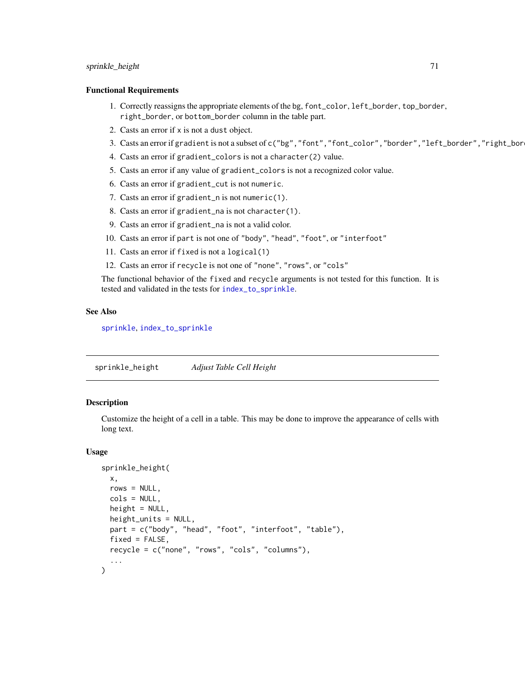# sprinkle\_height 71

#### Functional Requirements

- 1. Correctly reassigns the appropriate elements of the bg, font\_color, left\_border, top\_border, right\_border, or bottom\_border column in the table part.
- 2. Casts an error if x is not a dust object.
- 3. Casts an error if gradient is not a subset of c("bg", "font", "font\_color", "border", "left\_border", "right\_bor
- 4. Casts an error if gradient\_colors is not a character(2) value.
- 5. Casts an error if any value of gradient\_colors is not a recognized color value.
- 6. Casts an error if gradient\_cut is not numeric.
- 7. Casts an error if gradient\_n is not numeric(1).
- 8. Casts an error if gradient\_na is not character(1).
- 9. Casts an error if gradient\_na is not a valid color.
- 10. Casts an error if part is not one of "body", "head", "foot", or "interfoot"
- 11. Casts an error if fixed is not a logical(1)
- 12. Casts an error if recycle is not one of "none", "rows", or "cols"

The functional behavior of the fixed and recycle arguments is not tested for this function. It is tested and validated in the tests for [index\\_to\\_sprinkle](#page-13-0).

#### See Also

[sprinkle](#page-27-0), [index\\_to\\_sprinkle](#page-13-0)

sprinkle\_height *Adjust Table Cell Height*

## Description

Customize the height of a cell in a table. This may be done to improve the appearance of cells with long text.

```
sprinkle_height(
 x,
  rows = NULL,
 cols = NULL,
  height = NULL,height_units = NULL,
  part = c("body", "head", "foot", "interfoot", "table"),
  fixed = FALSE,
  recycle = c("none", "rows", "cols", "columns"),
  ...
)
```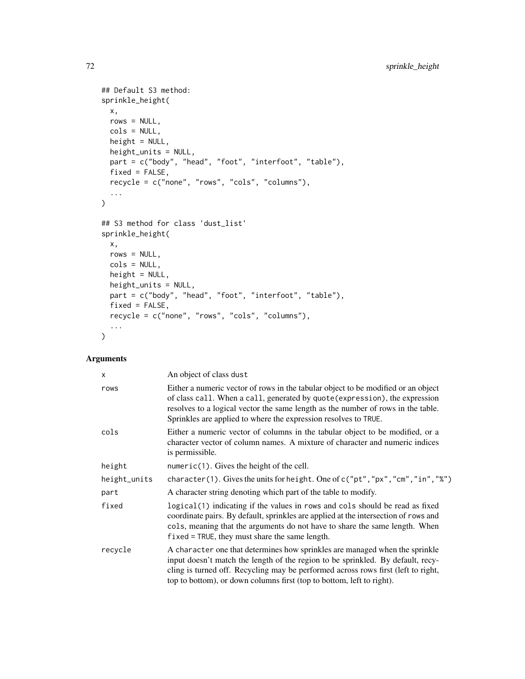```
## Default S3 method:
sprinkle_height(
 x,
 rows = NULL,cols = NULL,
 height = NULL,height_units = NULL,
 part = c("body", "head", "foot", "interfoot", "table"),
 fixed = FALSE,recycle = c("none", "rows", "cols", "columns"),
  ...
\mathcal{L}## S3 method for class 'dust_list'
sprinkle_height(
 x,
 rows = NULL,cols = NULL,
 height = NULL,height_units = NULL,
 part = c("body", "head", "foot", "interfoot", "table"),
 fixed = FALSE,recycle = c("none", "rows", "cols", "columns"),
  ...
\mathcal{L}
```
# Arguments

| X            | An object of class dust                                                                                                                                                                                                                                                                                                      |
|--------------|------------------------------------------------------------------------------------------------------------------------------------------------------------------------------------------------------------------------------------------------------------------------------------------------------------------------------|
| rows         | Either a numeric vector of rows in the tabular object to be modified or an object<br>of class call. When a call, generated by quote (expression), the expression<br>resolves to a logical vector the same length as the number of rows in the table.<br>Sprinkles are applied to where the expression resolves to TRUE.      |
| cols         | Either a numeric vector of columns in the tabular object to be modified, or a<br>character vector of column names. A mixture of character and numeric indices<br>is permissible.                                                                                                                                             |
| height       | numeric(1). Gives the height of the cell.                                                                                                                                                                                                                                                                                    |
| height_units | character(1). Gives the units for height. One of c("pt", "px", "cm", "in", "%")                                                                                                                                                                                                                                              |
| part         | A character string denoting which part of the table to modify.                                                                                                                                                                                                                                                               |
| fixed        | logical(1) indicating if the values in rows and cols should be read as fixed<br>coordinate pairs. By default, sprinkles are applied at the intersection of rows and<br>cols, meaning that the arguments do not have to share the same length. When<br>$fixed = TRUE$ , they must share the same length.                      |
| recycle      | A character one that determines how sprinkles are managed when the sprinkle<br>input doesn't match the length of the region to be sprinkled. By default, recy-<br>cling is turned off. Recycling may be performed across rows first (left to right,<br>top to bottom), or down columns first (top to bottom, left to right). |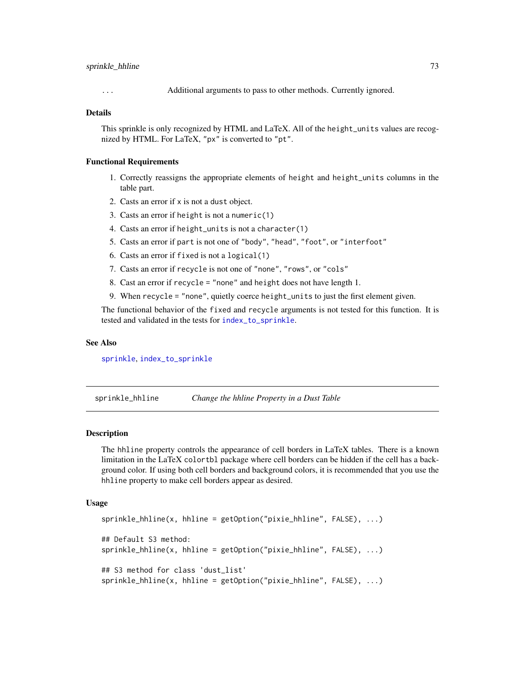## <span id="page-72-0"></span>sprinkle\_hhline 73

... Additional arguments to pass to other methods. Currently ignored.

#### Details

This sprinkle is only recognized by HTML and LaTeX. All of the height\_units values are recognized by HTML. For LaTeX, "px" is converted to "pt".

#### Functional Requirements

- 1. Correctly reassigns the appropriate elements of height and height\_units columns in the table part.
- 2. Casts an error if x is not a dust object.
- 3. Casts an error if height is not a numeric(1)
- 4. Casts an error if height\_units is not a character(1)
- 5. Casts an error if part is not one of "body", "head", "foot", or "interfoot"
- 6. Casts an error if fixed is not a logical(1)
- 7. Casts an error if recycle is not one of "none", "rows", or "cols"
- 8. Cast an error if recycle = "none" and height does not have length 1.
- 9. When recycle = "none", quietly coerce height\_units to just the first element given.

The functional behavior of the fixed and recycle arguments is not tested for this function. It is tested and validated in the tests for [index\\_to\\_sprinkle](#page-13-0).

#### See Also

[sprinkle](#page-27-0), [index\\_to\\_sprinkle](#page-13-0)

sprinkle\_hhline *Change the hhline Property in a Dust Table*

#### Description

The hhline property controls the appearance of cell borders in LaTeX tables. There is a known limitation in the LaTeX colortbl package where cell borders can be hidden if the cell has a background color. If using both cell borders and background colors, it is recommended that you use the hhline property to make cell borders appear as desired.

```
sprinkle_hhline(x, hhline = getOption("pixie_hhline", FALSE), ...)
## Default S3 method:
sprinkle_hhline(x, hhline = getOption("pixie_hhline", FALSE), ...)
## S3 method for class 'dust_list'
sprinkle_hhline(x, hhline = getOption("pixie_hhline", FALSE), ...)
```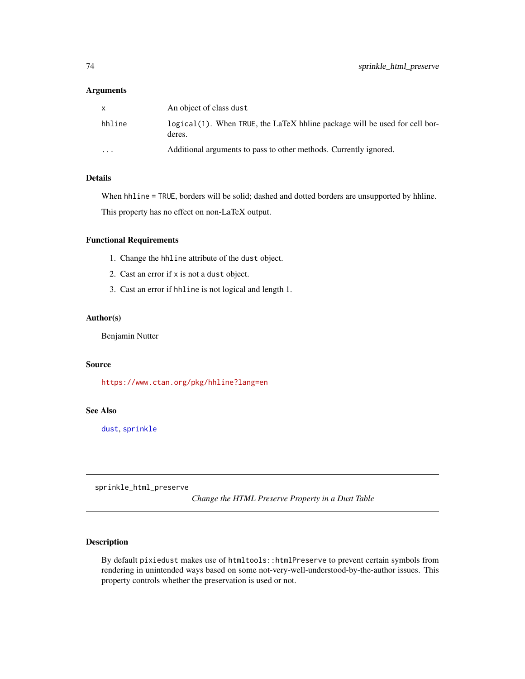<span id="page-73-0"></span>

| X        | An object of class dust                                                               |
|----------|---------------------------------------------------------------------------------------|
| hhline   | logical (1). When TRUE, the LaTeX hhline package will be used for cell bor-<br>deres. |
| $\cdots$ | Additional arguments to pass to other methods. Currently ignored.                     |

## Details

When hhline = TRUE, borders will be solid; dashed and dotted borders are unsupported by hhline.

This property has no effect on non-LaTeX output.

# Functional Requirements

- 1. Change the hhline attribute of the dust object.
- 2. Cast an error if x is not a dust object.
- 3. Cast an error if hhline is not logical and length 1.

# Author(s)

Benjamin Nutter

## Source

<https://www.ctan.org/pkg/hhline?lang=en>

# See Also

[dust](#page-3-0), [sprinkle](#page-27-0)

sprinkle\_html\_preserve

*Change the HTML Preserve Property in a Dust Table*

# Description

By default pixiedust makes use of htmltools::htmlPreserve to prevent certain symbols from rendering in unintended ways based on some not-very-well-understood-by-the-author issues. This property controls whether the preservation is used or not.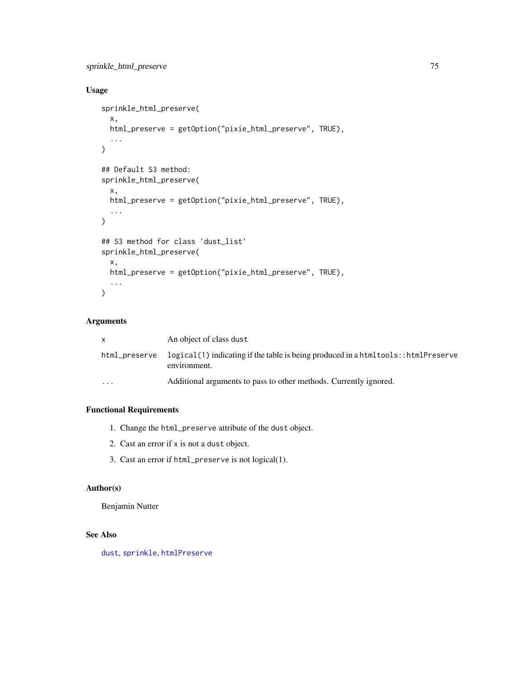```
sprinkle_html_preserve 75
```
# Usage

```
sprinkle_html_preserve(
  x,
  html_preserve = getOption("pixie_html_preserve", TRUE),
  ...
\mathcal{L}## Default S3 method:
sprinkle_html_preserve(
  x,
  html_preserve = getOption("pixie_html_preserve", TRUE),
  ...
\mathcal{L}## S3 method for class 'dust_list'
sprinkle_html_preserve(
  x,
  html_preserve = getOption("pixie_html_preserve", TRUE),
  ...
\mathcal{L}
```
# Arguments

| <b>X</b>      | An object of class dust                                                                                 |
|---------------|---------------------------------------------------------------------------------------------------------|
| html_preserve | $logical(1)$ indicating if the table is being produced in a html tools: : html Preserve<br>environment. |
| $\cdots$      | Additional arguments to pass to other methods. Currently ignored.                                       |

# Functional Requirements

- 1. Change the html\_preserve attribute of the dust object.
- 2. Cast an error if x is not a dust object.
- 3. Cast an error if html\_preserve is not logical(1).

## Author(s)

Benjamin Nutter

# See Also

[dust](#page-3-0), [sprinkle](#page-27-0), [htmlPreserve](#page-0-0)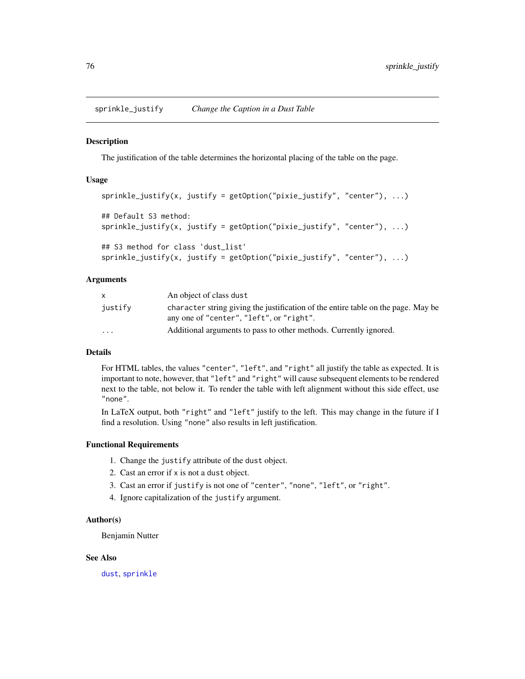<span id="page-75-0"></span>sprinkle\_justify *Change the Caption in a Dust Table*

## Description

The justification of the table determines the horizontal placing of the table on the page.

## Usage

```
sprinkle_justify(x, justify = getOption("pixie_justify", "center"), ...)
## Default S3 method:
sprinkle_justify(x, justify = getOption("pixie_justify", "center"), ...)
## S3 method for class 'dust_list'
sprinkle\_justify(x, justify = getOption("pixel\_justify", "center"), ...)
```
#### Arguments

| x.                      | An object of class dust                                                                                                       |
|-------------------------|-------------------------------------------------------------------------------------------------------------------------------|
| justify                 | character string giving the justification of the entire table on the page. May be<br>any one of "center", "left", or "right". |
| $\cdot$ $\cdot$ $\cdot$ | Additional arguments to pass to other methods. Currently ignored.                                                             |

## Details

For HTML tables, the values "center", "left", and "right" all justify the table as expected. It is important to note, however, that "left" and "right" will cause subsequent elements to be rendered next to the table, not below it. To render the table with left alignment without this side effect, use "none".

In LaTeX output, both "right" and "left" justify to the left. This may change in the future if I find a resolution. Using "none" also results in left justification.

## Functional Requirements

- 1. Change the justify attribute of the dust object.
- 2. Cast an error if x is not a dust object.
- 3. Cast an error if justify is not one of "center", "none", "left", or "right".
- 4. Ignore capitalization of the justify argument.

#### Author(s)

Benjamin Nutter

#### See Also

[dust](#page-3-0), [sprinkle](#page-27-0)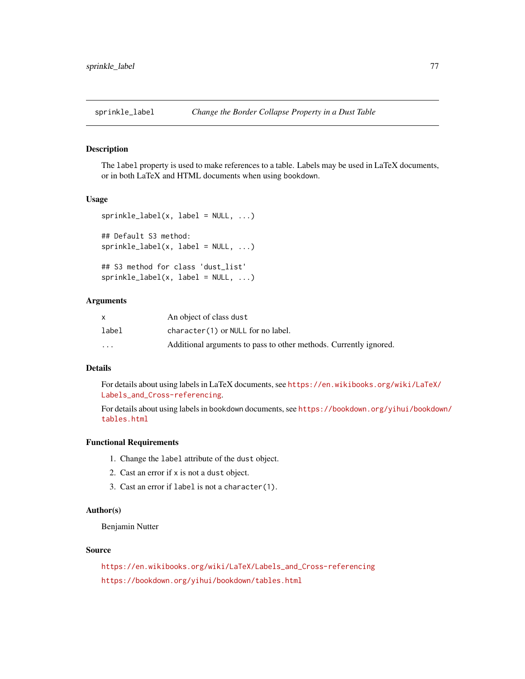<span id="page-76-0"></span>

## Description

The label property is used to make references to a table. Labels may be used in LaTeX documents, or in both LaTeX and HTML documents when using bookdown.

#### Usage

```
sprinkle\_label(x, label = NULL, ...)## Default S3 method:
sprinkle\_label(x, label = NULL, ...)## S3 method for class 'dust_list'
sprinkle\_label(x, label = NULL, ...)
```
#### Arguments

|                         | An object of class dust                                           |
|-------------------------|-------------------------------------------------------------------|
| label                   | character(1) or NULL for no label.                                |
| $\cdot$ $\cdot$ $\cdot$ | Additional arguments to pass to other methods. Currently ignored. |

# Details

For details about using labels in LaTeX documents, see [https://en.wikibooks.org/wiki/LaTeX/](https://en.wikibooks.org/wiki/LaTeX/Labels_and_Cross-referencing) [Labels\\_and\\_Cross-referencing](https://en.wikibooks.org/wiki/LaTeX/Labels_and_Cross-referencing).

For details about using labels in bookdown documents, see [https://bookdown.org/yihui/bookdow](https://bookdown.org/yihui/bookdown/tables.html)n/ [tables.html](https://bookdown.org/yihui/bookdown/tables.html)

## Functional Requirements

- 1. Change the label attribute of the dust object.
- 2. Cast an error if x is not a dust object.
- 3. Cast an error if label is not a character(1).

# Author(s)

Benjamin Nutter

## Source

[https://en.wikibooks.org/wiki/LaTeX/Labels\\_and\\_Cross-referencing](https://en.wikibooks.org/wiki/LaTeX/Labels_and_Cross-referencing) <https://bookdown.org/yihui/bookdown/tables.html>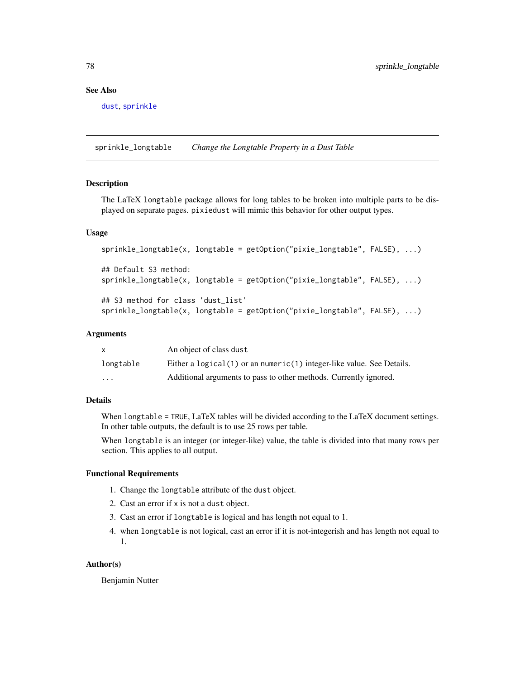## <span id="page-77-0"></span>See Also

[dust](#page-3-0), [sprinkle](#page-27-0)

sprinkle\_longtable *Change the Longtable Property in a Dust Table*

# Description

The LaTeX longtable package allows for long tables to be broken into multiple parts to be displayed on separate pages. pixiedust will mimic this behavior for other output types.

#### Usage

```
sprinkle_longtable(x, longtable = getOption("pixie_longtable", FALSE), ...)
## Default S3 method:
sprinkle_longtable(x, longtable = getOption("pixie_longtable", FALSE), ...)
## S3 method for class 'dust_list'
sprinkle_longtable(x, longtable = getOption("pixie_longtable", FALSE), ...)
```
#### Arguments

|           | An object of class dust                                                 |
|-----------|-------------------------------------------------------------------------|
| longtable | Either a $logical(1)$ or an numeric(1) integer-like value. See Details. |
| $\cdots$  | Additional arguments to pass to other methods. Currently ignored.       |

## Details

When longtable = TRUE, LaTeX tables will be divided according to the LaTeX document settings. In other table outputs, the default is to use 25 rows per table.

When longtable is an integer (or integer-like) value, the table is divided into that many rows per section. This applies to all output.

## Functional Requirements

- 1. Change the longtable attribute of the dust object.
- 2. Cast an error if x is not a dust object.
- 3. Cast an error if longtable is logical and has length not equal to 1.
- 4. when longtable is not logical, cast an error if it is not-integerish and has length not equal to 1.

#### Author(s)

Benjamin Nutter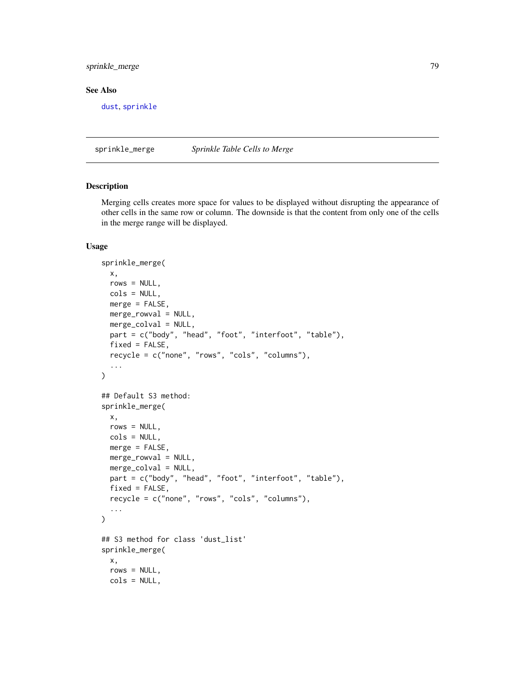# <span id="page-78-0"></span>sprinkle\_merge 79

## See Also

[dust](#page-3-0), [sprinkle](#page-27-0)

sprinkle\_merge *Sprinkle Table Cells to Merge*

# Description

Merging cells creates more space for values to be displayed without disrupting the appearance of other cells in the same row or column. The downside is that the content from only one of the cells in the merge range will be displayed.

```
sprinkle_merge(
  x,
  rows = NULL,cols = NULL,
 merge = FALSE,
 merge_rowval = NULL,
 merge_colval = NULL,
  part = c("body", "head", "foot", "interfoot", "table"),
  fixed = FALSE,
  recycle = c("none", "rows", "cols", "columns"),
  ...
\lambda## Default S3 method:
sprinkle_merge(
  x,
  rows = NULL,cols = NULL,
 merge = FALSE,
 merge_rowval = NULL,
 merge_colval = NULL,
 part = c("body", "head", "foot", "interfoot", "table"),
  fixed = FALSE,recycle = c("none", "rows", "cols", "columns"),
  ...
\lambda## S3 method for class 'dust_list'
sprinkle_merge(
  x,
  rows = NULL,cols = NULL,
```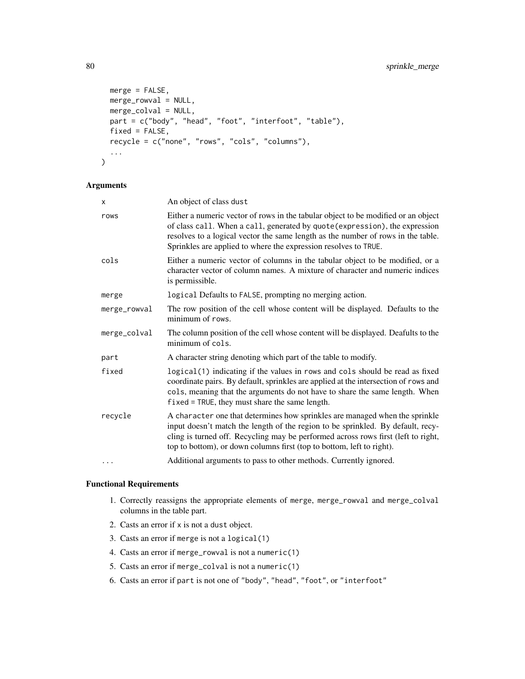```
merge = FALSE,
 merge_rowval = NULL,
 merge_colval = NULL,
 part = c("body", "head", "foot", "interfoot", "table"),
 fixed = FALSE,recycle = c("none", "rows", "cols", "columns"),
  ...
\mathcal{L}
```

| x            | An object of class dust                                                                                                                                                                                                                                                                                                      |
|--------------|------------------------------------------------------------------------------------------------------------------------------------------------------------------------------------------------------------------------------------------------------------------------------------------------------------------------------|
| rows         | Either a numeric vector of rows in the tabular object to be modified or an object<br>of class call. When a call, generated by quote (expression), the expression<br>resolves to a logical vector the same length as the number of rows in the table.<br>Sprinkles are applied to where the expression resolves to TRUE.      |
| cols         | Either a numeric vector of columns in the tabular object to be modified, or a<br>character vector of column names. A mixture of character and numeric indices<br>is permissible.                                                                                                                                             |
| merge        | logical Defaults to FALSE, prompting no merging action.                                                                                                                                                                                                                                                                      |
| merge_rowval | The row position of the cell whose content will be displayed. Defaults to the<br>minimum of rows.                                                                                                                                                                                                                            |
| merge_colval | The column position of the cell whose content will be displayed. Deafults to the<br>minimum of cols.                                                                                                                                                                                                                         |
| part         | A character string denoting which part of the table to modify.                                                                                                                                                                                                                                                               |
| fixed        | logical(1) indicating if the values in rows and cols should be read as fixed<br>coordinate pairs. By default, sprinkles are applied at the intersection of rows and<br>cols, meaning that the arguments do not have to share the same length. When<br>$fixed = TRUE$ , they must share the same length.                      |
| recycle      | A character one that determines how sprinkles are managed when the sprinkle<br>input doesn't match the length of the region to be sprinkled. By default, recy-<br>cling is turned off. Recycling may be performed across rows first (left to right,<br>top to bottom), or down columns first (top to bottom, left to right). |
| .            | Additional arguments to pass to other methods. Currently ignored.                                                                                                                                                                                                                                                            |

## Functional Requirements

- 1. Correctly reassigns the appropriate elements of merge, merge\_rowval and merge\_colval columns in the table part.
- 2. Casts an error if x is not a dust object.
- 3. Casts an error if merge is not a logical(1)
- 4. Casts an error if merge\_rowval is not a numeric(1)
- 5. Casts an error if merge\_colval is not a numeric(1)
- 6. Casts an error if part is not one of "body", "head", "foot", or "interfoot"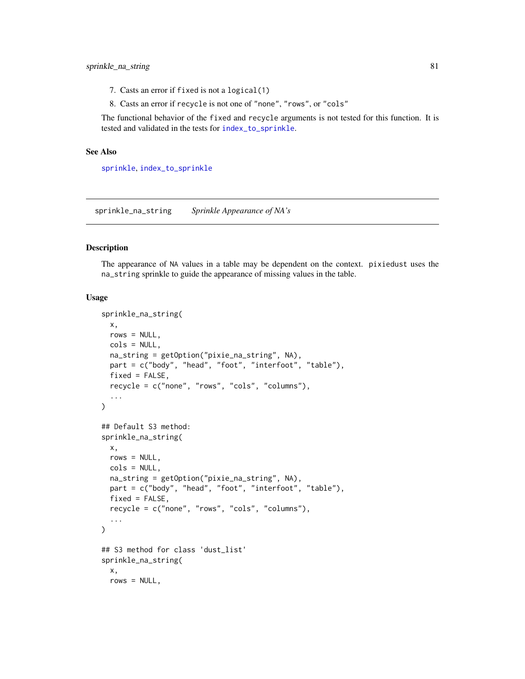- <span id="page-80-0"></span>7. Casts an error if fixed is not a logical(1)
- 8. Casts an error if recycle is not one of "none", "rows", or "cols"

The functional behavior of the fixed and recycle arguments is not tested for this function. It is tested and validated in the tests for [index\\_to\\_sprinkle](#page-13-0).

#### See Also

[sprinkle](#page-27-0), [index\\_to\\_sprinkle](#page-13-0)

sprinkle\_na\_string *Sprinkle Appearance of NA's*

#### Description

The appearance of NA values in a table may be dependent on the context. pixiedust uses the na\_string sprinkle to guide the appearance of missing values in the table.

```
sprinkle_na_string(
 x,
 rows = NULL,cols = NULL,
 na_string = getOption("pixie_na_string", NA),
 part = c("body", "head", "foot", "interfoot", "table"),
 fixed = FALSE,
  recycle = c("none", "rows", "cols", "columns"),
  ...
\mathcal{L}## Default S3 method:
sprinkle_na_string(
 x,
 rows = NULL,cols = NULL,
 na_string = getOption("pixie_na_string", NA),
 part = c("body", "head", "foot", "interfoot", "table"),
  fixed = FALSE,recycle = c("none", "rows", "cols", "columns"),
  ...
\mathcal{L}## S3 method for class 'dust_list'
sprinkle_na_string(
 x,
 rows = NULL,
```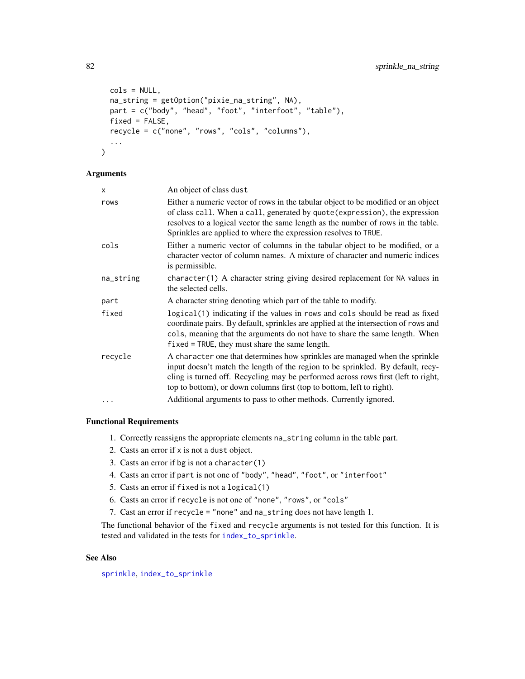```
cols = NULL,
na_string = getOption("pixie_na_string", NA),
part = c("body", "head", "foot", "interfoot", "table"),
fixed = FALSE,recycle = c("none", "rows", "cols", "columns"),
...
```
)

| x         | An object of class dust                                                                                                                                                                                                                                                                                                      |
|-----------|------------------------------------------------------------------------------------------------------------------------------------------------------------------------------------------------------------------------------------------------------------------------------------------------------------------------------|
| rows      | Either a numeric vector of rows in the tabular object to be modified or an object<br>of class call. When a call, generated by quote (expression), the expression<br>resolves to a logical vector the same length as the number of rows in the table.<br>Sprinkles are applied to where the expression resolves to TRUE.      |
| cols      | Either a numeric vector of columns in the tabular object to be modified, or a<br>character vector of column names. A mixture of character and numeric indices<br>is permissible.                                                                                                                                             |
| na_string | character(1) A character string giving desired replacement for NA values in<br>the selected cells.                                                                                                                                                                                                                           |
| part      | A character string denoting which part of the table to modify.                                                                                                                                                                                                                                                               |
| fixed     | logical(1) indicating if the values in rows and cols should be read as fixed<br>coordinate pairs. By default, sprinkles are applied at the intersection of rows and<br>cols, meaning that the arguments do not have to share the same length. When<br>$fixed = TRUE$ , they must share the same length.                      |
| recycle   | A character one that determines how sprinkles are managed when the sprinkle<br>input doesn't match the length of the region to be sprinkled. By default, recy-<br>cling is turned off. Recycling may be performed across rows first (left to right,<br>top to bottom), or down columns first (top to bottom, left to right). |
| .         | Additional arguments to pass to other methods. Currently ignored.                                                                                                                                                                                                                                                            |

## Functional Requirements

- 1. Correctly reassigns the appropriate elements na\_string column in the table part.
- 2. Casts an error if x is not a dust object.
- 3. Casts an error if bg is not a character(1)
- 4. Casts an error if part is not one of "body", "head", "foot", or "interfoot"
- 5. Casts an error if fixed is not a logical(1)
- 6. Casts an error if recycle is not one of "none", "rows", or "cols"
- 7. Cast an error if recycle = "none" and na\_string does not have length 1.

The functional behavior of the fixed and recycle arguments is not tested for this function. It is tested and validated in the tests for [index\\_to\\_sprinkle](#page-13-0).

## See Also

[sprinkle](#page-27-0), [index\\_to\\_sprinkle](#page-13-0)

<span id="page-81-0"></span>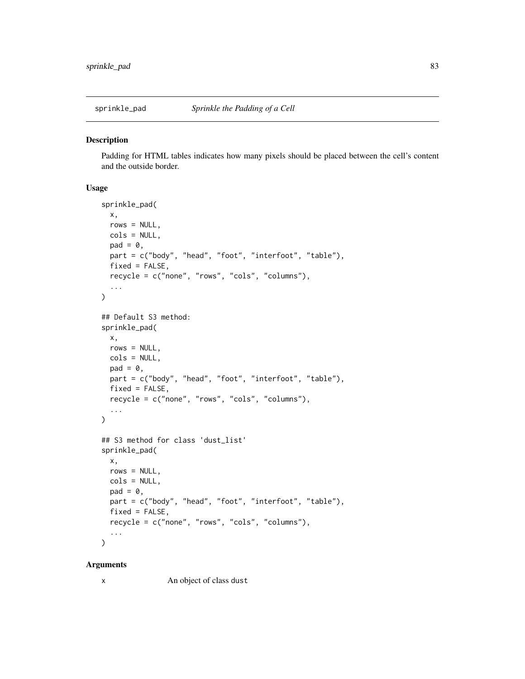<span id="page-82-0"></span>

#### Description

Padding for HTML tables indicates how many pixels should be placed between the cell's content and the outside border.

# Usage

```
sprinkle_pad(
 x,
  rows = NULL,cols = NULL,
 pad = 0,part = c("body", "head", "foot", "interfoot", "table"),
 fixed = FALSE,recycle = c("none", "rows", "cols", "columns"),
  ...
\lambda## Default S3 method:
sprinkle_pad(
 x,
  rows = NULL,cols = NULL,
 pad = 0,part = c("body", "head", "foot", "interfoot", "table"),
 fixed = FALSE,recycle = c("none", "rows", "cols", "columns"),
  ...
\mathcal{L}## S3 method for class 'dust_list'
sprinkle_pad(
 x,
 rows = NULL,
 cols = NULL,
 pad = 0,part = c("body", "head", "foot", "interfoot", "table"),
  fixed = FALSE,recycle = c("none", "rows", "cols", "columns"),
  ...
\mathcal{L}
```
#### Arguments

x An object of class dust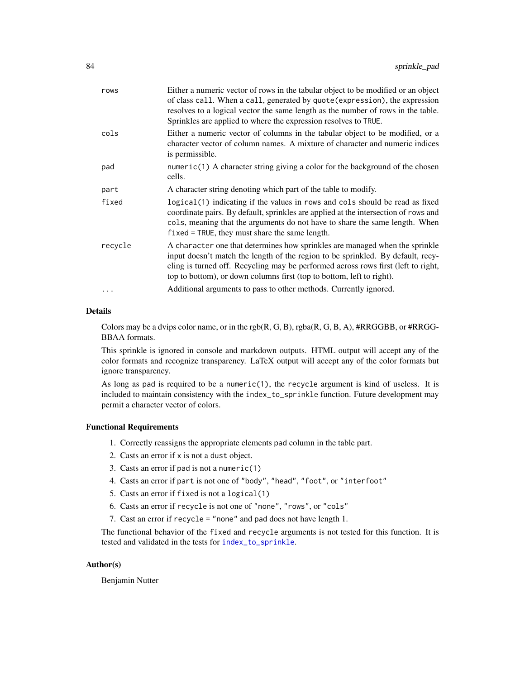<span id="page-83-0"></span>

| rows    | Either a numeric vector of rows in the tabular object to be modified or an object<br>of class call. When a call, generated by quote (expression), the expression<br>resolves to a logical vector the same length as the number of rows in the table.<br>Sprinkles are applied to where the expression resolves to TRUE.      |
|---------|------------------------------------------------------------------------------------------------------------------------------------------------------------------------------------------------------------------------------------------------------------------------------------------------------------------------------|
| cols    | Either a numeric vector of columns in the tabular object to be modified, or a<br>character vector of column names. A mixture of character and numeric indices<br>is permissible.                                                                                                                                             |
| pad     | numeric(1) A character string giving a color for the background of the chosen<br>cells.                                                                                                                                                                                                                                      |
| part    | A character string denoting which part of the table to modify.                                                                                                                                                                                                                                                               |
| fixed   | logical(1) indicating if the values in rows and cols should be read as fixed<br>coordinate pairs. By default, sprinkles are applied at the intersection of rows and<br>cols, meaning that the arguments do not have to share the same length. When<br>$fixed = TRUE$ , they must share the same length.                      |
| recycle | A character one that determines how sprinkles are managed when the sprinkle<br>input doesn't match the length of the region to be sprinkled. By default, recy-<br>cling is turned off. Recycling may be performed across rows first (left to right,<br>top to bottom), or down columns first (top to bottom, left to right). |
|         |                                                                                                                                                                                                                                                                                                                              |

## Details

Colors may be a dvips color name, or in the rgb $(R, G, B)$ , rgba $(R, G, B, A)$ , #RRGGBB, or #RRGG-BBAA formats.

This sprinkle is ignored in console and markdown outputs. HTML output will accept any of the color formats and recognize transparency. LaTeX output will accept any of the color formats but ignore transparency.

As long as pad is required to be a numeric(1), the recycle argument is kind of useless. It is included to maintain consistency with the index\_to\_sprinkle function. Future development may permit a character vector of colors.

## Functional Requirements

- 1. Correctly reassigns the appropriate elements pad column in the table part.
- 2. Casts an error if x is not a dust object.
- 3. Casts an error if pad is not a numeric(1)
- 4. Casts an error if part is not one of "body", "head", "foot", or "interfoot"
- 5. Casts an error if fixed is not a logical(1)
- 6. Casts an error if recycle is not one of "none", "rows", or "cols"
- 7. Cast an error if recycle = "none" and pad does not have length 1.

The functional behavior of the fixed and recycle arguments is not tested for this function. It is tested and validated in the tests for [index\\_to\\_sprinkle](#page-13-0).

## Author(s)

Benjamin Nutter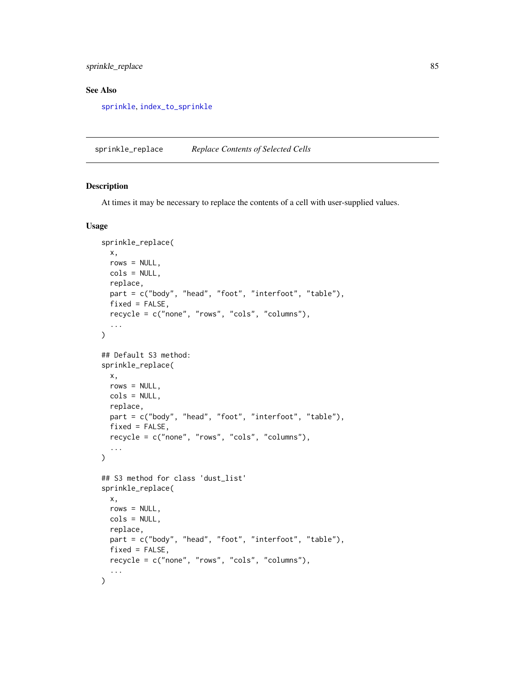# <span id="page-84-0"></span>sprinkle\_replace 85

## See Also

[sprinkle](#page-27-0), [index\\_to\\_sprinkle](#page-13-0)

sprinkle\_replace *Replace Contents of Selected Cells*

# Description

At times it may be necessary to replace the contents of a cell with user-supplied values.

```
sprinkle_replace(
  x,
 rows = NULL,cols = NULL,
 replace,
 part = c("body", "head", "foot", "interfoot", "table"),
 fixed = FALSE,recycle = c("none", "rows", "cols", "columns"),
  ...
)
## Default S3 method:
sprinkle_replace(
  x,
 rows = NULL,cols = NULL,
  replace,
  part = c("body", "head", "foot", "interfoot", "table"),
  fixed = FALSE,recycle = c("none", "rows", "cols", "columns"),
  ...
\mathcal{L}## S3 method for class 'dust_list'
sprinkle_replace(
 x,
 rows = NULL,cols = NULL,
  replace,
 part = c("body", "head", "foot", "interfoot", "table"),
 fixed = FALSE,
 recycle = c("none", "rows", "cols", "columns"),
  ...
\mathcal{L}
```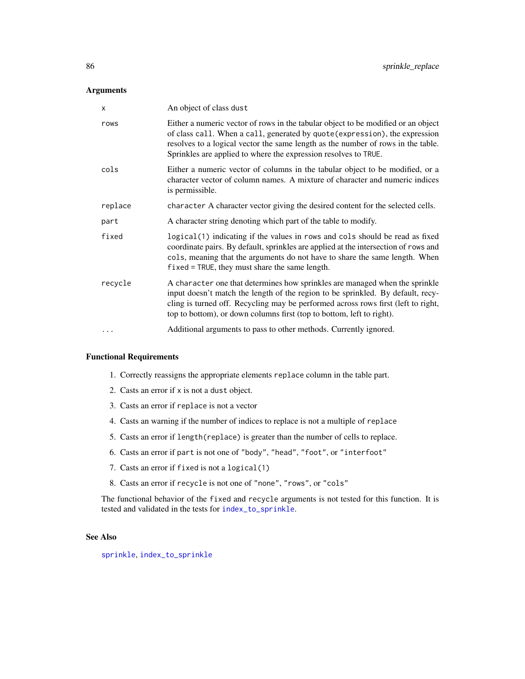<span id="page-85-0"></span>

| X        | An object of class dust                                                                                                                                                                                                                                                                                                      |
|----------|------------------------------------------------------------------------------------------------------------------------------------------------------------------------------------------------------------------------------------------------------------------------------------------------------------------------------|
| rows     | Either a numeric vector of rows in the tabular object to be modified or an object<br>of class call. When a call, generated by quote (expression), the expression<br>resolves to a logical vector the same length as the number of rows in the table.<br>Sprinkles are applied to where the expression resolves to TRUE.      |
| cols     | Either a numeric vector of columns in the tabular object to be modified, or a<br>character vector of column names. A mixture of character and numeric indices<br>is permissible.                                                                                                                                             |
| replace  | character A character vector giving the desired content for the selected cells.                                                                                                                                                                                                                                              |
| part     | A character string denoting which part of the table to modify.                                                                                                                                                                                                                                                               |
| fixed    | logical(1) indicating if the values in rows and cols should be read as fixed<br>coordinate pairs. By default, sprinkles are applied at the intersection of rows and<br>cols, meaning that the arguments do not have to share the same length. When<br>fixed = TRUE, they must share the same length.                         |
| recycle  | A character one that determines how sprinkles are managed when the sprinkle<br>input doesn't match the length of the region to be sprinkled. By default, recy-<br>cling is turned off. Recycling may be performed across rows first (left to right,<br>top to bottom), or down columns first (top to bottom, left to right). |
| $\cdots$ | Additional arguments to pass to other methods. Currently ignored.                                                                                                                                                                                                                                                            |

#### Functional Requirements

- 1. Correctly reassigns the appropriate elements replace column in the table part.
- 2. Casts an error if x is not a dust object.
- 3. Casts an error if replace is not a vector
- 4. Casts an warning if the number of indices to replace is not a multiple of replace
- 5. Casts an error if length(replace) is greater than the number of cells to replace.
- 6. Casts an error if part is not one of "body", "head", "foot", or "interfoot"
- 7. Casts an error if fixed is not a logical(1)
- 8. Casts an error if recycle is not one of "none", "rows", or "cols"

The functional behavior of the fixed and recycle arguments is not tested for this function. It is tested and validated in the tests for [index\\_to\\_sprinkle](#page-13-0).

## See Also

[sprinkle](#page-27-0), [index\\_to\\_sprinkle](#page-13-0)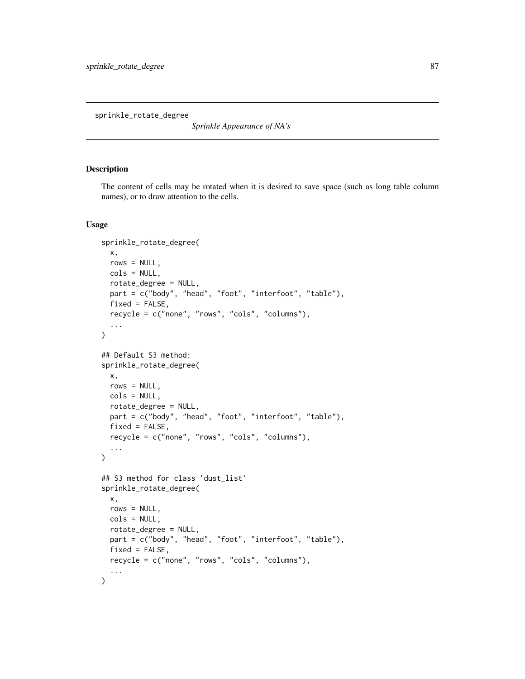<span id="page-86-0"></span>sprinkle\_rotate\_degree

*Sprinkle Appearance of NA's*

## Description

The content of cells may be rotated when it is desired to save space (such as long table column names), or to draw attention to the cells.

```
sprinkle_rotate_degree(
  x,
  rows = NULL,
 cols = NULL,
 rotate_degree = NULL,
  part = c("body", "head", "foot", "interfoot", "table"),
  fixed = FALSE,recycle = c("none", "rows", "cols", "columns"),
  ...
)
## Default S3 method:
sprinkle_rotate_degree(
  x,
 rows = NULL,cols = NULL,
  rotate_degree = NULL,
  part = c("body", "head", "foot", "interfoot", "table"),
  fixed = FALSE,recycle = c("none", "rows", "cols", "columns"),
  ...
\mathcal{L}## S3 method for class 'dust_list'
sprinkle_rotate_degree(
 x,
 rows = NULL,cols = NULL,
  rotate_degree = NULL,
 part = c("body", "head", "foot", "interfoot", "table"),
 fixed = FALSE,
  recycle = c("none", "rows", "cols", "columns"),
  ...
\mathcal{L}
```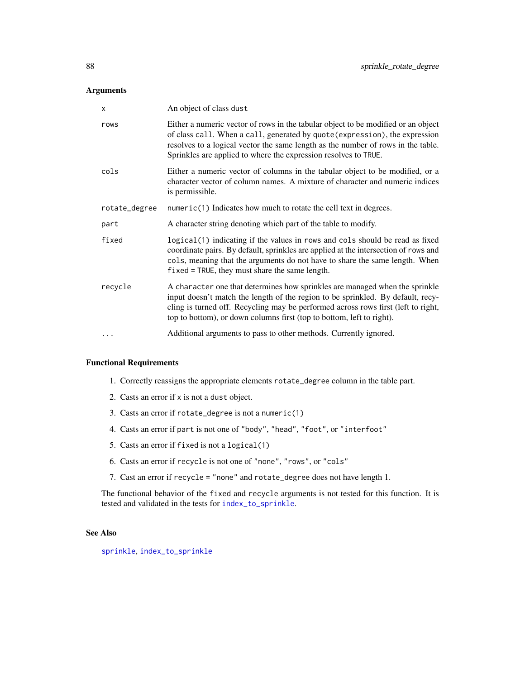<span id="page-87-0"></span>

| $\times$      | An object of class dust                                                                                                                                                                                                                                                                                                      |
|---------------|------------------------------------------------------------------------------------------------------------------------------------------------------------------------------------------------------------------------------------------------------------------------------------------------------------------------------|
| rows          | Either a numeric vector of rows in the tabular object to be modified or an object<br>of class call. When a call, generated by quote (expression), the expression<br>resolves to a logical vector the same length as the number of rows in the table.<br>Sprinkles are applied to where the expression resolves to TRUE.      |
| cols          | Either a numeric vector of columns in the tabular object to be modified, or a<br>character vector of column names. A mixture of character and numeric indices<br>is permissible.                                                                                                                                             |
| rotate_degree | $numeric(1)$ Indicates how much to rotate the cell text in degrees.                                                                                                                                                                                                                                                          |
| part          | A character string denoting which part of the table to modify.                                                                                                                                                                                                                                                               |
| fixed         | logical(1) indicating if the values in rows and cols should be read as fixed<br>coordinate pairs. By default, sprinkles are applied at the intersection of rows and<br>cols, meaning that the arguments do not have to share the same length. When<br>$fixed = TRUE$ , they must share the same length.                      |
| recycle       | A character one that determines how sprinkles are managed when the sprinkle<br>input doesn't match the length of the region to be sprinkled. By default, recy-<br>cling is turned off. Recycling may be performed across rows first (left to right,<br>top to bottom), or down columns first (top to bottom, left to right). |
| $\cdots$      | Additional arguments to pass to other methods. Currently ignored.                                                                                                                                                                                                                                                            |

# Functional Requirements

- 1. Correctly reassigns the appropriate elements rotate\_degree column in the table part.
- 2. Casts an error if x is not a dust object.
- 3. Casts an error if rotate\_degree is not a numeric(1)
- 4. Casts an error if part is not one of "body", "head", "foot", or "interfoot"
- 5. Casts an error if fixed is not a logical(1)
- 6. Casts an error if recycle is not one of "none", "rows", or "cols"
- 7. Cast an error if recycle = "none" and rotate\_degree does not have length 1.

The functional behavior of the fixed and recycle arguments is not tested for this function. It is tested and validated in the tests for [index\\_to\\_sprinkle](#page-13-0).

# See Also

[sprinkle](#page-27-0), [index\\_to\\_sprinkle](#page-13-0)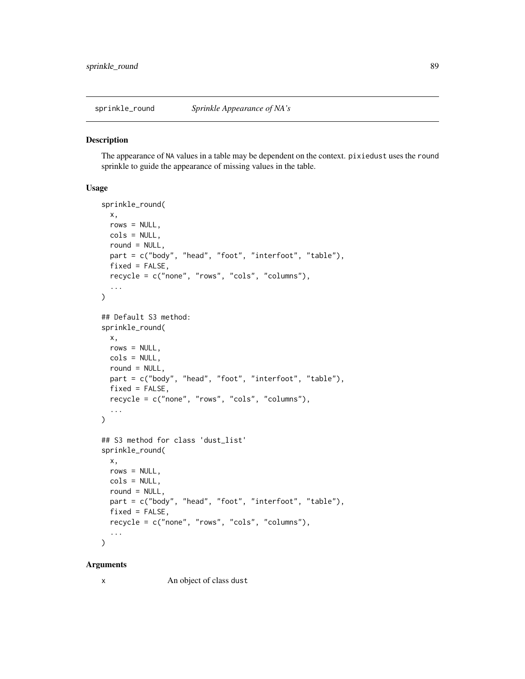<span id="page-88-0"></span>

#### **Description**

The appearance of NA values in a table may be dependent on the context. pixiedust uses the round sprinkle to guide the appearance of missing values in the table.

# Usage

```
sprinkle_round(
  x,
  rows = NULL,cols = NULL,
  round = NULL,part = c("body", "head", "foot", "interfoot", "table"),
 fixed = FALSE,recycle = c("none", "rows", "cols", "columns"),
  ...
\mathcal{L}## Default S3 method:
sprinkle_round(
 x,
  rows = NULL,cols = NULL,
 round = NULL,part = c("body", "head", "foot", "interfoot", "table"),
 fixed = FALSE,recycle = c("none", "rows", "cols", "columns"),
  ...
)
## S3 method for class 'dust_list'
sprinkle_round(
 x,
 rows = NULL,cols = NULL,
  round = NULL,
  part = c("body", "head", "foot", "interfoot", "table"),
  fixed = FALSE,recycle = c("none", "rows", "cols", "columns"),
  ...
\mathcal{L}
```
#### Arguments

x An object of class dust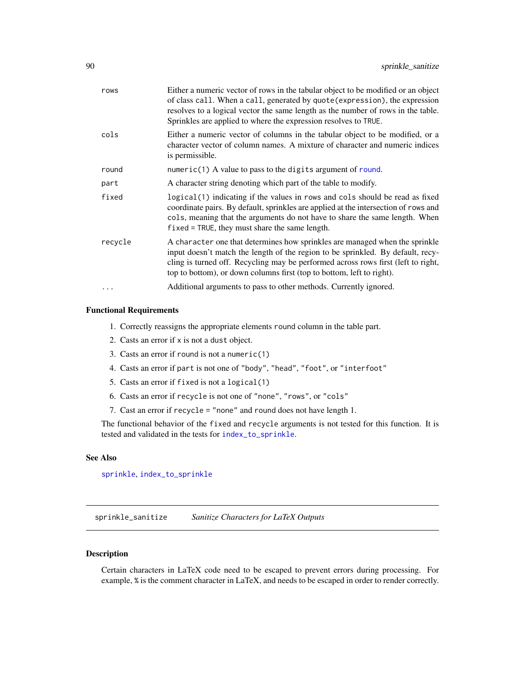<span id="page-89-0"></span>

| rows     | Either a numeric vector of rows in the tabular object to be modified or an object<br>of class call. When a call, generated by quote (expression), the expression<br>resolves to a logical vector the same length as the number of rows in the table.<br>Sprinkles are applied to where the expression resolves to TRUE.      |
|----------|------------------------------------------------------------------------------------------------------------------------------------------------------------------------------------------------------------------------------------------------------------------------------------------------------------------------------|
| cols     | Either a numeric vector of columns in the tabular object to be modified, or a<br>character vector of column names. A mixture of character and numeric indices<br>is permissible.                                                                                                                                             |
| round    | numeric(1) A value to pass to the digits argument of round.                                                                                                                                                                                                                                                                  |
| part     | A character string denoting which part of the table to modify.                                                                                                                                                                                                                                                               |
| fixed    | logical(1) indicating if the values in rows and cols should be read as fixed<br>coordinate pairs. By default, sprinkles are applied at the intersection of rows and<br>cols, meaning that the arguments do not have to share the same length. When<br>$fixed = TRUE$ , they must share the same length.                      |
| recycle  | A character one that determines how sprinkles are managed when the sprinkle<br>input doesn't match the length of the region to be sprinkled. By default, recy-<br>cling is turned off. Recycling may be performed across rows first (left to right,<br>top to bottom), or down columns first (top to bottom, left to right). |
| $\ddots$ | Additional arguments to pass to other methods. Currently ignored.                                                                                                                                                                                                                                                            |
|          |                                                                                                                                                                                                                                                                                                                              |

# Functional Requirements

- 1. Correctly reassigns the appropriate elements round column in the table part.
- 2. Casts an error if x is not a dust object.
- 3. Casts an error if round is not a numeric(1)
- 4. Casts an error if part is not one of "body", "head", "foot", or "interfoot"
- 5. Casts an error if fixed is not a logical(1)
- 6. Casts an error if recycle is not one of "none", "rows", or "cols"
- 7. Cast an error if recycle = "none" and round does not have length 1.

The functional behavior of the fixed and recycle arguments is not tested for this function. It is tested and validated in the tests for [index\\_to\\_sprinkle](#page-13-0).

## See Also

[sprinkle](#page-27-0), [index\\_to\\_sprinkle](#page-13-0)

sprinkle\_sanitize *Sanitize Characters for LaTeX Outputs*

#### Description

Certain characters in LaTeX code need to be escaped to prevent errors during processing. For example, % is the comment character in LaTeX, and needs to be escaped in order to render correctly.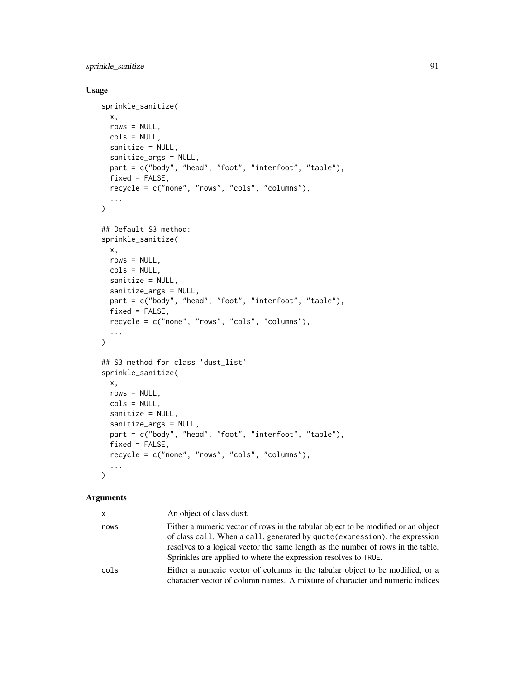```
sprinkle_sanitize 91
```
# Usage

```
sprinkle_sanitize(
 x,
 rows = NULL,
 cols = NULL,
 sanitize = NULL,
  sanitize_args = NULL,
 part = c("body", "head", "foot", "interfoot", "table"),
 fixed = FALSE,recycle = c("none", "rows", "cols", "columns"),
  ...
\mathcal{L}## Default S3 method:
sprinkle_sanitize(
 x,
 rows = NULL,
 cols = NULL,
  sanitize = NULL,
 sanitize_args = NULL,
 part = c("body", "head", "foot", "interfoot", "table"),
 fixed = FALSE,
  recycle = c("none", "rows", "cols", "columns"),
  ...
\lambda## S3 method for class 'dust_list'
sprinkle_sanitize(
 x,
 rows = NULL,cols = NULL,
 sanitize = NULL,
 sanitize_args = NULL,
 part = c("body", "head", "foot", "interfoot", "table"),
 fixed = FALSE,
 recycle = c("none", "rows", "cols", "columns"),
  ...
\mathcal{L}
```
## Arguments

| x    | An object of class dust                                                                                                                                                                                                                                                                                                 |
|------|-------------------------------------------------------------------------------------------------------------------------------------------------------------------------------------------------------------------------------------------------------------------------------------------------------------------------|
| rows | Either a numeric vector of rows in the tabular object to be modified or an object<br>of class call. When a call, generated by quote (expression), the expression<br>resolves to a logical vector the same length as the number of rows in the table.<br>Sprinkles are applied to where the expression resolves to TRUE. |
| cols | Either a numeric vector of columns in the tabular object to be modified, or a<br>character vector of column names. A mixture of character and numeric indices                                                                                                                                                           |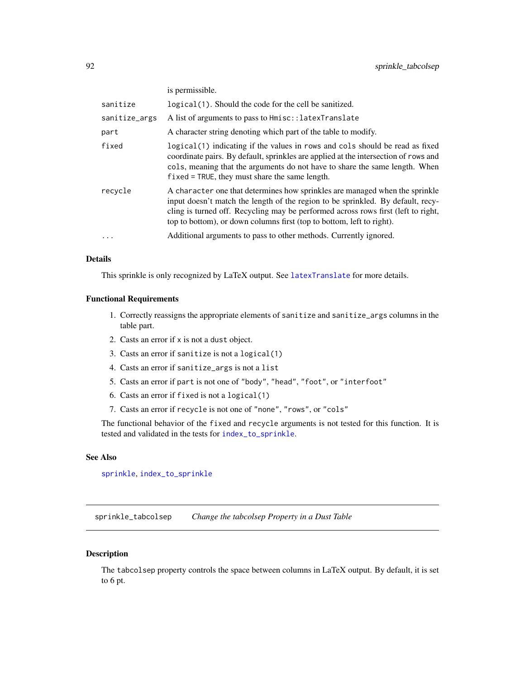<span id="page-91-0"></span>

|               | is permissible.                                                                                                                                                                                                                                                                                                              |
|---------------|------------------------------------------------------------------------------------------------------------------------------------------------------------------------------------------------------------------------------------------------------------------------------------------------------------------------------|
| sanitize      | logical (1). Should the code for the cell be sanitized.                                                                                                                                                                                                                                                                      |
| sanitize_args | A list of arguments to pass to $Hmisc::latexTranslate$                                                                                                                                                                                                                                                                       |
| part          | A character string denoting which part of the table to modify.                                                                                                                                                                                                                                                               |
| fixed         | logical(1) indicating if the values in rows and cols should be read as fixed<br>coordinate pairs. By default, sprinkles are applied at the intersection of rows and<br>cols, meaning that the arguments do not have to share the same length. When<br>$fixed = TRUE$ , they must share the same length.                      |
| recvcle       | A character one that determines how sprinkles are managed when the sprinkle<br>input doesn't match the length of the region to be sprinkled. By default, recy-<br>cling is turned off. Recycling may be performed across rows first (left to right,<br>top to bottom), or down columns first (top to bottom, left to right). |
| $\cdots$      | Additional arguments to pass to other methods. Currently ignored.                                                                                                                                                                                                                                                            |

## Details

This sprinkle is only recognized by LaTeX output. See [latexTranslate](#page-0-0) for more details.

## Functional Requirements

- 1. Correctly reassigns the appropriate elements of sanitize and sanitize\_args columns in the table part.
- 2. Casts an error if x is not a dust object.
- 3. Casts an error if sanitize is not a logical(1)
- 4. Casts an error if sanitize\_args is not a list
- 5. Casts an error if part is not one of "body", "head", "foot", or "interfoot"
- 6. Casts an error if fixed is not a logical(1)
- 7. Casts an error if recycle is not one of "none", "rows", or "cols"

The functional behavior of the fixed and recycle arguments is not tested for this function. It is tested and validated in the tests for [index\\_to\\_sprinkle](#page-13-0).

## See Also

[sprinkle](#page-27-0), [index\\_to\\_sprinkle](#page-13-0)

sprinkle\_tabcolsep *Change the tabcolsep Property in a Dust Table*

#### Description

The tabcolsep property controls the space between columns in LaTeX output. By default, it is set to 6 pt.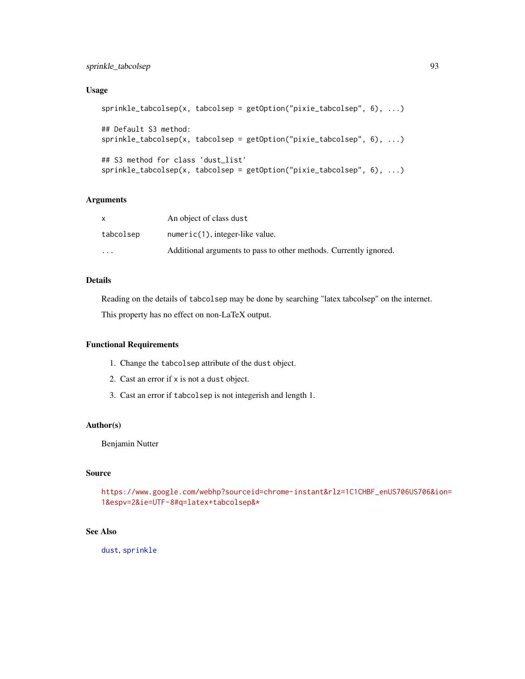# <span id="page-92-0"></span>sprinkle\_tabcolsep 93

# Usage

```
sprinkle_tabcolsep(x, tabcolsep = getOption("pixie_tabcolsep", 6), ...)
## Default S3 method:
sprinkle_tabcolsep(x, tabcolsep = getOption("pixie_tabcolsep", 6), ...)
## S3 method for class 'dust_list'
sprinkle_tabcolsep(x, tabcolsep = getOption("pixie_tabcolsep", 6), ...)
```
## Arguments

|                         | An object of class dust                                           |
|-------------------------|-------------------------------------------------------------------|
| tabcolsep               | $numeric(1)$ , integer-like value.                                |
| $\cdot$ $\cdot$ $\cdot$ | Additional arguments to pass to other methods. Currently ignored. |

# Details

Reading on the details of tabcolsep may be done by searching "latex tabcolsep" on the internet.

This property has no effect on non-LaTeX output.

## Functional Requirements

- 1. Change the tabcolsep attribute of the dust object.
- 2. Cast an error if x is not a dust object.
- 3. Cast an error if tabcolsep is not integerish and length 1.

# Author(s)

Benjamin Nutter

## Source

[https://www.google.com/webhp?sourceid=chrome-instant&rlz=1C1CHBF\\_enUS706US706&io](https://www.google.com/webhp?sourceid=chrome-instant&rlz=1C1CHBF_enUS706US706&ion=1&espv=2&ie=UTF-8#q=latex+tabcolsep&*)n= [1&espv=2&ie=UTF-8#q=latex+tabcolsep&\\*](https://www.google.com/webhp?sourceid=chrome-instant&rlz=1C1CHBF_enUS706US706&ion=1&espv=2&ie=UTF-8#q=latex+tabcolsep&*)

## See Also

[dust](#page-3-0), [sprinkle](#page-27-0)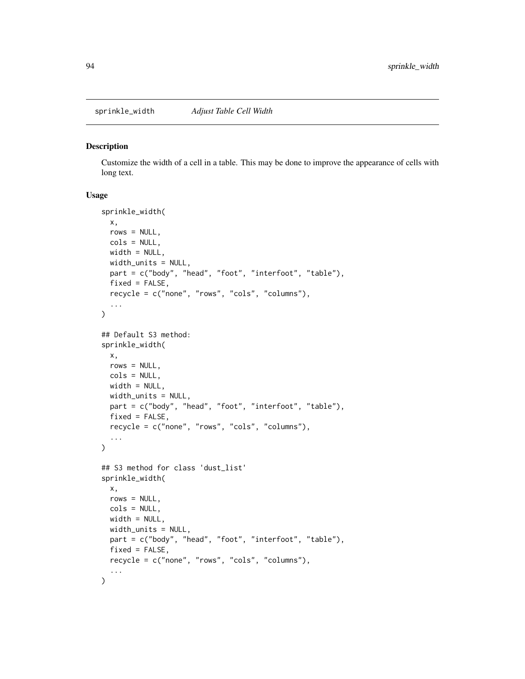<span id="page-93-0"></span>sprinkle\_width *Adjust Table Cell Width*

#### Description

Customize the width of a cell in a table. This may be done to improve the appearance of cells with long text.

```
sprinkle_width(
 x,
 rows = NULL,cols = NULL,
 width = NULL,
 width_units = NULL,
 part = c("body", "head", "foot", "interfoot", "table"),
 fixed = FALSE,recycle = c("none", "rows", "cols", "columns"),
  ...
)
## Default S3 method:
sprinkle_width(
 x,
 rows = NULL,cols = NULL,
 width = NULL,width_units = NULL,
 part = c("body", "head", "foot", "interfoot", "table"),
 fixed = FALSE,recycle = c("none", "rows", "cols", "columns"),
  ...
\mathcal{L}## S3 method for class 'dust_list'
sprinkle_width(
 x,
 rows = NULL,cols = NULL,
 width = NULL,
 width_units = NULL,
 part = c("body", "head", "foot", "interfoot", "table"),
 fixed = FALSE,
 recycle = c("none", "rows", "cols", "columns"),
  ...
\mathcal{L}
```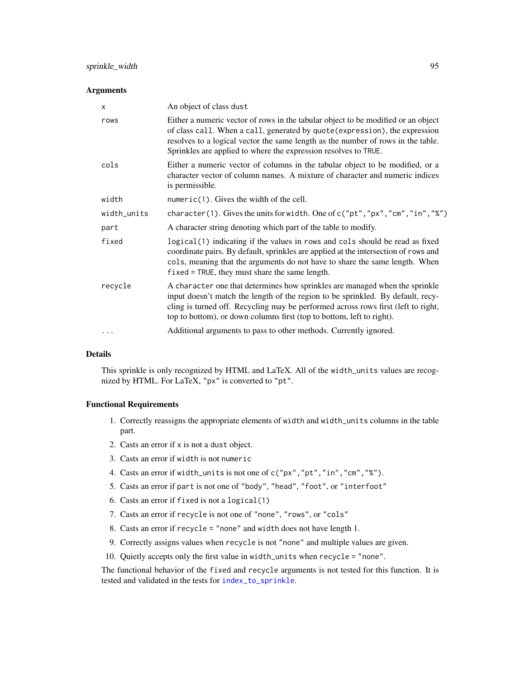<span id="page-94-0"></span>

| $\times$    | An object of class dust                                                                                                                                                                                                                                                                                                      |
|-------------|------------------------------------------------------------------------------------------------------------------------------------------------------------------------------------------------------------------------------------------------------------------------------------------------------------------------------|
| rows        | Either a numeric vector of rows in the tabular object to be modified or an object<br>of class call. When a call, generated by quote (expression), the expression<br>resolves to a logical vector the same length as the number of rows in the table.<br>Sprinkles are applied to where the expression resolves to TRUE.      |
| cols        | Either a numeric vector of columns in the tabular object to be modified, or a<br>character vector of column names. A mixture of character and numeric indices<br>is permissible.                                                                                                                                             |
| width       | numeric $(1)$ . Gives the width of the cell.                                                                                                                                                                                                                                                                                 |
| width_units | character(1). Gives the units for width. One of c("pt", "px", "cm", "in", "%")                                                                                                                                                                                                                                               |
| part        | A character string denoting which part of the table to modify.                                                                                                                                                                                                                                                               |
| fixed       | logical(1) indicating if the values in rows and cols should be read as fixed<br>coordinate pairs. By default, sprinkles are applied at the intersection of rows and<br>cols, meaning that the arguments do not have to share the same length. When<br>$fixed = TRUE$ , they must share the same length.                      |
| recycle     | A character one that determines how sprinkles are managed when the sprinkle<br>input doesn't match the length of the region to be sprinkled. By default, recy-<br>cling is turned off. Recycling may be performed across rows first (left to right,<br>top to bottom), or down columns first (top to bottom, left to right). |
|             | Additional arguments to pass to other methods. Currently ignored.                                                                                                                                                                                                                                                            |

## Details

This sprinkle is only recognized by HTML and LaTeX. All of the width\_units values are recognized by HTML. For LaTeX, "px" is converted to "pt".

## Functional Requirements

- 1. Correctly reassigns the appropriate elements of width and width\_units columns in the table part.
- 2. Casts an error if x is not a dust object.
- 3. Casts an error if width is not numeric
- 4. Casts an error if width\_units is not one of c("px","pt","in","cm","%").
- 5. Casts an error if part is not one of "body", "head", "foot", or "interfoot"
- 6. Casts an error if fixed is not a logical(1)
- 7. Casts an error if recycle is not one of "none", "rows", or "cols"
- 8. Casts an error if recycle = "none" and width does not have length 1.
- 9. Correctly assigns values when recycle is not "none" and multiple values are given.
- 10. Quietly accepts only the first value in width\_units when recycle = "none".

The functional behavior of the fixed and recycle arguments is not tested for this function. It is tested and validated in the tests for [index\\_to\\_sprinkle](#page-13-0).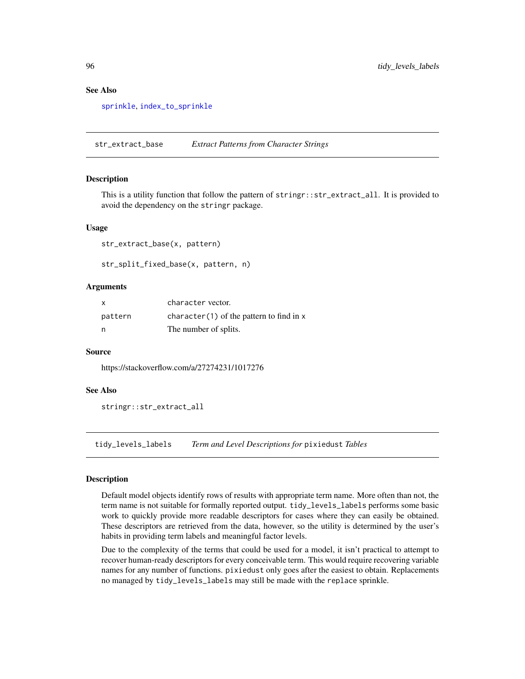## See Also

[sprinkle](#page-27-0), [index\\_to\\_sprinkle](#page-13-0)

str\_extract\_base *Extract Patterns from Character Strings*

#### Description

This is a utility function that follow the pattern of stringr::str\_extract\_all. It is provided to avoid the dependency on the stringr package.

#### Usage

str\_extract\_base(x, pattern)

str\_split\_fixed\_base(x, pattern, n)

#### Arguments

| X       | character vector.                           |
|---------|---------------------------------------------|
| pattern | character $(1)$ of the pattern to find in x |
| n       | The number of splits.                       |

#### Source

https://stackoverflow.com/a/27274231/1017276

#### See Also

```
stringr::str_extract_all
```
tidy\_levels\_labels *Term and Level Descriptions for* pixiedust *Tables*

#### Description

Default model objects identify rows of results with appropriate term name. More often than not, the term name is not suitable for formally reported output. tidy\_levels\_labels performs some basic work to quickly provide more readable descriptors for cases where they can easily be obtained. These descriptors are retrieved from the data, however, so the utility is determined by the user's habits in providing term labels and meaningful factor levels.

Due to the complexity of the terms that could be used for a model, it isn't practical to attempt to recover human-ready descriptors for every conceivable term. This would require recovering variable names for any number of functions. pixiedust only goes after the easiest to obtain. Replacements no managed by tidy\_levels\_labels may still be made with the replace sprinkle.

<span id="page-95-0"></span>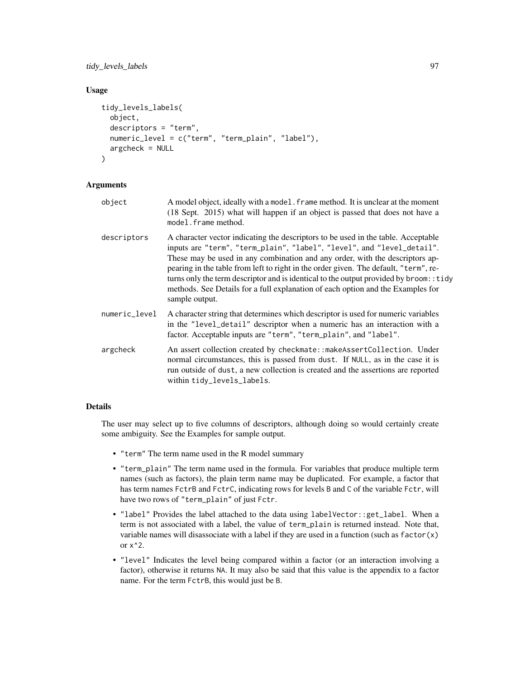tidy\_levels\_labels 97

## Usage

```
tidy_levels_labels(
  object,
  descriptors = "term",
  numeric_level = c("term", "term_plain", "label"),
  argcheck = NULL
)
```
#### Arguments

- object A model object, ideally with a model.frame method. It is unclear at the moment (18 Sept. 2015) what will happen if an object is passed that does not have a model.frame method.
- descriptors A character vector indicating the descriptors to be used in the table. Acceptable inputs are "term", "term\_plain", "label", "level", and "level\_detail". These may be used in any combination and any order, with the descriptors appearing in the table from left to right in the order given. The default, "term", returns only the term descriptor and is identical to the output provided by broom::tidy methods. See Details for a full explanation of each option and the Examples for sample output.
- numeric\_level A character string that determines which descriptor is used for numeric variables in the "level\_detail" descriptor when a numeric has an interaction with a factor. Acceptable inputs are "term", "term\_plain", and "label".
- argcheck An assert collection created by checkmate::makeAssertCollection. Under normal circumstances, this is passed from dust. If NULL, as in the case it is run outside of dust, a new collection is created and the assertions are reported within tidy\_levels\_labels.

## Details

The user may select up to five columns of descriptors, although doing so would certainly create some ambiguity. See the Examples for sample output.

- "term" The term name used in the R model summary
- "term\_plain" The term name used in the formula. For variables that produce multiple term names (such as factors), the plain term name may be duplicated. For example, a factor that has term names FctrB and FctrC, indicating rows for levels B and C of the variable Fctr, will have two rows of "term\_plain" of just Fctr.
- "label" Provides the label attached to the data using labelVector::get\_label. When a term is not associated with a label, the value of term\_plain is returned instead. Note that, variable names will disassociate with a label if they are used in a function (such as  $factor(x)$ ) or  $x^2$ .
- "level" Indicates the level being compared within a factor (or an interaction involving a factor), otherwise it returns NA. It may also be said that this value is the appendix to a factor name. For the term FctrB, this would just be B.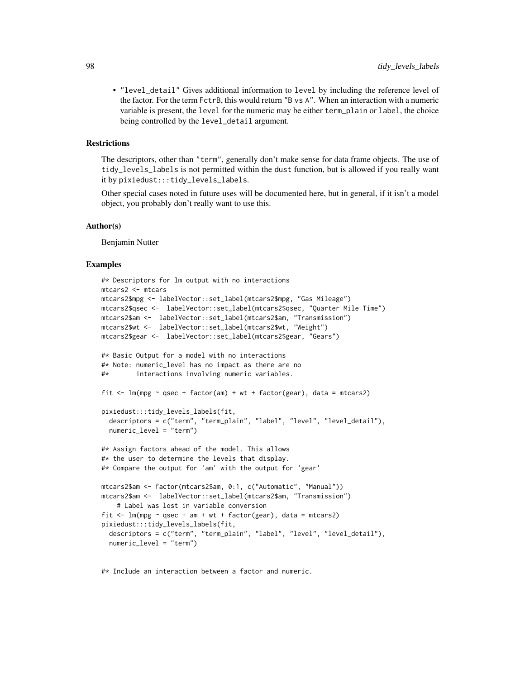• "level\_detail" Gives additional information to level by including the reference level of the factor. For the term FctrB, this would return "B vs A". When an interaction with a numeric variable is present, the level for the numeric may be either term\_plain or label, the choice being controlled by the level\_detail argument.

#### **Restrictions**

The descriptors, other than "term", generally don't make sense for data frame objects. The use of tidy\_levels\_labels is not permitted within the dust function, but is allowed if you really want it by pixiedust:::tidy\_levels\_labels.

Other special cases noted in future uses will be documented here, but in general, if it isn't a model object, you probably don't really want to use this.

#### Author(s)

Benjamin Nutter

#### Examples

```
#* Descriptors for lm output with no interactions
mtcars2 <- mtcars
mtcars2$mpg <- labelVector::set_label(mtcars2$mpg, "Gas Mileage")
mtcars2$qsec <- labelVector::set_label(mtcars2$qsec, "Quarter Mile Time")
mtcars2$am <- labelVector::set_label(mtcars2$am, "Transmission")
mtcars2$wt <- labelVector::set_label(mtcars2$wt, "Weight")
mtcars2$gear <- labelVector::set_label(mtcars2$gear, "Gears")
#* Basic Output for a model with no interactions
#* Note: numeric_level has no impact as there are no
#* interactions involving numeric variables.
fit \le - lm(mpg \sim qsec + factor(am) + wt + factor(gear), data = mtcars2)
pixiedust:::tidy_levels_labels(fit,
  descriptors = c("term", "term_plain", "label", "level", "level_detail"),
  numeric_level = "term")
#* Assign factors ahead of the model. This allows
#* the user to determine the levels that display.
#* Compare the output for 'am' with the output for 'gear'
mtcars2$am <- factor(mtcars2$am, 0:1, c("Automatic", "Manual"))
mtcars2$am <- labelVector::set_label(mtcars2$am, "Transmission")
    # Label was lost in variable conversion
fit \leq lm(mpg \sim qsec + am + wt + factor(gear), data = mtcars2)
pixiedust:::tidy_levels_labels(fit,
  descriptors = c("term", "term_plain", "label", "level", "level_detail"),
  numeric_level = "term")
```
#\* Include an interaction between a factor and numeric.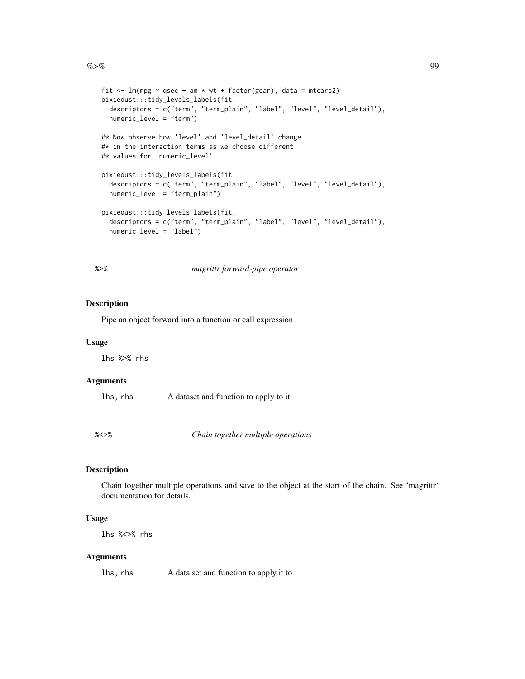```
fit \leq lm(mpg \sim qsec + am * wt + factor(gear), data = mtcars2)
pixiedust:::tidy_levels_labels(fit,
  descriptors = c("term", "term_plain", "label", "level", "level_detail"),
  numeric_level = "term")
#* Now observe how 'level' and 'level_detail' change
#* in the interaction terms as we choose different
#* values for 'numeric_level'
pixiedust:::tidy_levels_labels(fit,
  descriptors = c("term", "term_plain", "label", "level", "level_detail"),
  numeric_level = "term_plain")
pixiedust:::tidy_levels_labels(fit,
  descriptors = c("term", "term_plain", "label", "level", "level_detail"),
  numeric_level = "label")
```
%>% *magrittr forward-pipe operator*

#### Description

Pipe an object forward into a function or call expression

#### Usage

lhs %>% rhs

## Arguments

lhs, rhs A dataset and function to apply to it

%<>% *Chain together multiple operations*

#### Description

Chain together multiple operations and save to the object at the start of the chain. See 'magrittr' documentation for details.

#### Usage

lhs %<>% rhs

#### Arguments

lhs, rhs A data set and function to apply it to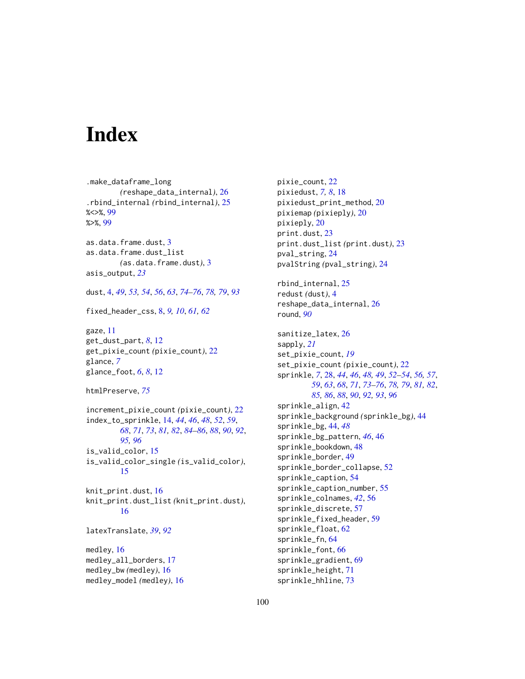# **Index**

.make\_dataframe\_long *(*reshape\_data\_internal*)*, [26](#page-25-0) .rbind\_internal *(*rbind\_internal*)*, [25](#page-24-0) %<>%, [99](#page-98-0) %>%, [99](#page-98-0) as.data.frame.dust, [3](#page-2-0) as.data.frame.dust\_list *(*as.data.frame.dust*)*, [3](#page-2-0) asis\_output, *[23](#page-22-0)* dust, [4,](#page-3-1) *[49](#page-48-0)*, *[53,](#page-52-0) [54](#page-53-0)*, *[56](#page-55-0)*, *[63](#page-62-0)*, *[74–](#page-73-0)[76](#page-75-0)*, *[78,](#page-77-0) [79](#page-78-0)*, *[93](#page-92-0)* fixed\_header\_css, [8,](#page-7-0) *[9,](#page-8-0) [10](#page-9-0)*, *[61,](#page-60-0) [62](#page-61-0)* gaze, [11](#page-10-0) get\_dust\_part, *[8](#page-7-0)*, [12](#page-11-0) get\_pixie\_count *(*pixie\_count*)*, [22](#page-21-0) glance, *[7](#page-6-0)* glance\_foot, *[6](#page-5-0)*, *[8](#page-7-0)*, [12](#page-11-0) htmlPreserve, *[75](#page-74-0)* increment\_pixie\_count *(*pixie\_count*)*, [22](#page-21-0) index\_to\_sprinkle, [14,](#page-13-1) *[44](#page-43-0)*, *[46](#page-45-0)*, *[48](#page-47-0)*, *[52](#page-51-0)*, *[59](#page-58-0)*, *[68](#page-67-0)*, *[71](#page-70-0)*, *[73](#page-72-0)*, *[81,](#page-80-0) [82](#page-81-0)*, *[84–](#page-83-0)[86](#page-85-0)*, *[88](#page-87-0)*, *[90](#page-89-0)*, *[92](#page-91-0)*, *[95,](#page-94-0) [96](#page-95-0)* is\_valid\_color, [15](#page-14-0) is\_valid\_color\_single *(*is\_valid\_color*)*, [15](#page-14-0) knit\_print.dust, [16](#page-15-0) knit\_print.dust\_list *(*knit\_print.dust*)*, [16](#page-15-0) latexTranslate, *[39](#page-38-0)*, *[92](#page-91-0)* medley, [16](#page-15-0) medley\_all\_borders, [17](#page-16-0) medley\_bw *(*medley*)*, [16](#page-15-0) medley\_model *(*medley*)*, [16](#page-15-0)

pixie\_count, [22](#page-21-0) pixiedust, *[7,](#page-6-0) [8](#page-7-0)*, [18](#page-17-0) pixiedust\_print\_method, [20](#page-19-0) pixiemap *(*pixieply*)*, [20](#page-19-0) pixieply, [20](#page-19-0) print.dust, [23](#page-22-0) print.dust\_list *(*print.dust*)*, [23](#page-22-0) pval\_string, [24](#page-23-0) pvalString *(*pval\_string*)*, [24](#page-23-0) rbind\_internal, [25](#page-24-0) redust *(*dust*)*, [4](#page-3-1) reshape\_data\_internal, [26](#page-25-0) round, *[90](#page-89-0)* sanitize\_latex, [26](#page-25-0) sapply, *[21](#page-20-0)* set\_pixie\_count, *[19](#page-18-0)* set\_pixie\_count *(*pixie\_count*)*, [22](#page-21-0) sprinkle, *[7](#page-6-0)*, [28,](#page-27-1) *[44](#page-43-0)*, *[46](#page-45-0)*, *[48,](#page-47-0) [49](#page-48-0)*, *[52](#page-51-0)[–54](#page-53-0)*, *[56,](#page-55-0) [57](#page-56-0)*, *[59](#page-58-0)*, *[63](#page-62-0)*, *[68](#page-67-0)*, *[71](#page-70-0)*, *[73](#page-72-0)[–76](#page-75-0)*, *[78,](#page-77-0) [79](#page-78-0)*, *[81,](#page-80-0) [82](#page-81-0)*, *[85,](#page-84-0) [86](#page-85-0)*, *[88](#page-87-0)*, *[90](#page-89-0)*, *[92,](#page-91-0) [93](#page-92-0)*, *[96](#page-95-0)* sprinkle\_align, [42](#page-41-0) sprinkle\_background *(*sprinkle\_bg*)*, [44](#page-43-0) sprinkle\_bg, [44,](#page-43-0) *[48](#page-47-0)* sprinkle\_bg\_pattern, *[46](#page-45-0)*, [46](#page-45-0) sprinkle\_bookdown, [48](#page-47-0) sprinkle\_border, [49](#page-48-0) sprinkle\_border\_collapse, [52](#page-51-0) sprinkle\_caption, [54](#page-53-0) sprinkle\_caption\_number, [55](#page-54-0) sprinkle\_colnames, *[42](#page-41-0)*, [56](#page-55-0) sprinkle\_discrete, [57](#page-56-0) sprinkle\_fixed\_header, [59](#page-58-0) sprinkle\_float, [62](#page-61-0) sprinkle\_fn, [64](#page-63-0) sprinkle\_font, [66](#page-65-0) sprinkle\_gradient, [69](#page-68-0) sprinkle\_height, [71](#page-70-0) sprinkle\_hhline, [73](#page-72-0)